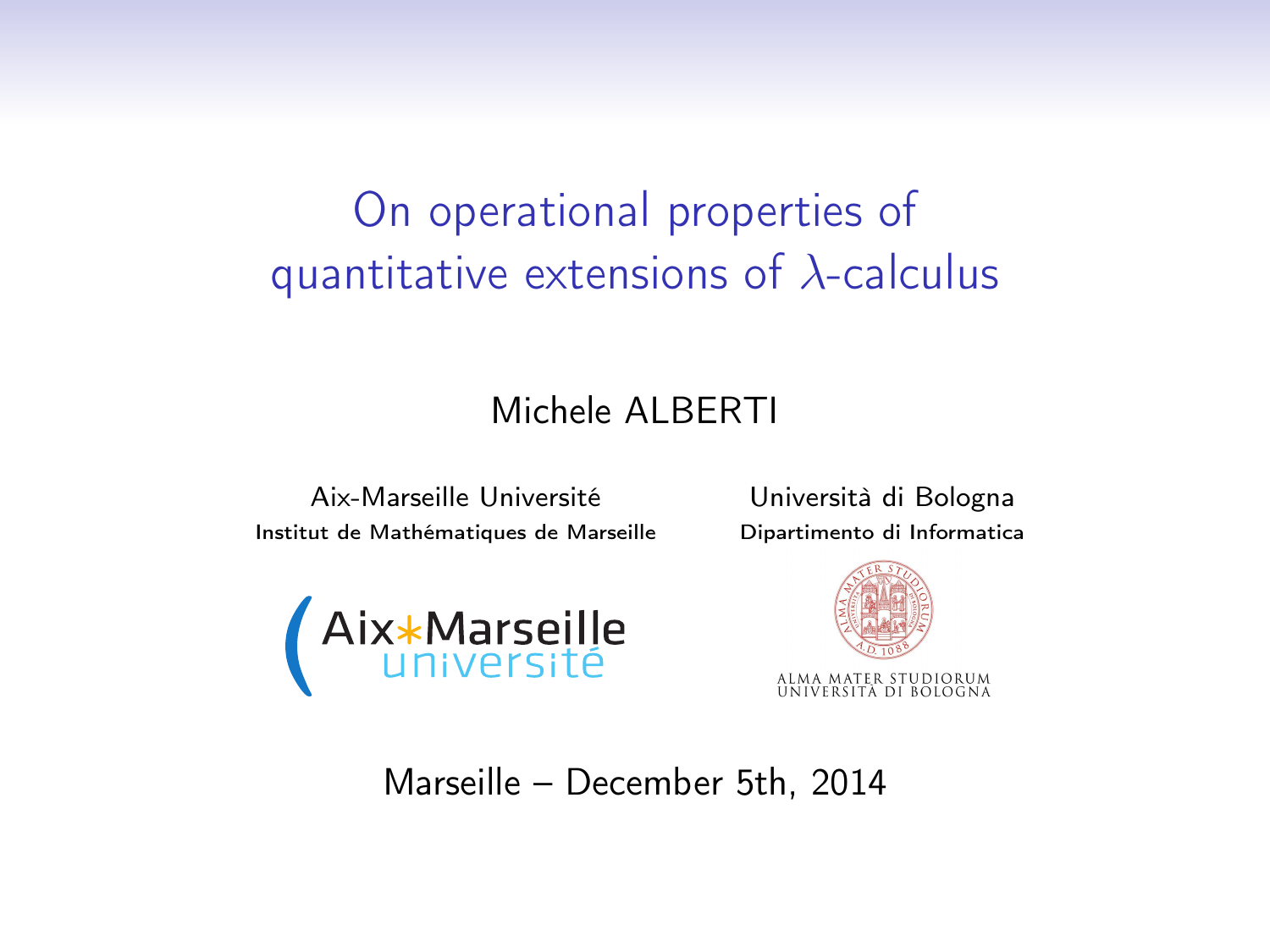# <span id="page-0-0"></span>On operational properties of quantitative extensions of  $\lambda$ -calculus

#### Michele ALBERTI

Aix-Marseille Université Università di Bologna Institut de Mathématiques de Marseille Dipartimento di Informatica





Marseille – December 5th, 2014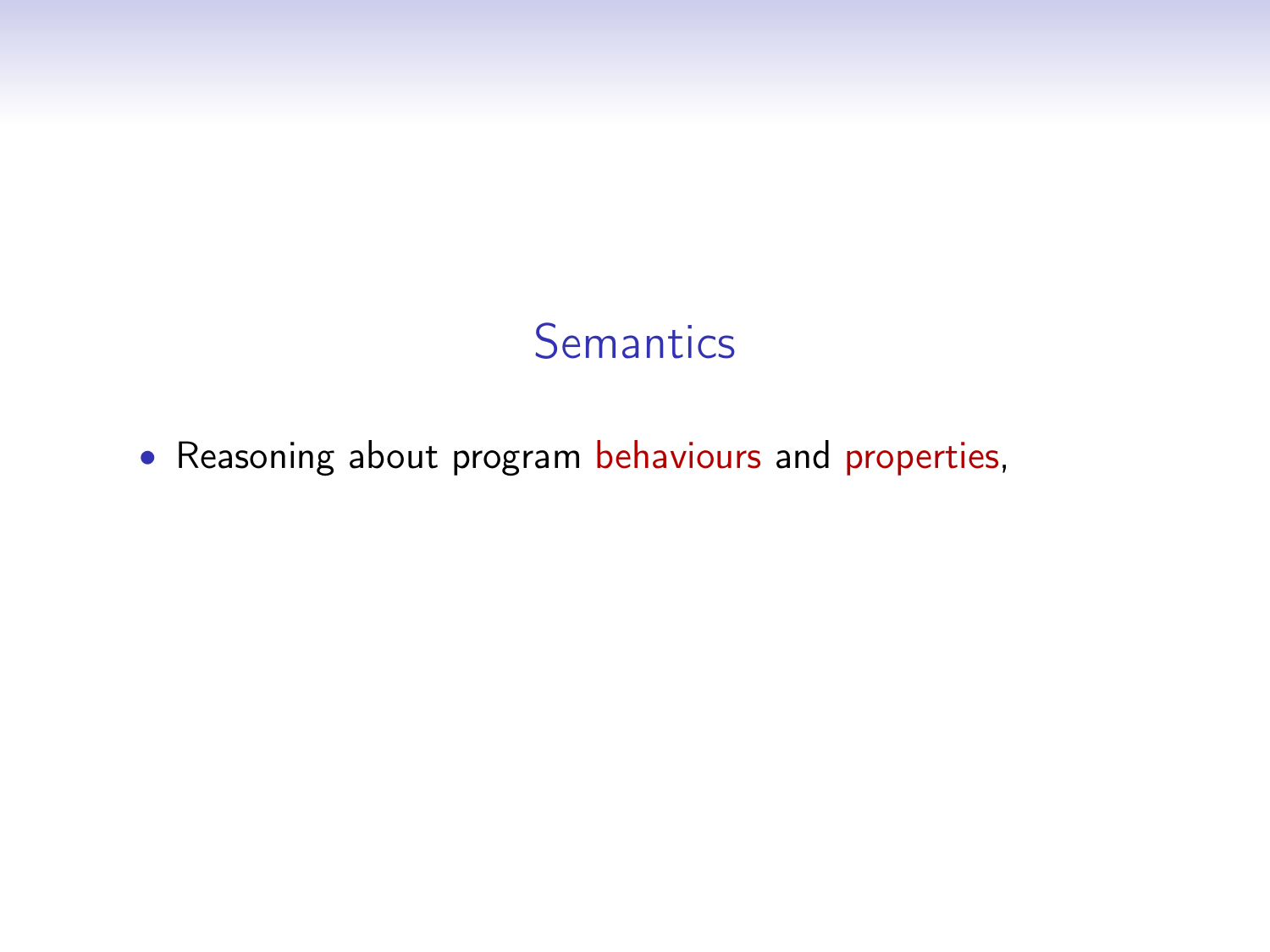### **Semantics**

• Reasoning about program behaviours and properties,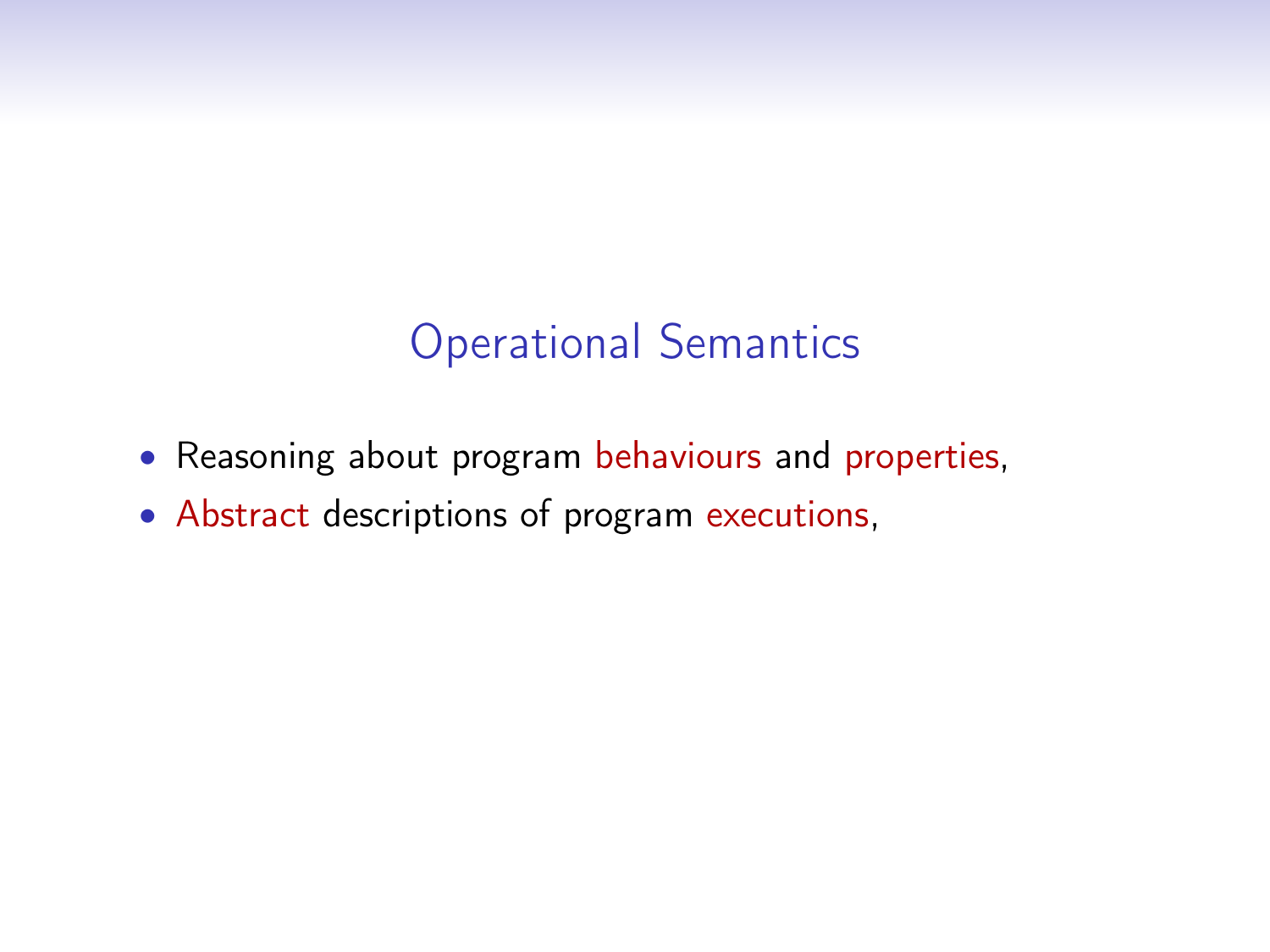## Operational Semantics

- Reasoning about program behaviours and properties,
- Abstract descriptions of program executions,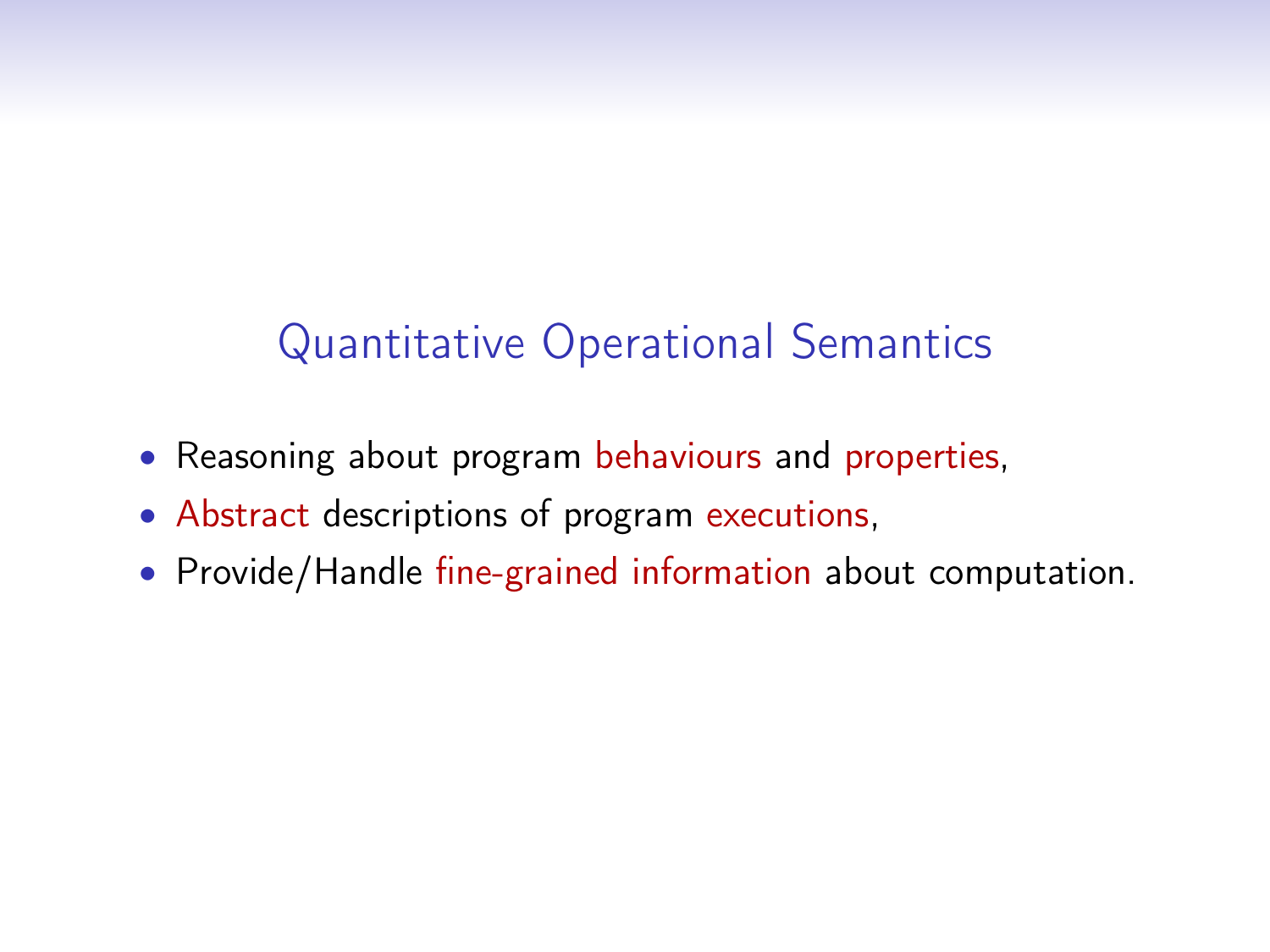# Quantitative Operational Semantics

- Reasoning about program behaviours and properties,
- Abstract descriptions of program executions,
- Provide/Handle fine-grained information about computation.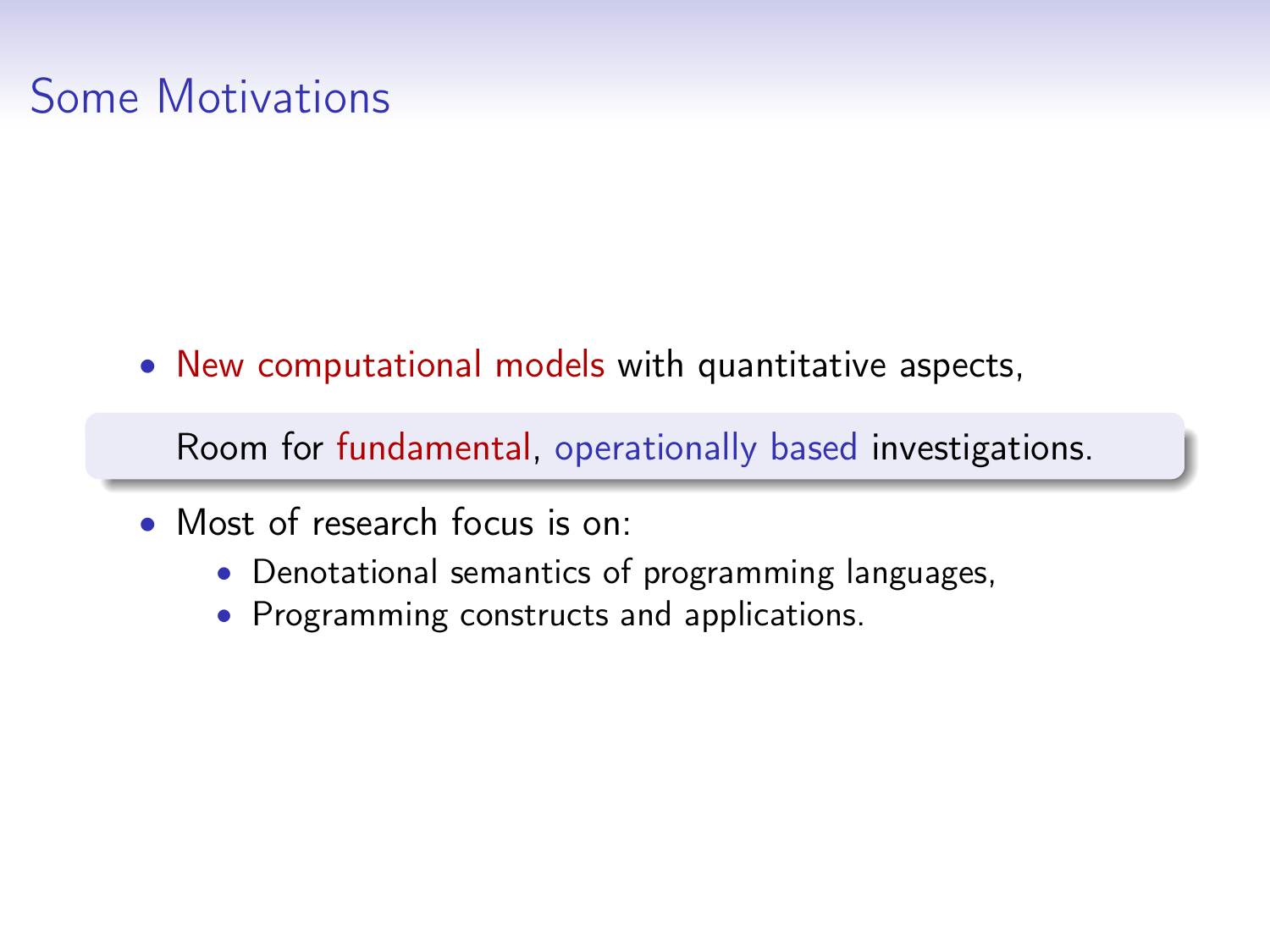## Some Motivations

• New computational models with quantitative aspects,

Room for fundamental, operationally based investigations.

- Most of research focus is on:
	- Denotational semantics of programming languages,
	- Programming constructs and applications.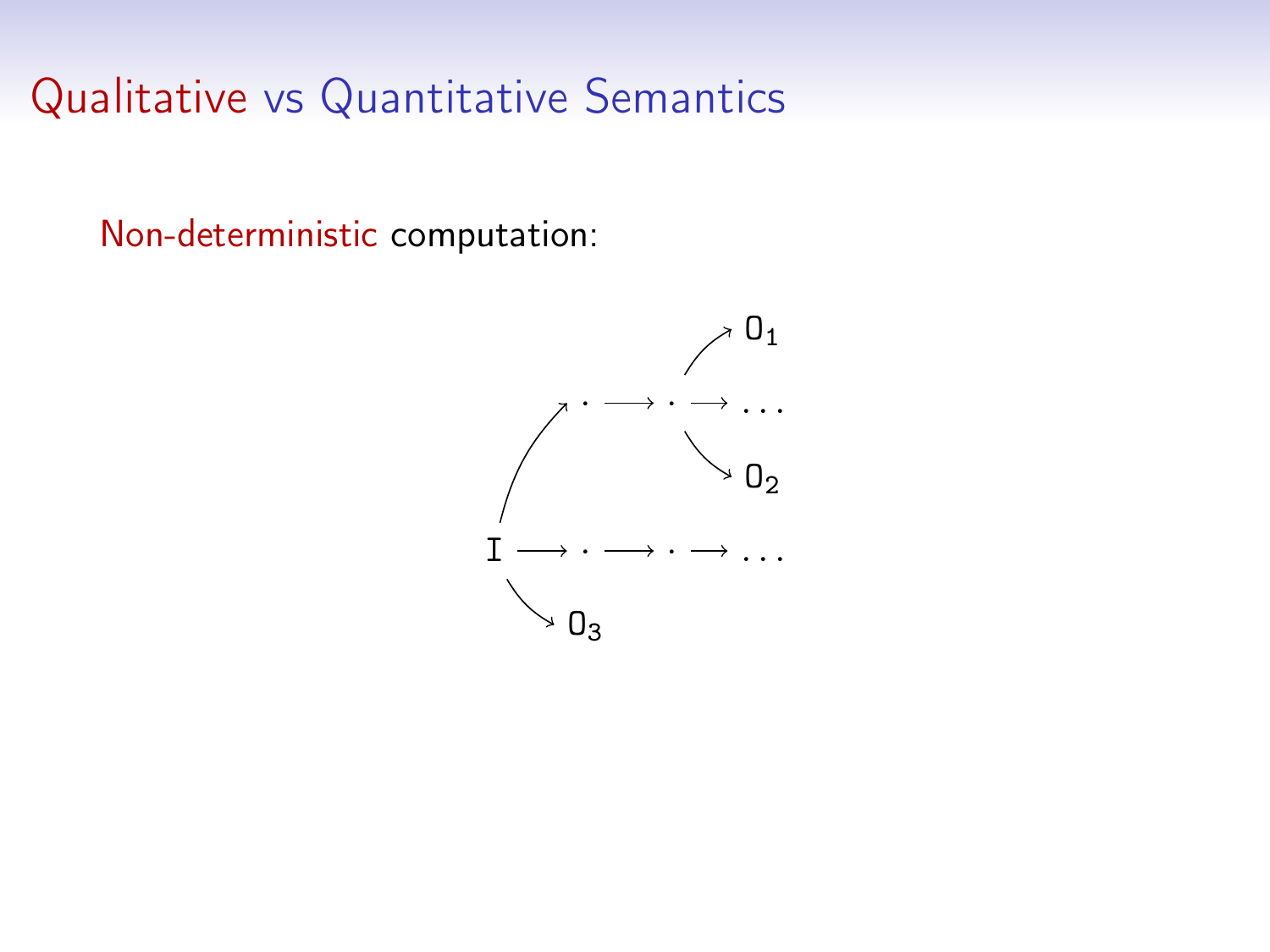Non-deterministic computation:

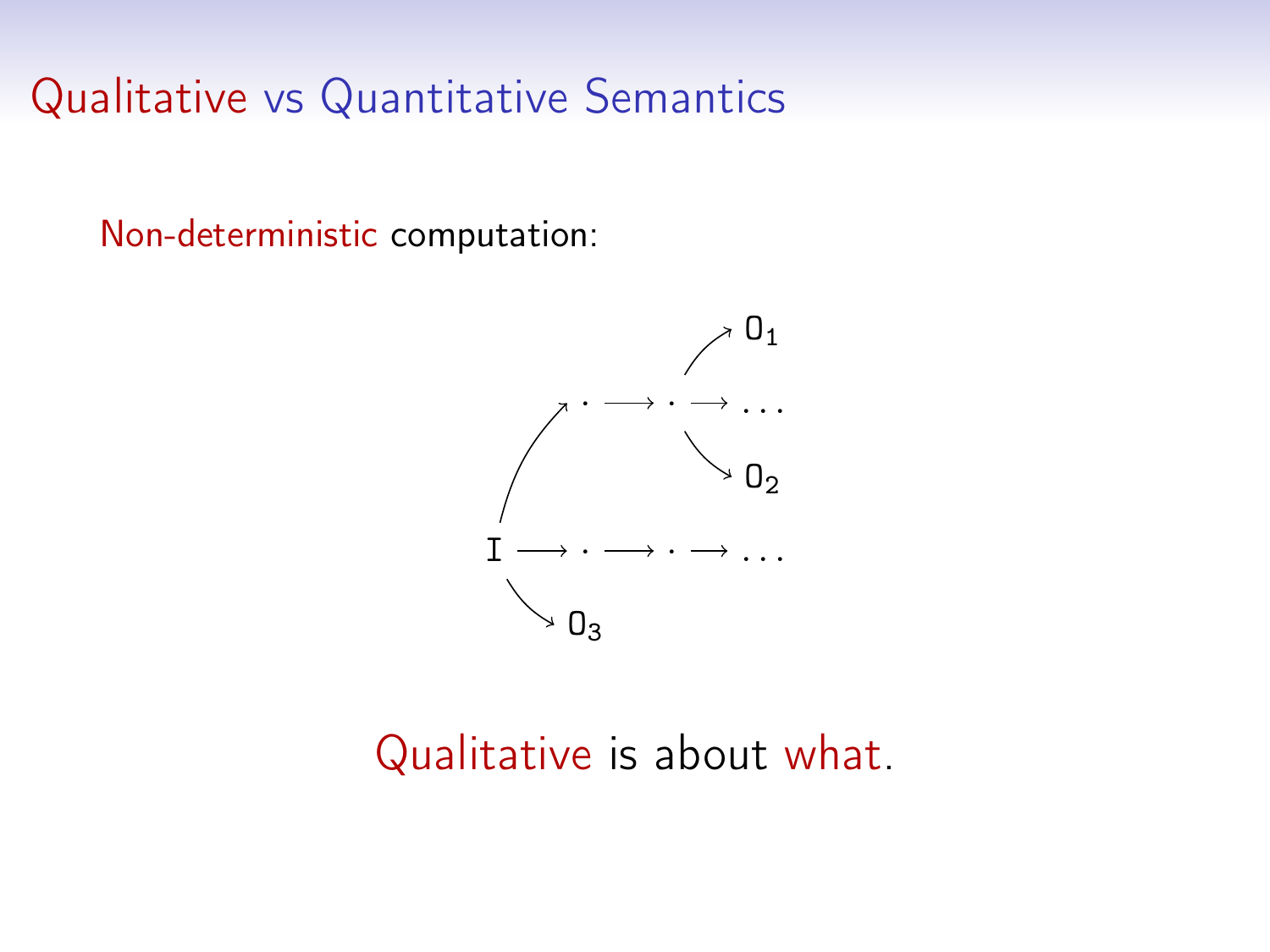Non-deterministic computation:



### Qualitative is about what.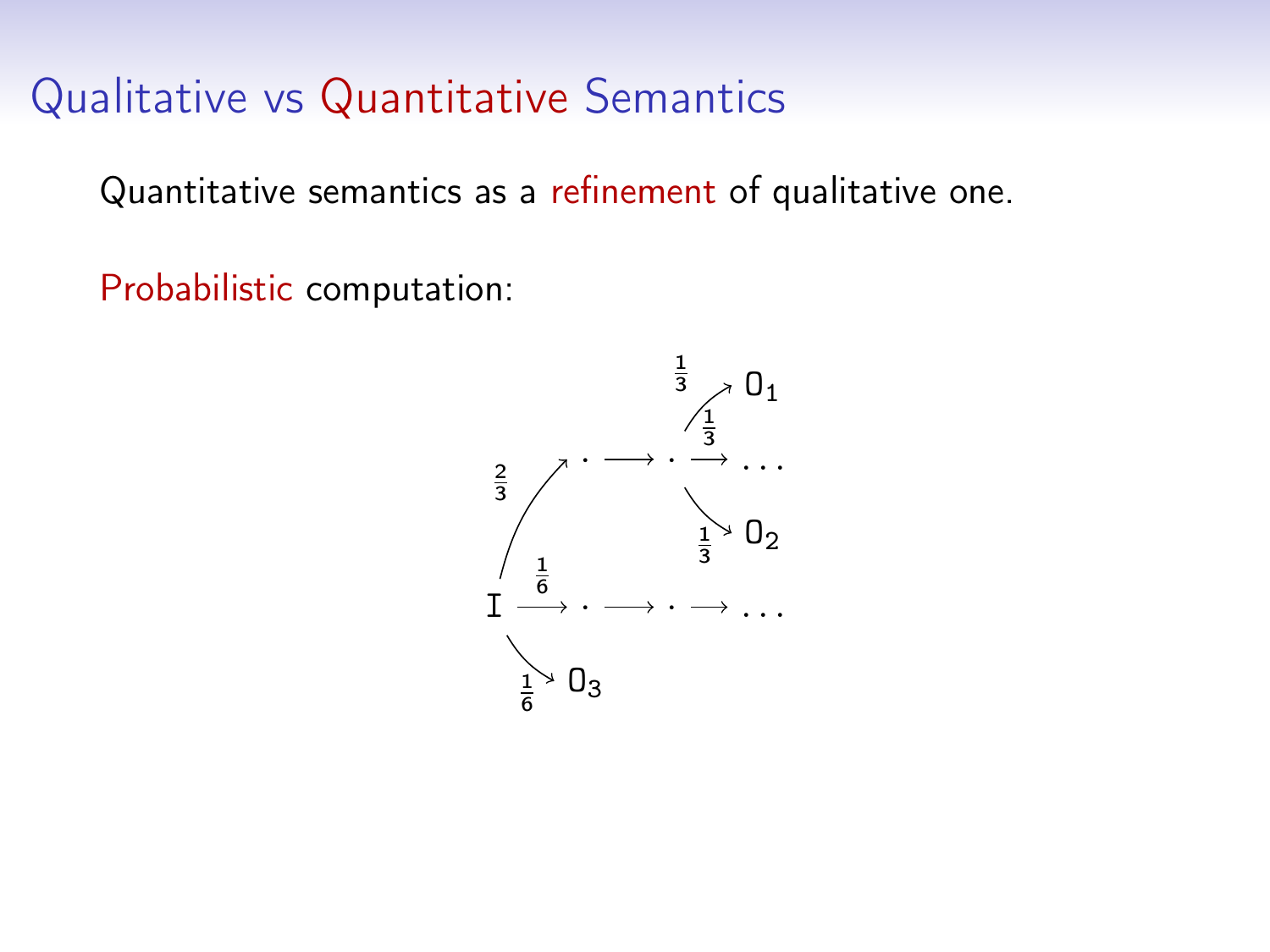Quantitative semantics as a refinement of qualitative one.

Probabilistic computation:

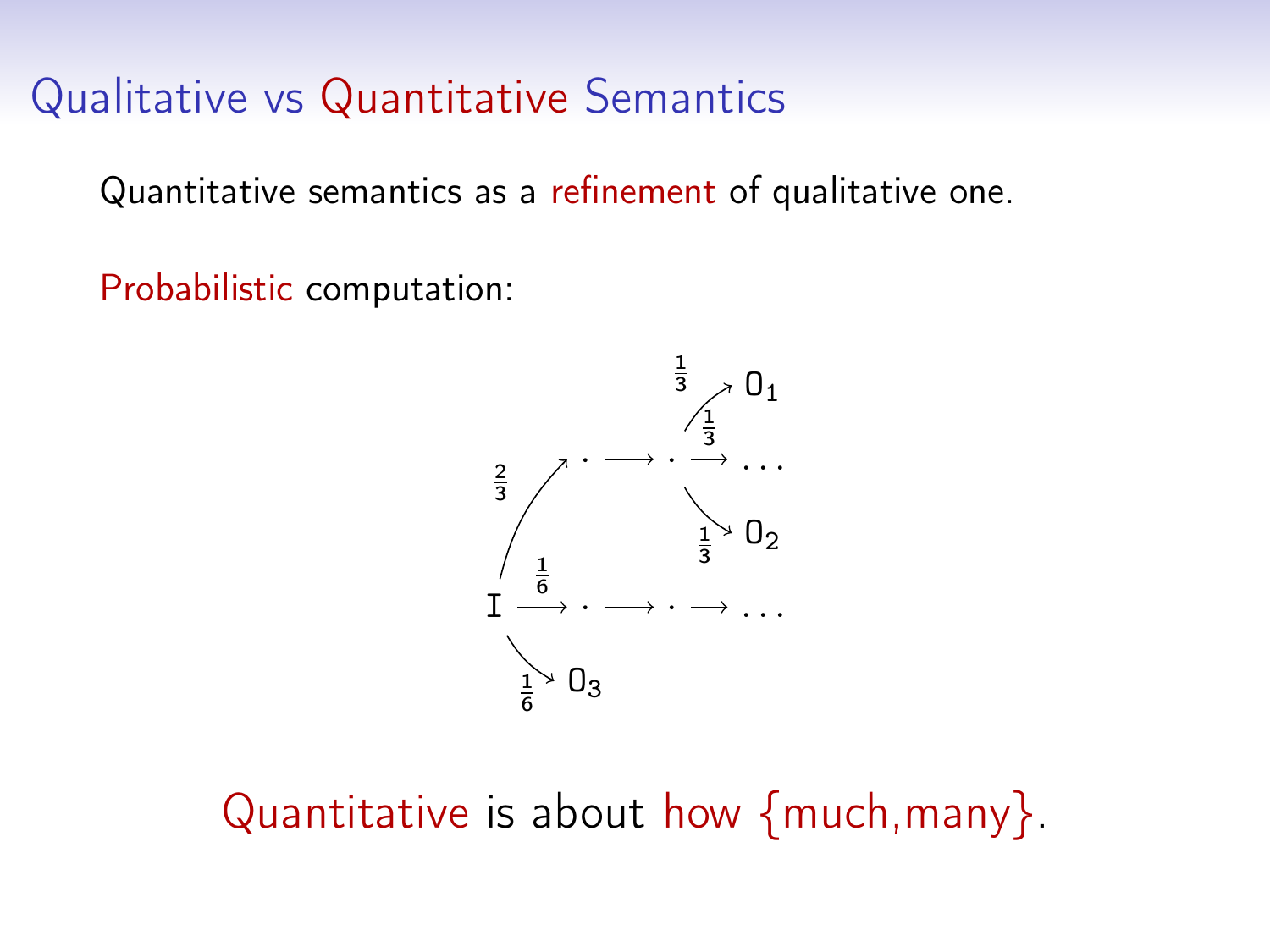Quantitative semantics as a refinement of qualitative one.

Probabilistic computation:



Quantitative is about how {much,many}.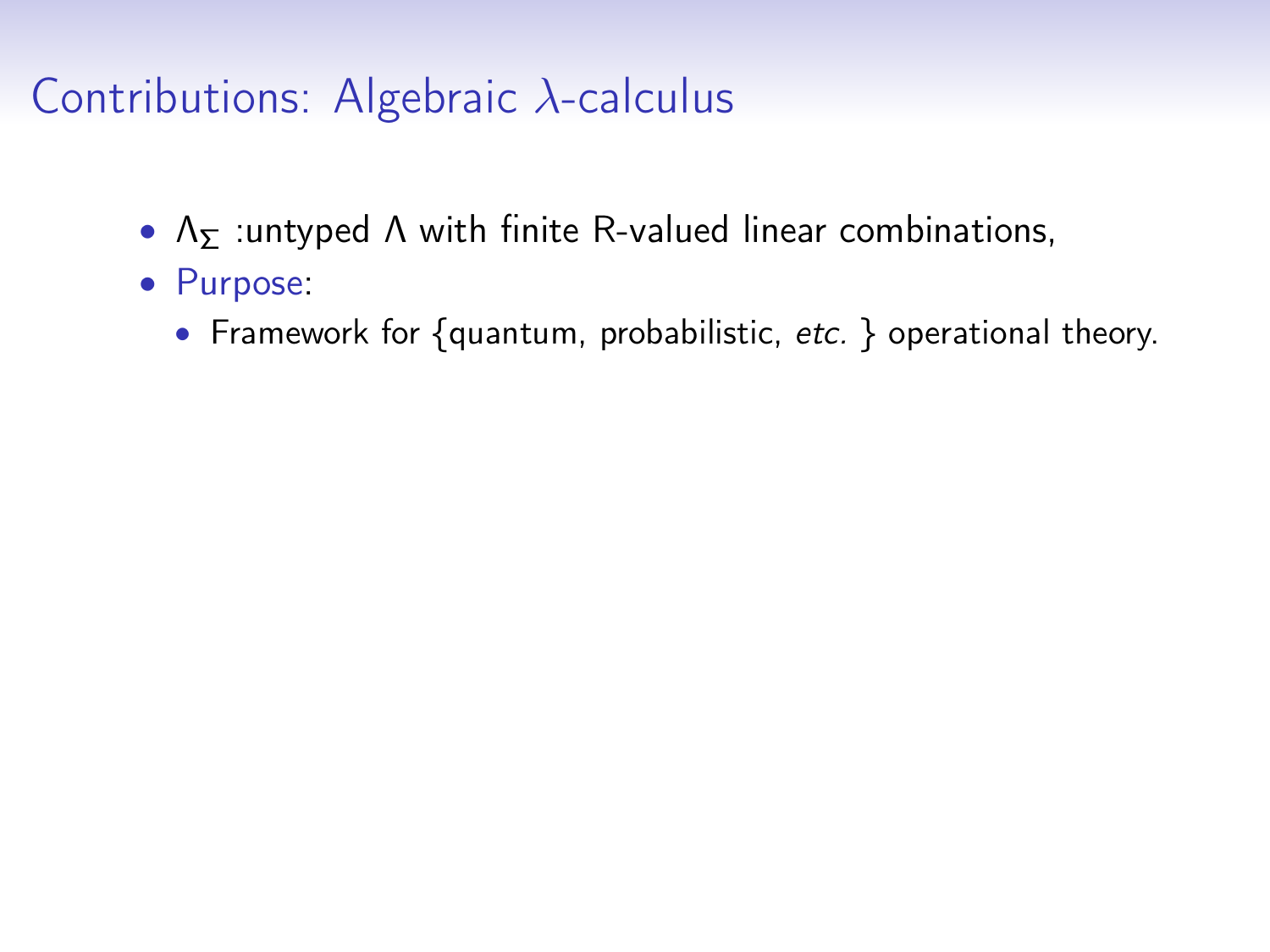## Contributions: Algebraic λ-calculus

- $\Lambda$ <sub>Σ</sub> :untyped  $\Lambda$  with finite R-valued linear combinations,
- Purpose:
	- Framework for {quantum, probabilistic, etc. } operational theory.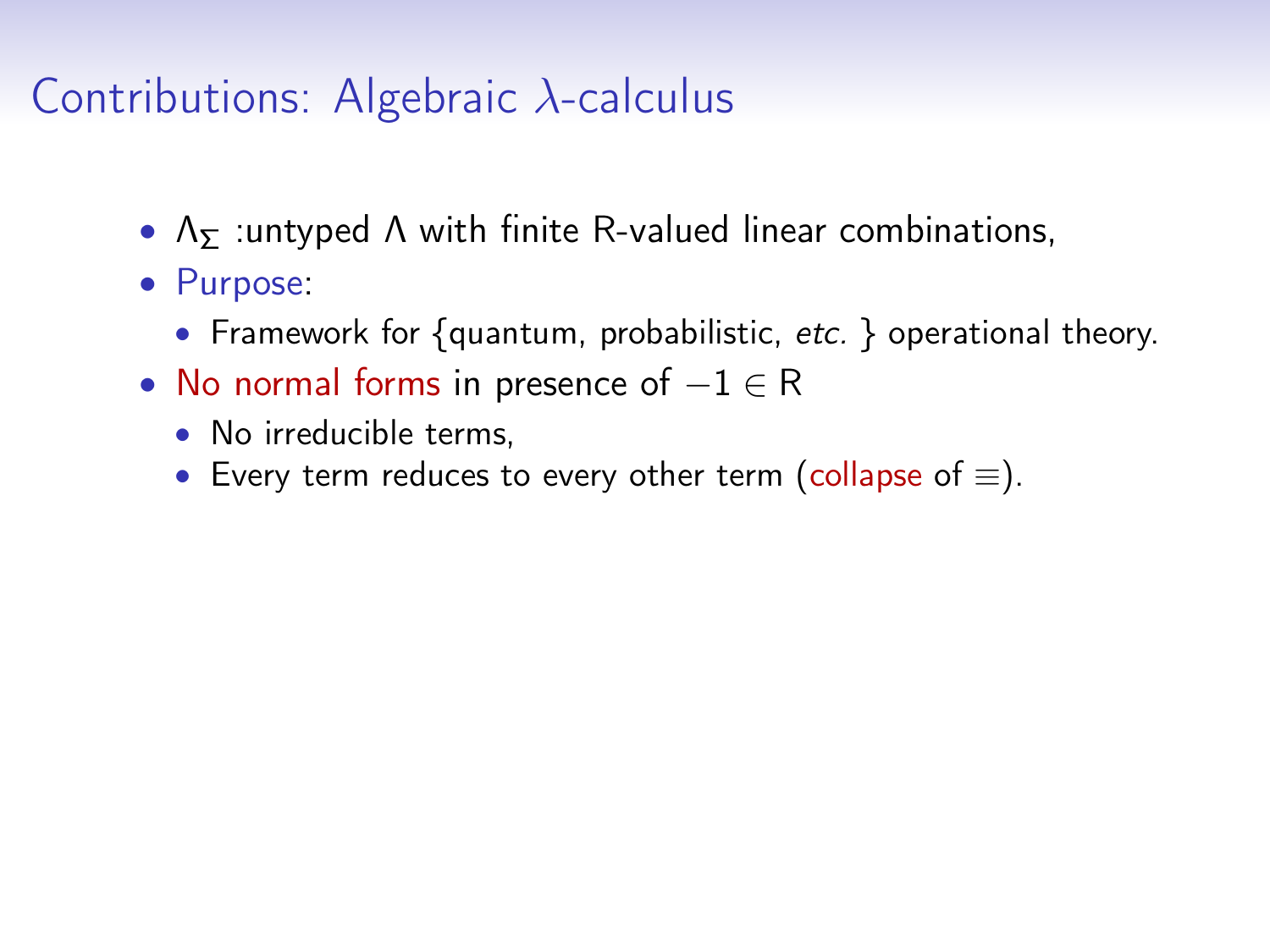## Contributions: Algebraic  $\lambda$ -calculus

- $\Lambda$ <sub>Σ</sub> :untyped A with finite R-valued linear combinations,
- Purpose:
	- Framework for {quantum, probabilistic, etc. } operational theory.
- No normal forms in presence of  $-1 \in R$ 
	- No irreducible terms,
	- Every term reduces to every other term (collapse of  $\equiv$ ).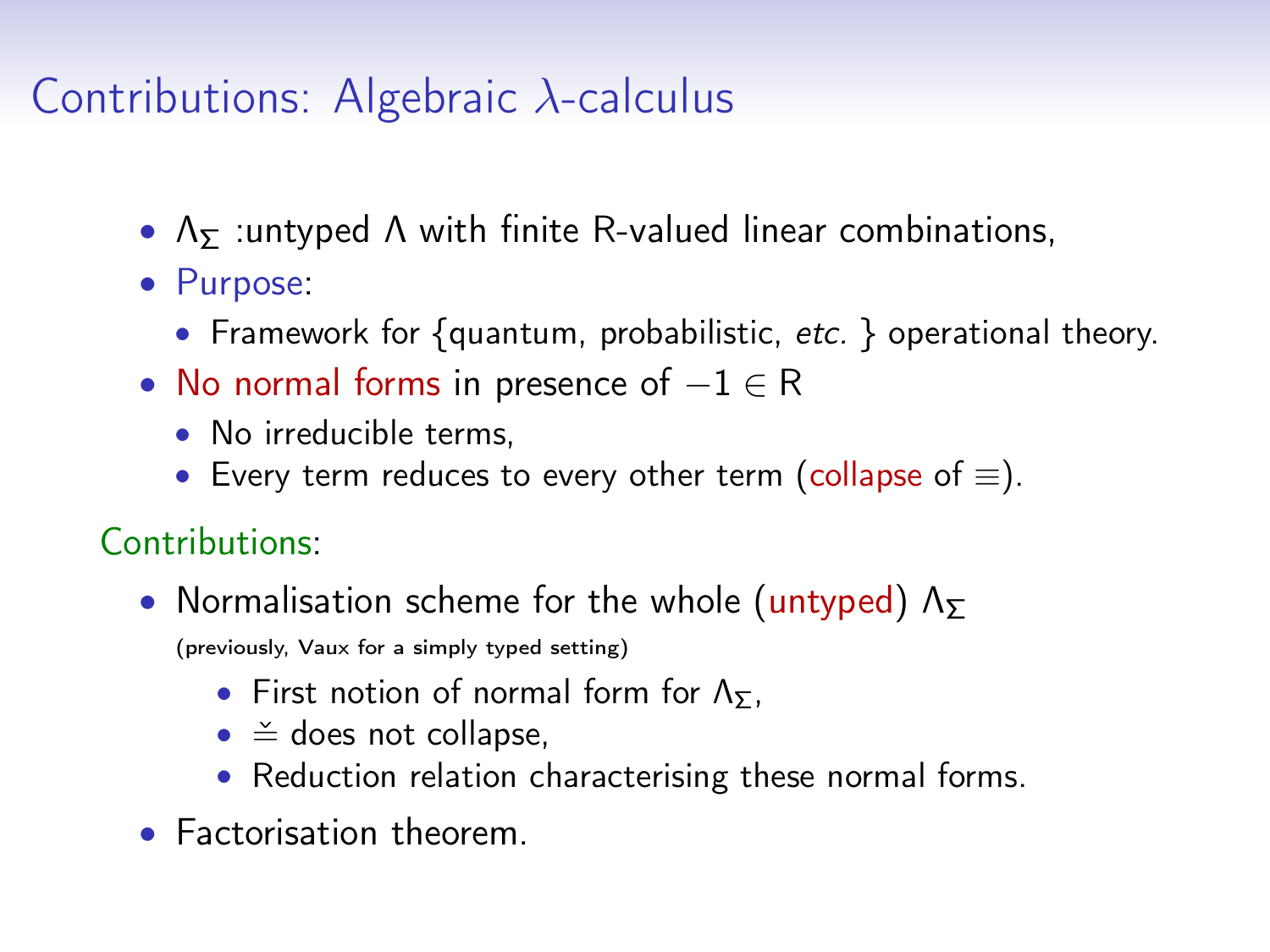## Contributions: Algebraic λ-calculus

- $\Lambda$ <sub>Σ</sub> :untyped A with finite R-valued linear combinations,
- Purpose:
	- Framework for {quantum, probabilistic, etc. } operational theory.
- No normal forms in presence of  $-1 \in R$ 
	- No irreducible terms,
	- Every term reduces to every other term (collapse of  $\equiv$ ).

#### Contributions:

• Normalisation scheme for the whole (untyped)  $\Lambda_{\Sigma}$ 

(previously, Vaux for a simply typed setting)

- First notion of normal form for  $\Lambda_{\Sigma}$ ,
- $\bullet \cong$  does not collapse,
- Reduction relation characterising these normal forms.
- Factorisation theorem.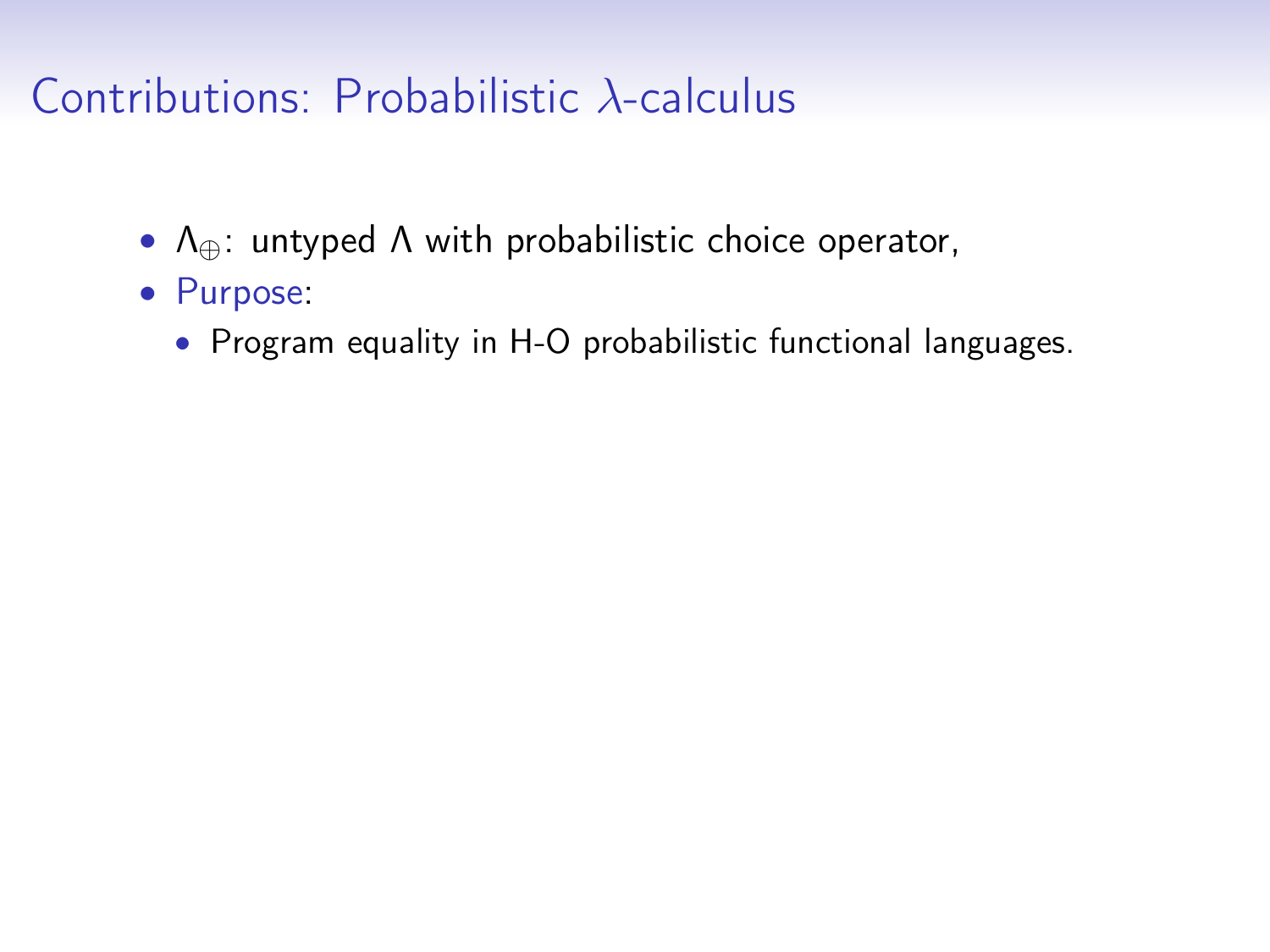## Contributions: Probabilistic λ-calculus

- $\Lambda_{\oplus}$ : untyped  $\Lambda$  with probabilistic choice operator,
- Purpose:
	- Program equality in H-O probabilistic functional languages.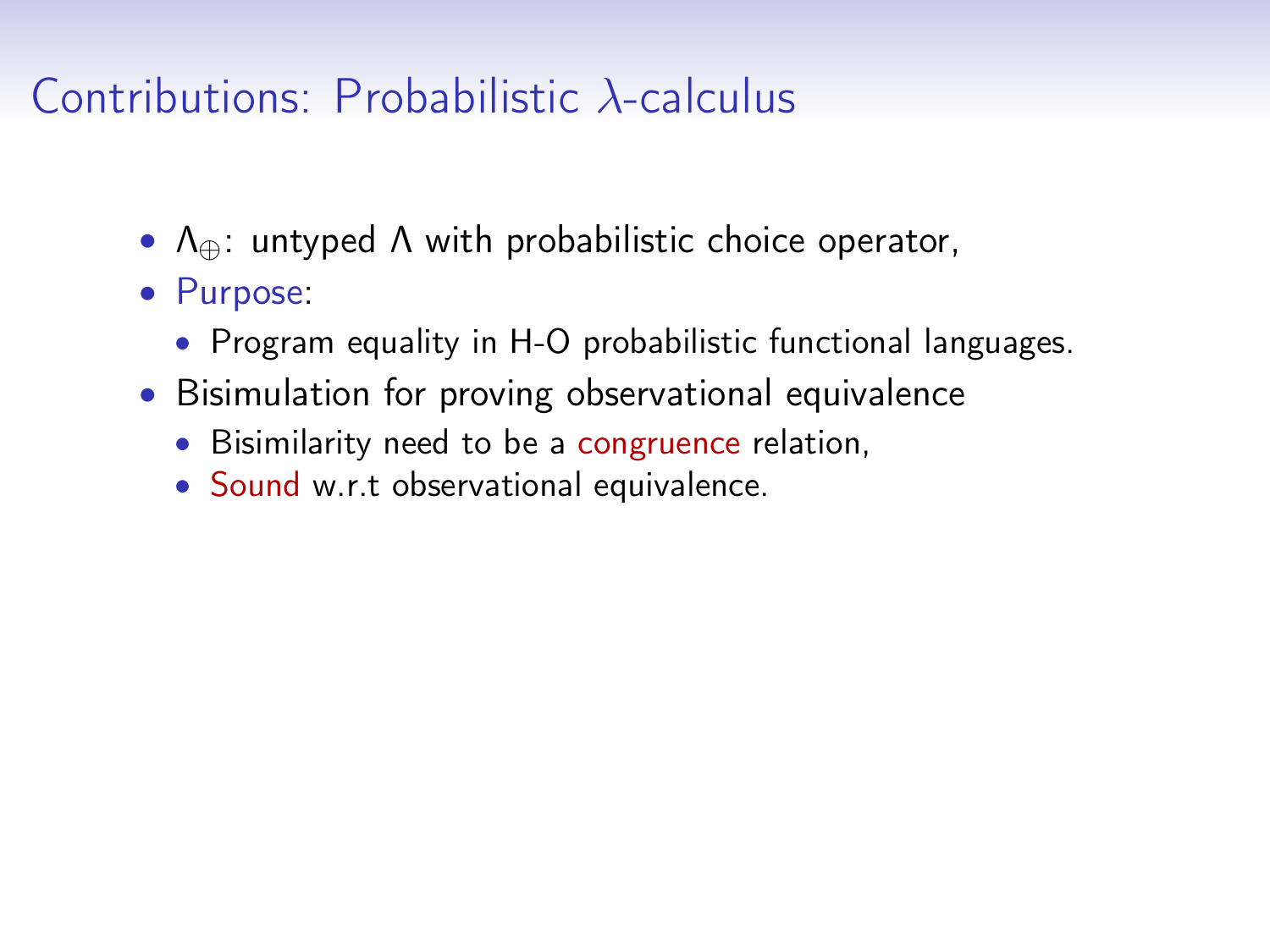## Contributions: Probabilistic λ-calculus

- $\Lambda_{\oplus}$ : untyped  $\Lambda$  with probabilistic choice operator,
- Purpose:
	- Program equality in H-O probabilistic functional languages.
- Bisimulation for proving observational equivalence
	- Bisimilarity need to be a congruence relation,
	- Sound w.r.t observational equivalence.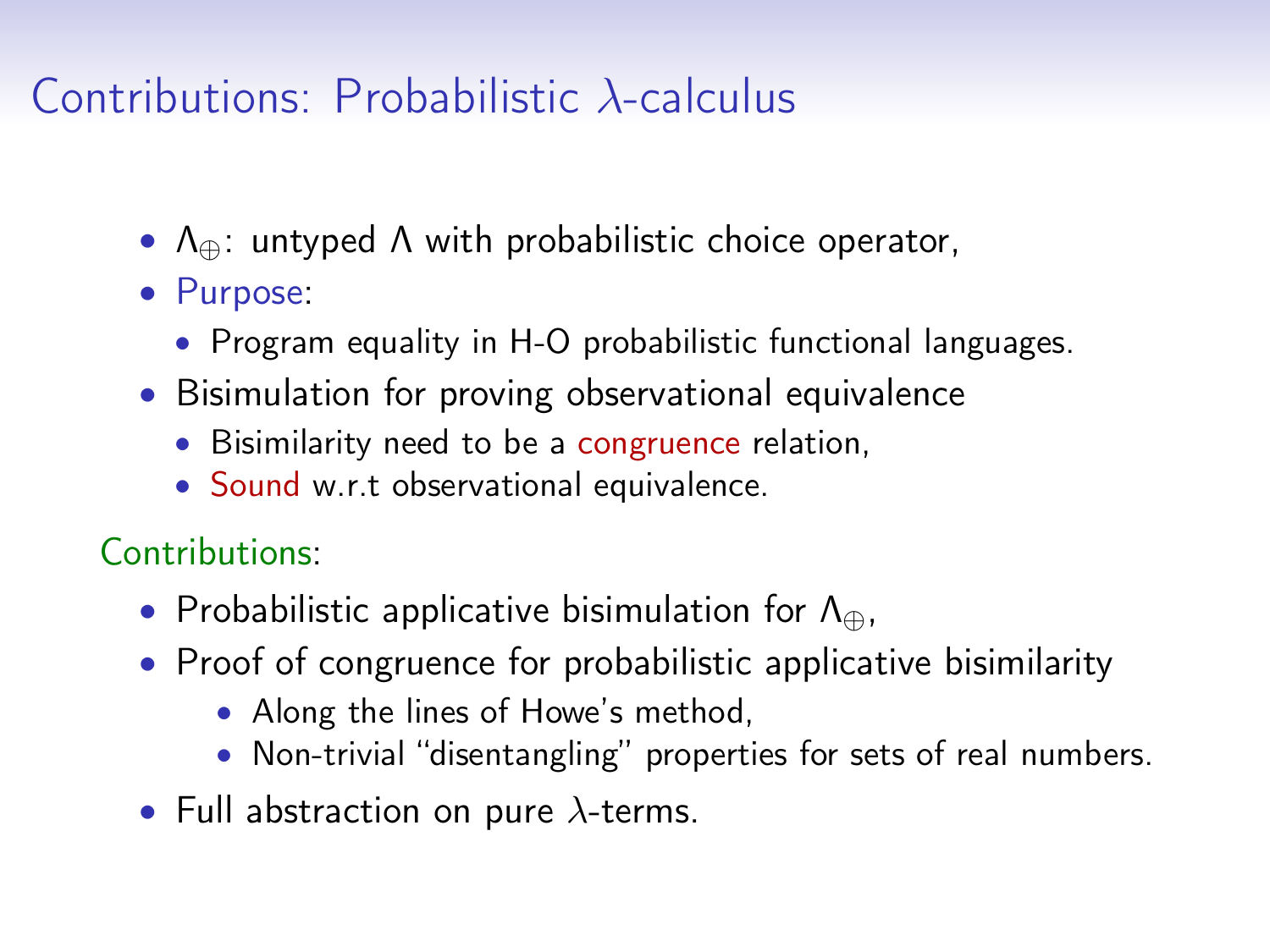# Contributions: Probabilistic λ-calculus

- $\Lambda_{\oplus}$ : untyped  $\Lambda$  with probabilistic choice operator,
- Purpose:
	- Program equality in H-O probabilistic functional languages.
- Bisimulation for proving observational equivalence
	- Bisimilarity need to be a congruence relation,
	- Sound w.r.t observational equivalence.

Contributions:

- Probabilistic applicative bisimulation for  $\Lambda_{\oplus}$ ,
- Proof of congruence for probabilistic applicative bisimilarity
	- Along the lines of Howe's method,
	- Non-trivial "disentangling" properties for sets of real numbers.
- Full abstraction on pure  $\lambda$ -terms.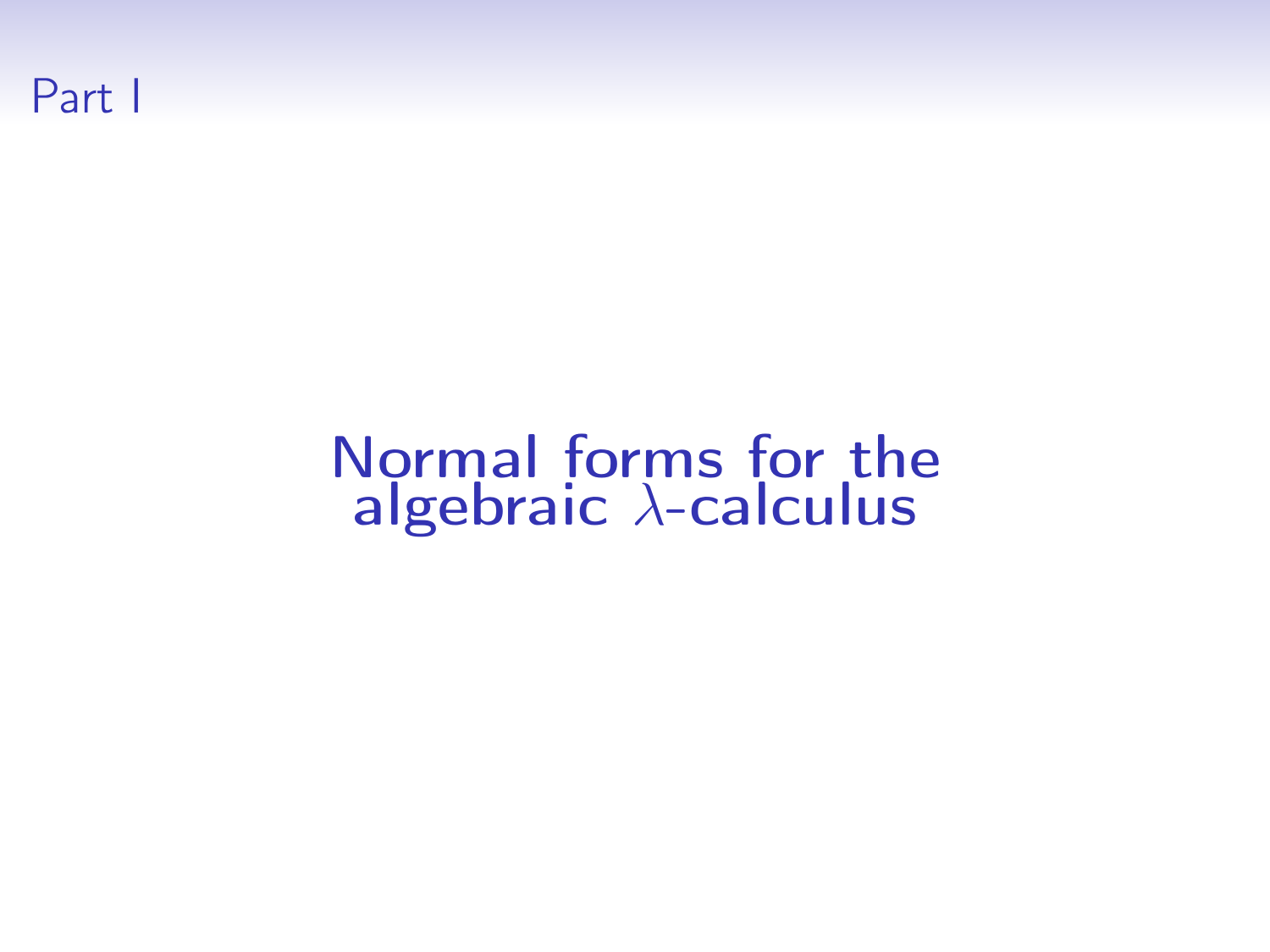

# Normal forms for the algebraic  $\lambda$ -calculus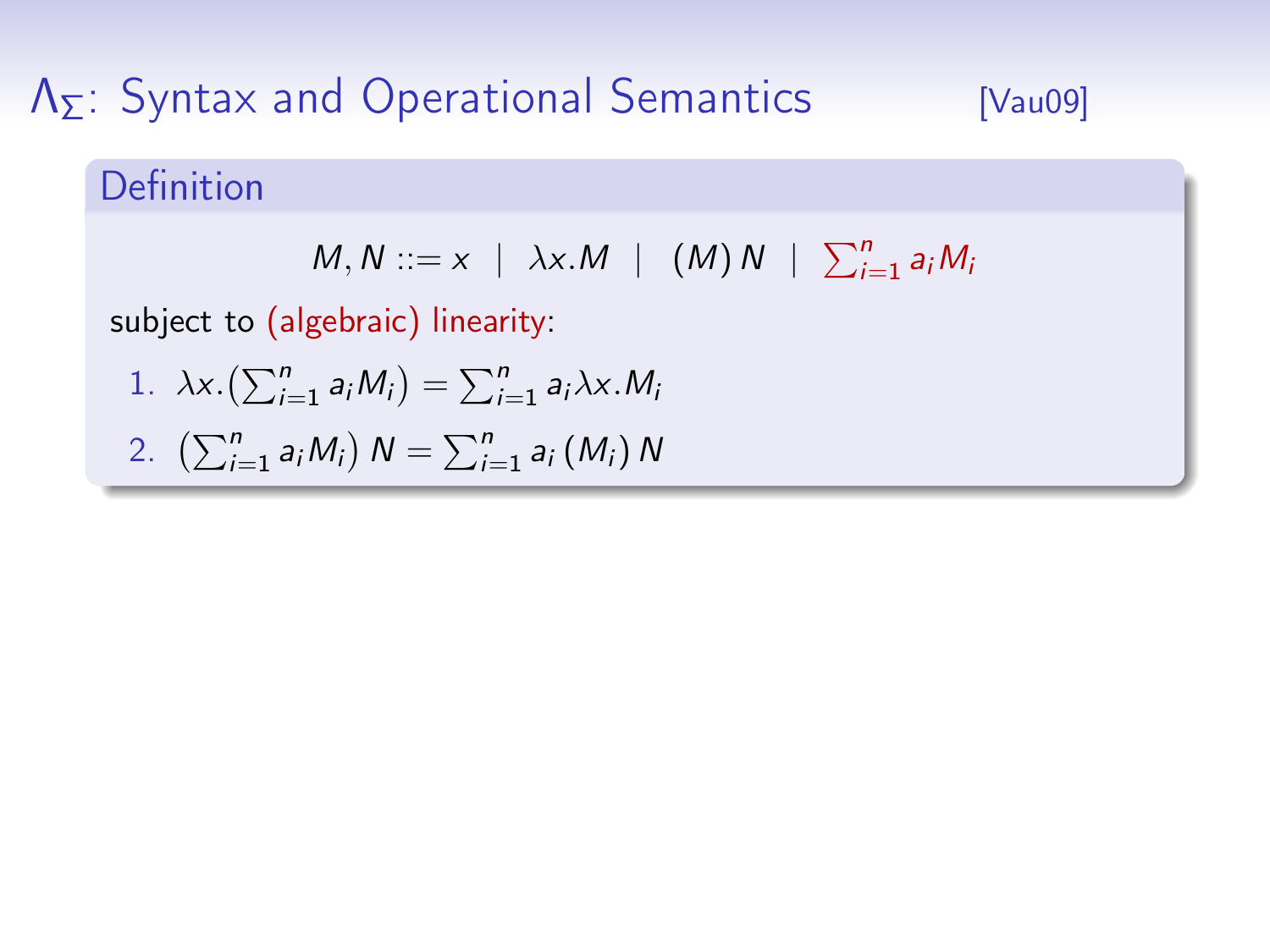#### Definition

$$
M, N ::= x \mid \lambda x.M \mid (M) N \mid \sum_{i=1}^{n} a_i M_i
$$

subject to (algebraic) linearity:

1. 
$$
\lambda x. (\sum_{i=1}^n a_i M_i) = \sum_{i=1}^n a_i \lambda x. M_i
$$

2. 
$$
\left(\sum_{i=1}^{n} a_{i} M_{i}\right) N = \sum_{i=1}^{n} a_{i} (M_{i}) N
$$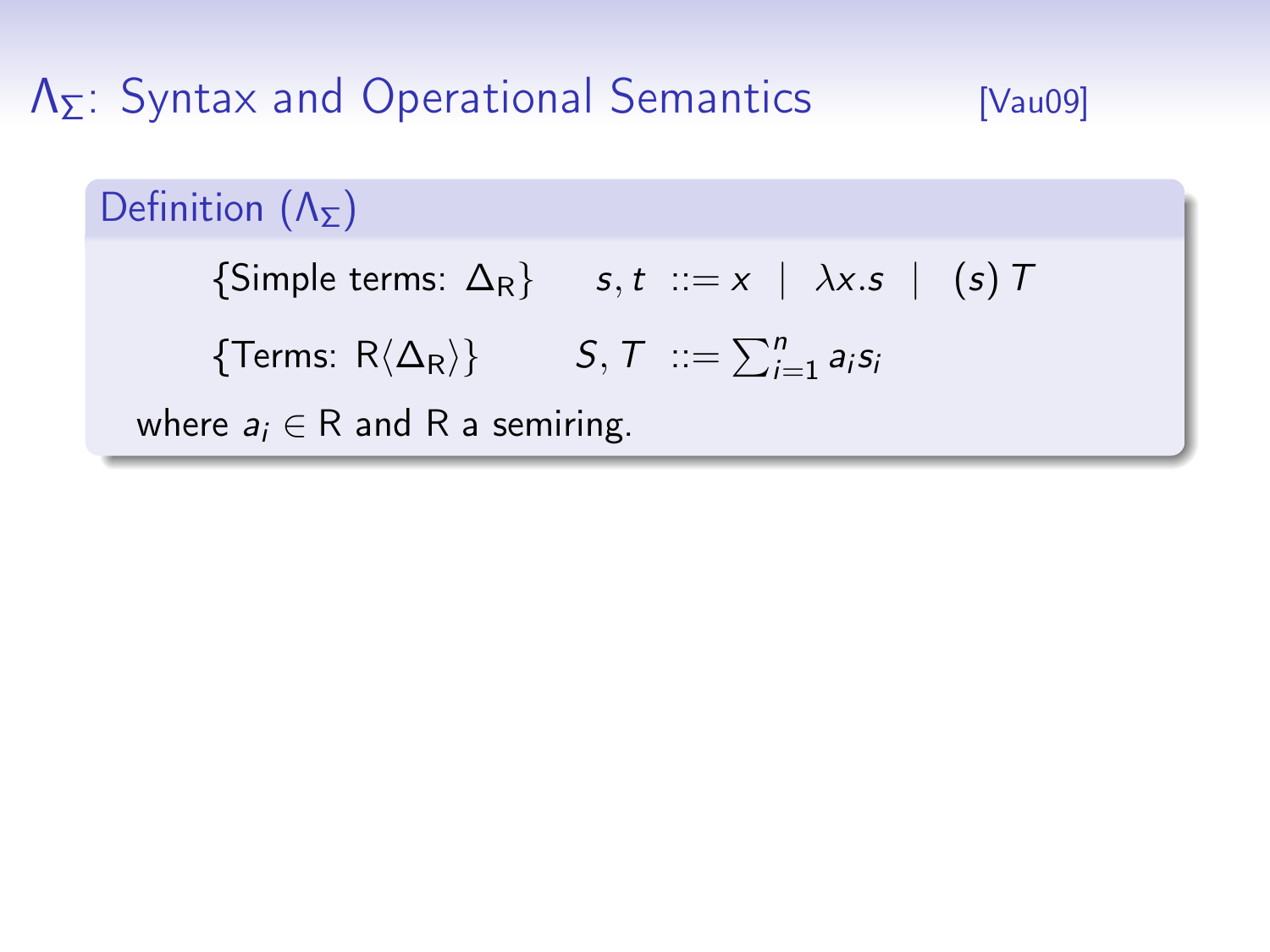#### Definition  $(\Lambda_{\Sigma})$

{Simple terms:  $\Delta_R$ } s, t ::= x |  $\lambda x. s$  | (s) T

{Terms: R $\langle \Delta_R \rangle$ }  $S, \mathcal{T}$  ::=  $\sum_{i=1}^n a_i s_i$ 

where  $a_i \in R$  and R a semiring.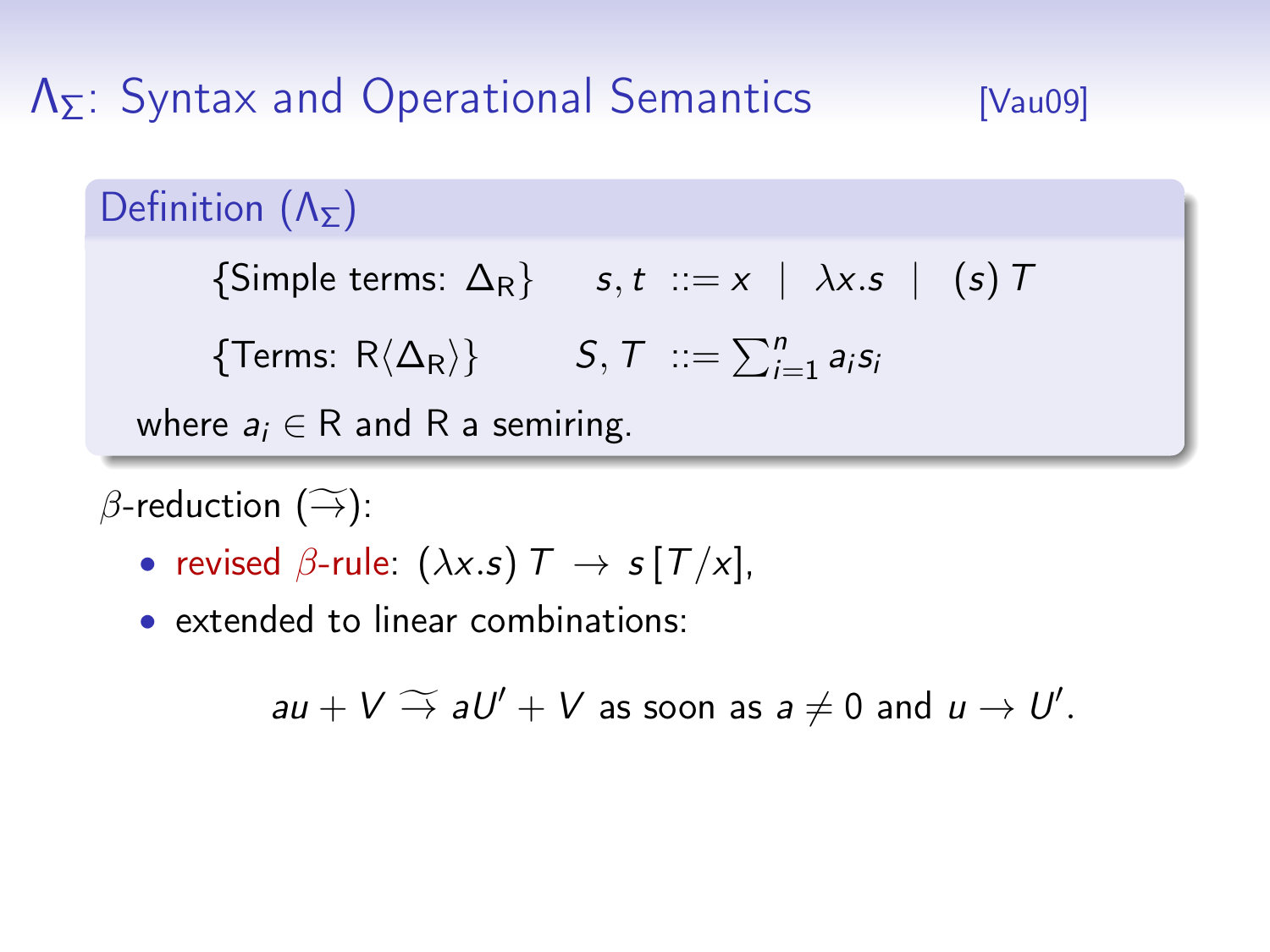#### Definition  $(Λ_5)$

 ${\text{Simple terms: } \Delta_R}$  s, t ::= x |  $\lambda x.s$  | (s) T

{Terms: R $\langle \Delta_R \rangle$ }  $S, \mathcal{T}$  ::=  $\sum_{i=1}^n a_i s_i$ 

where  $a_i \in R$  and R a semiring.

 $\beta$ -reduction  $(\widetilde{\rightarrow})$ :

- revised  $\beta$ -rule:  $(\lambda x . s)$   $\tau \rightarrow s$   $[\tau/x]$ ,
- extended to linear combinations:

 $au + V \stackrel{\sim}{\rightarrow} aU' + V$  as soon as  $a \neq 0$  and  $u \rightarrow U'$ .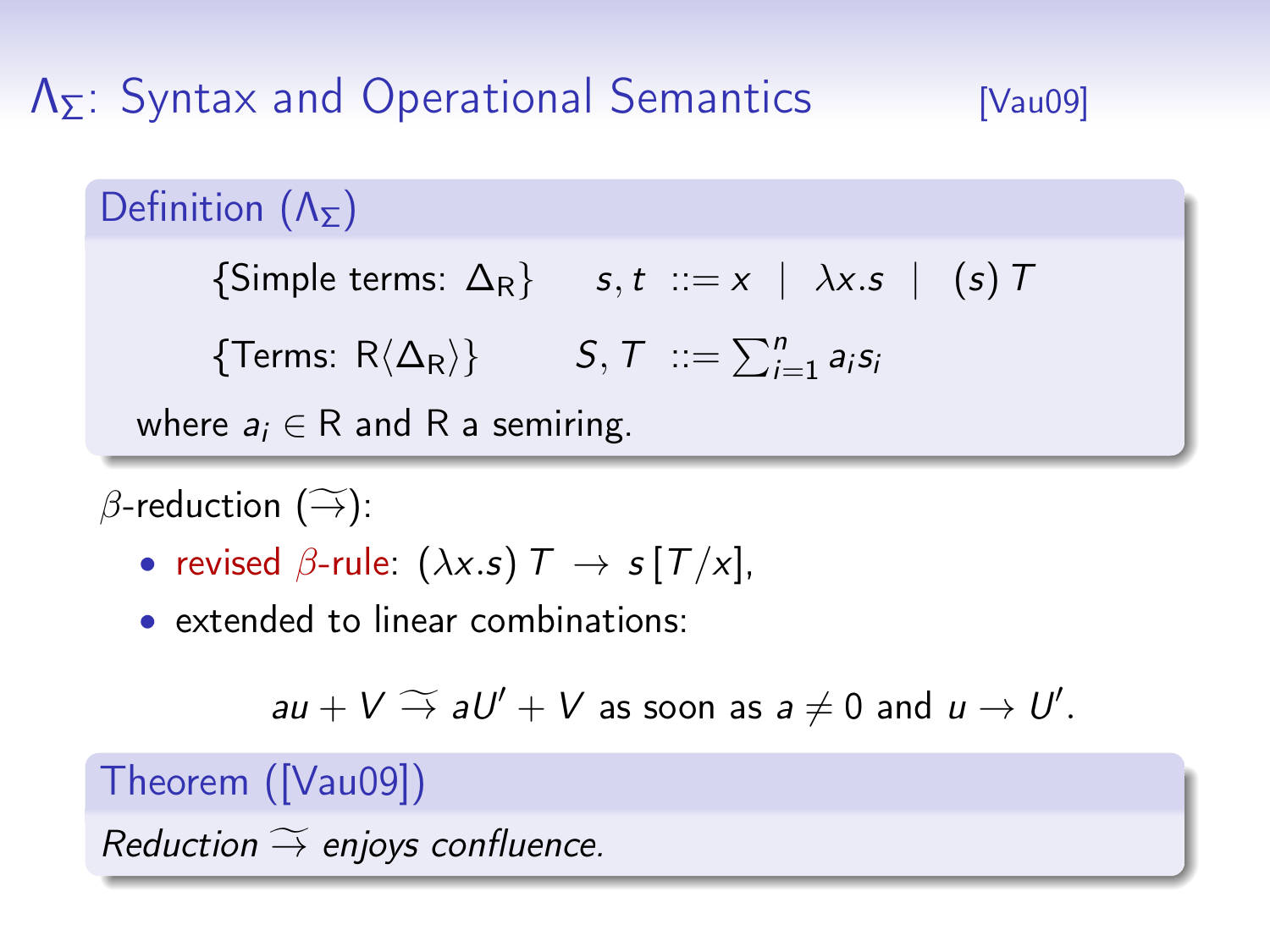#### Definition  $(Λ_5)$

 ${\text{Simple terms: } \Delta_R}$  s, t ::= x |  $\lambda x.s$  | (s) T

{Terms: R $\langle \Delta_R \rangle$ }  $S, \mathcal{T}$  ::=  $\sum_{i=1}^n a_i s_i$ 

where  $a_i \in R$  and R a semiring.

 $\beta$ -reduction  $(\widetilde{\rightarrow})$ :

- revised  $\beta$ -rule:  $(\lambda x . s)$   $\tau \rightarrow s$   $[\tau / x]$ ,
- extended to linear combinations:

$$
au + V \rightarrow aU' + V
$$
 as soon as  $a \neq 0$  and  $u \rightarrow U'$ .

#### Theorem ([\[Vau09\]](#page-0-0))

Reduction  $\widetilde{\rightarrow}$  enjoys confluence.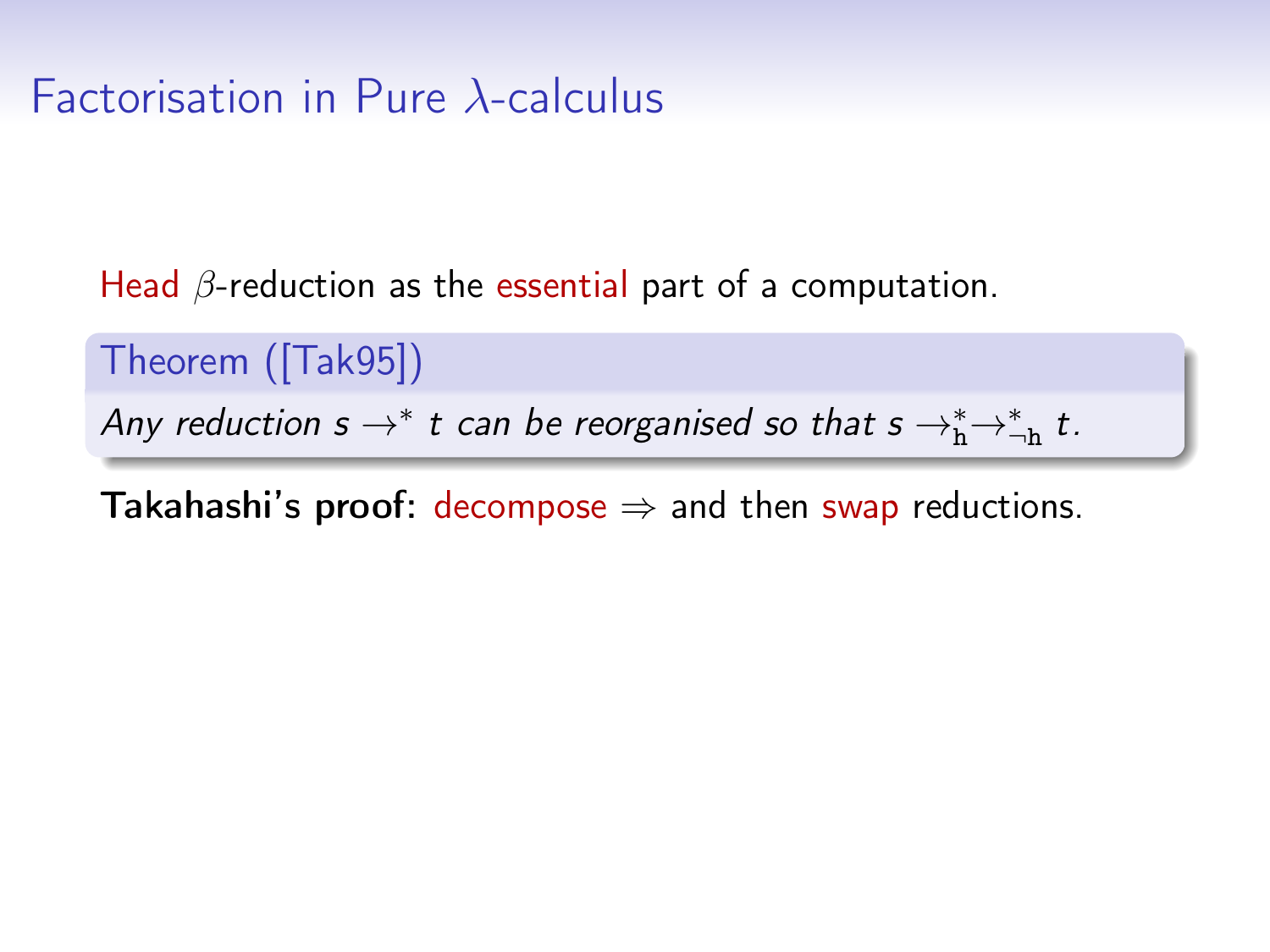### Factorisation in Pure λ-calculus

Head  $\beta$ -reduction as the essential part of a computation.

Theorem ([\[Tak95\]](#page-0-0))

Any reduction  $s \rightarrow^* t$  can be reorganised so that  $s \rightarrow^*_{h} \rightarrow^*_{h} t$ .

**Takahashi's proof:** decompose  $\Rightarrow$  and then swap reductions.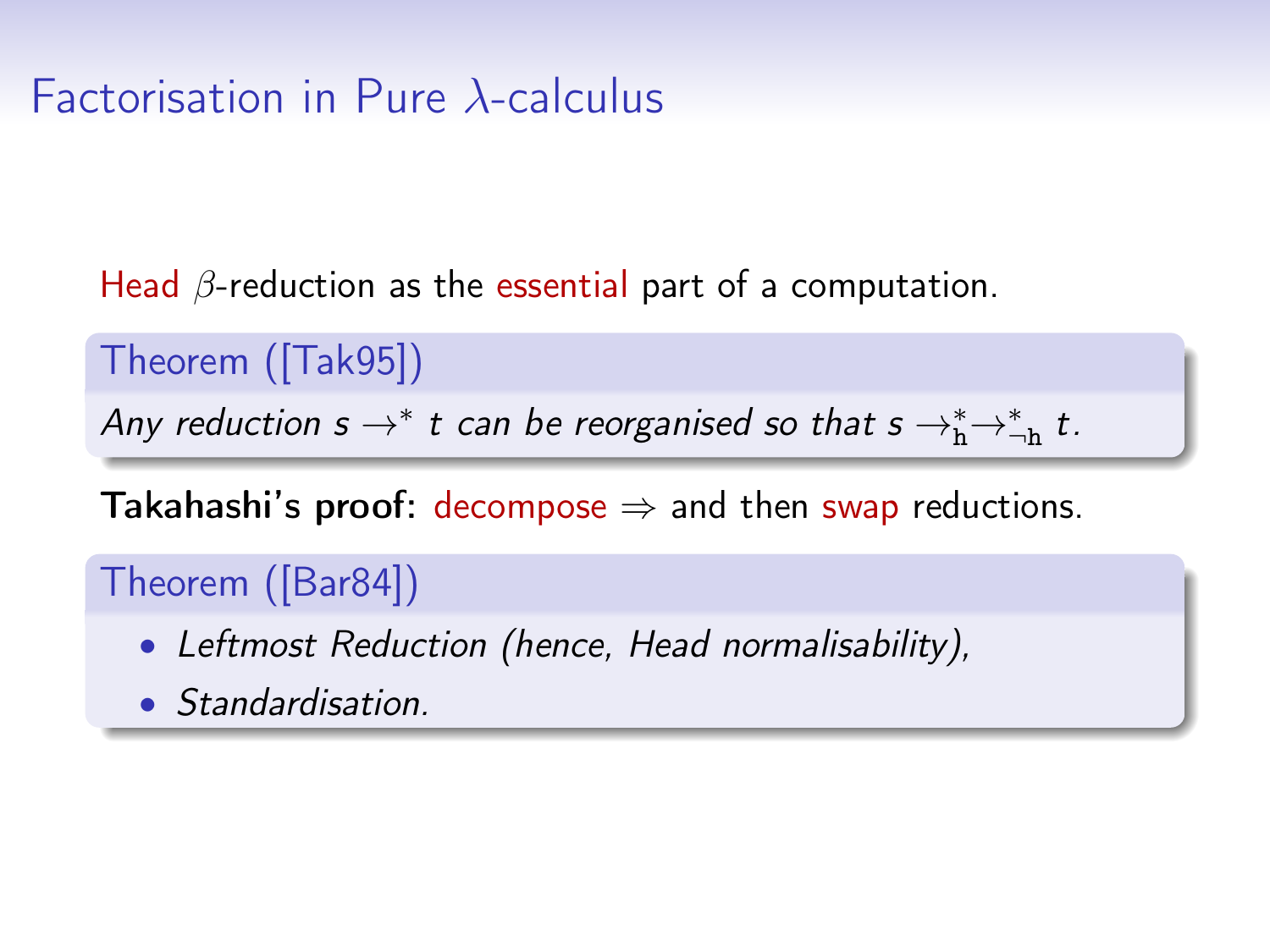## Factorisation in Pure λ-calculus

Head  $\beta$ -reduction as the essential part of a computation.

Theorem ([\[Tak95\]](#page-0-0))

Any reduction  $s \rightarrow^* t$  can be reorganised so that  $s \rightarrow^*_{h} \rightarrow^*_{h} t$ .

**Takahashi's proof:** decompose  $\Rightarrow$  and then swap reductions.

Theorem ([\[Bar84\]](#page-0-0))

- Leftmost Reduction (hence, Head normalisability),
- Standardisation.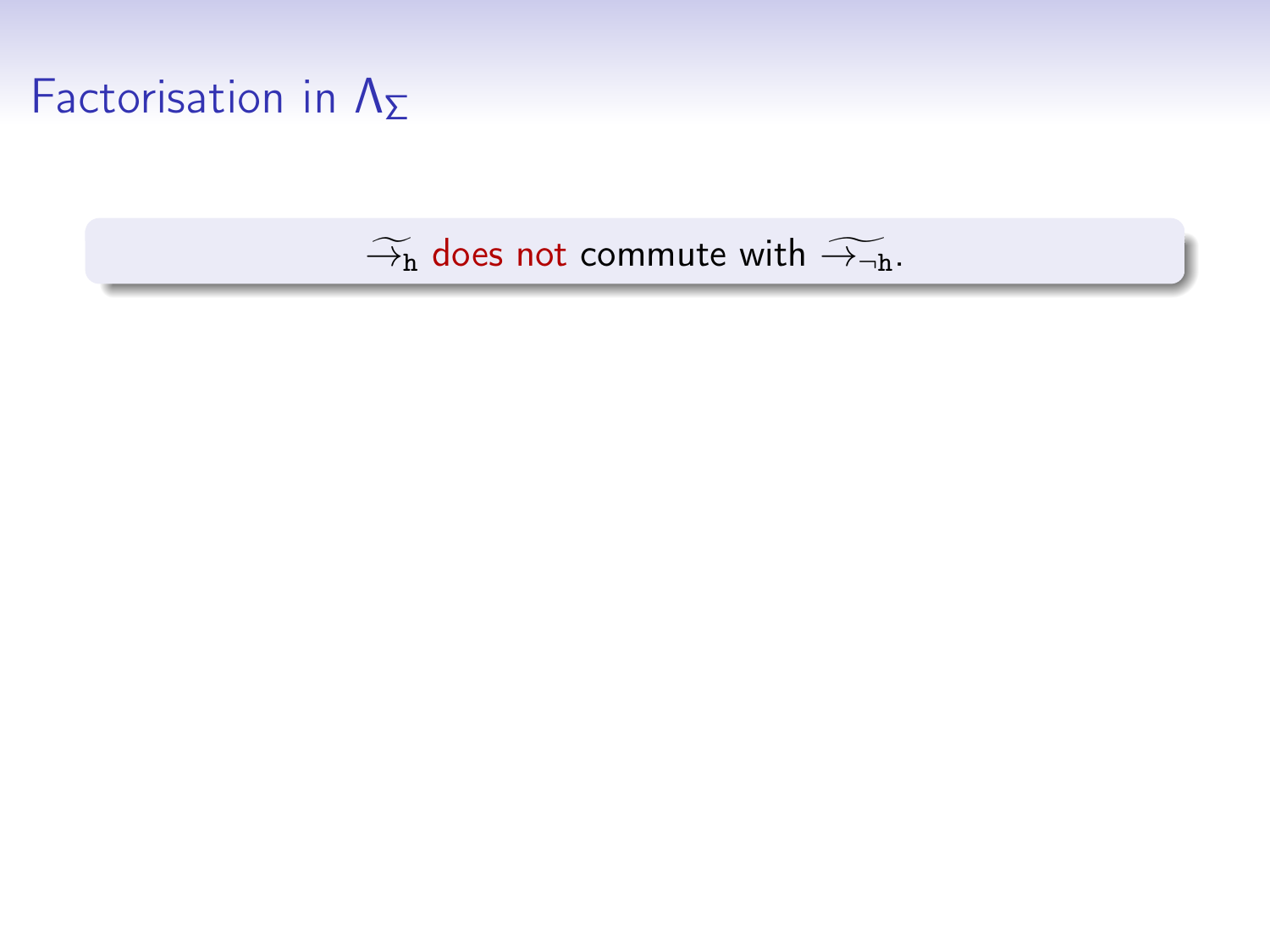## Factorisation in  $\Lambda_{\Sigma}$

#### $\widetilde{\to}_{h}$  does not commute with  $\widetilde{\to}_{\neg h}$ .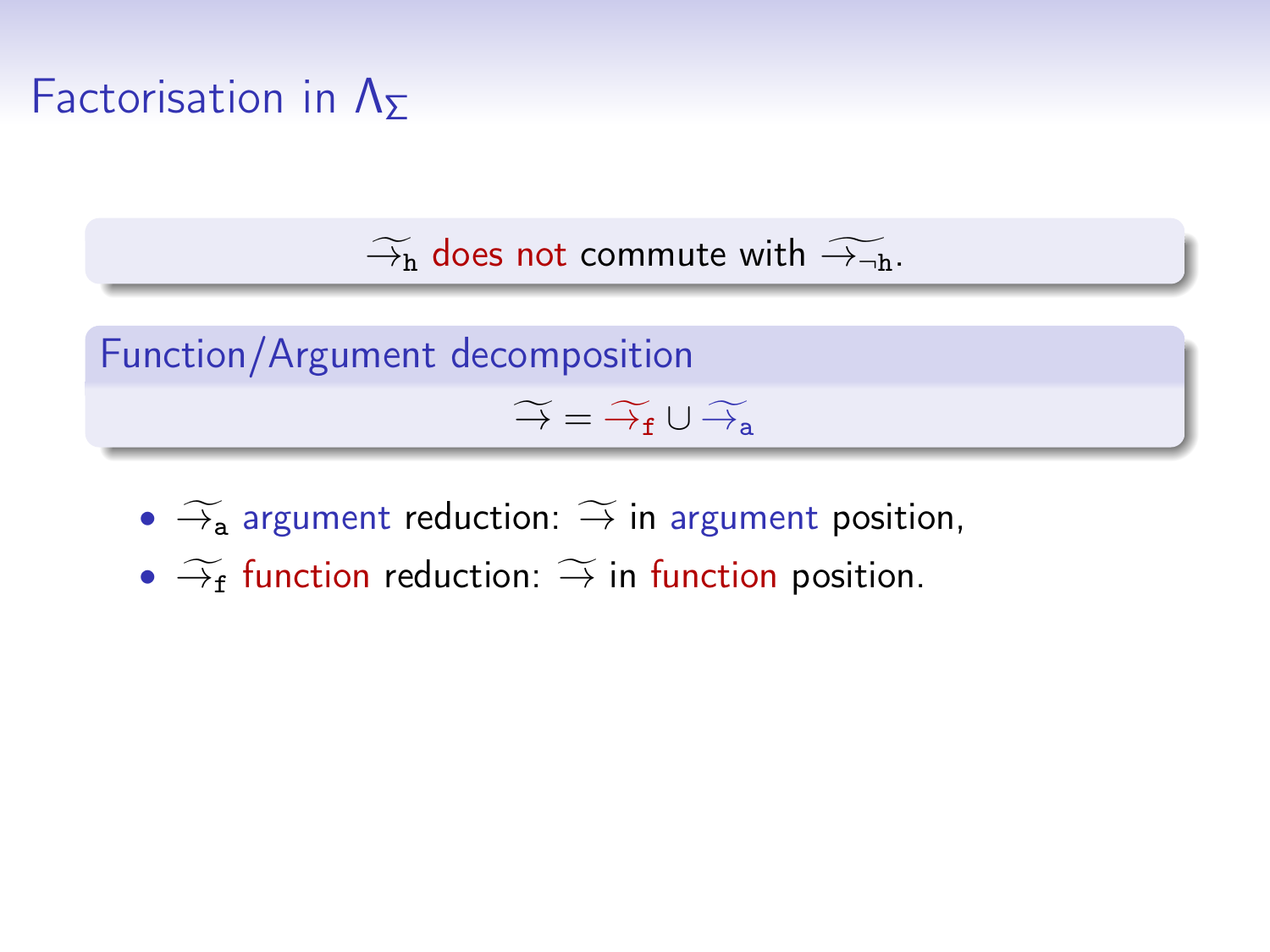## Factorisation in  $\Lambda_{\Sigma}$

 $\widetilde{\rightarrow}_h$  does not commute with  $\widetilde{\rightarrow}_{\neg h}$ .

Function/Argument decomposition  $\widetilde{\rightarrow} = \widetilde{\rightarrow}_{f} \cup \widetilde{\rightarrow}_{a}$ 

- $\widetilde{\rightarrow}$  argument reduction:  $\widetilde{\rightarrow}$  in argument position,
- $\widetilde{\rightarrow}_f$  function reduction:  $\widetilde{\rightarrow}$  in function position.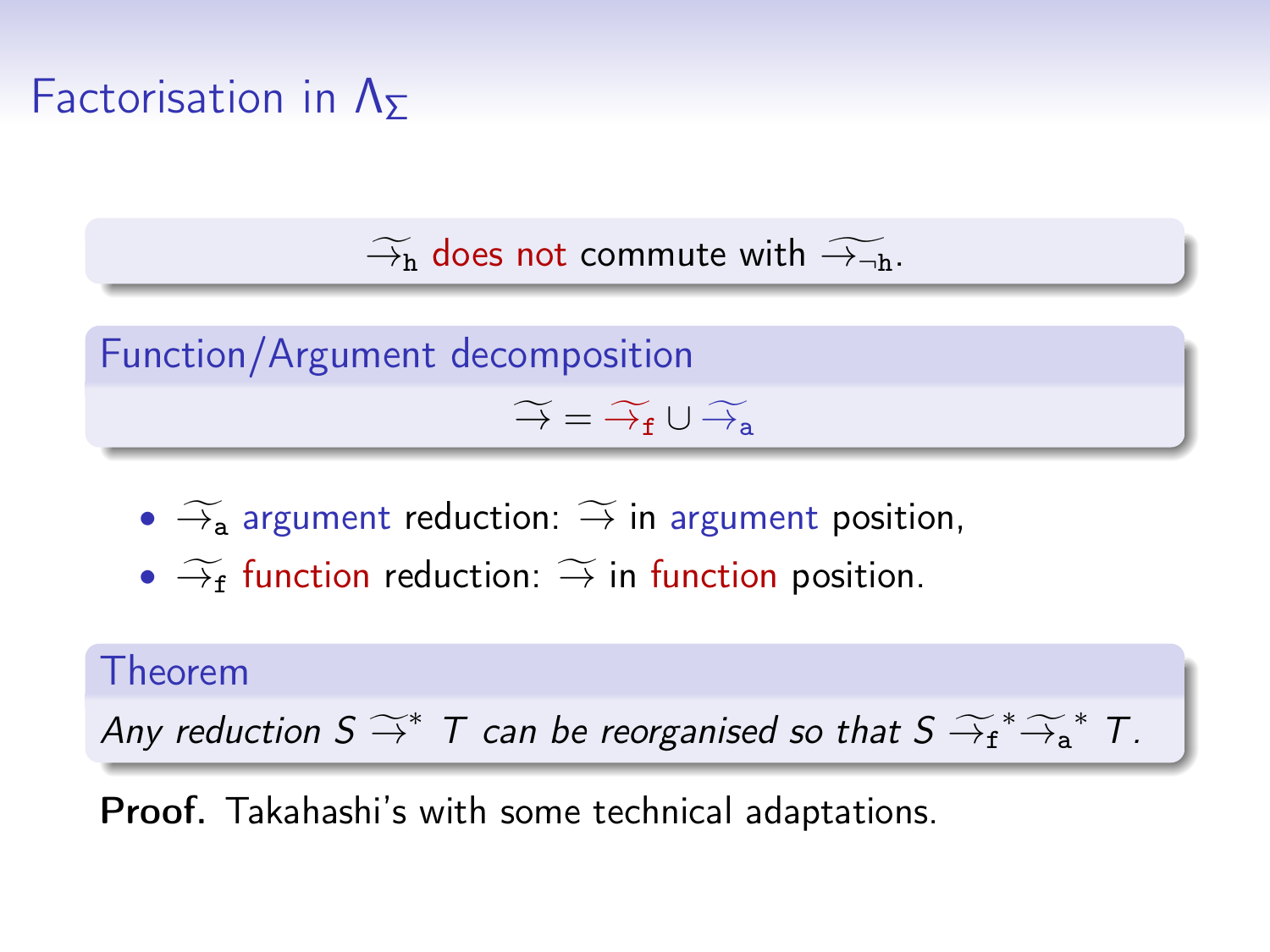## Factorisation in  $\Lambda_{\Sigma}$

 $\widetilde{\rightarrow}_h$  does not commute with  $\widetilde{\rightarrow}_{\neg h}$ .

Function/Argument decomposition  $\widetilde{\rightarrow} = \widetilde{\rightarrow} f \cup \widetilde{\rightarrow} g$ 

- $\widetilde{\rightarrow}$  argument reduction:  $\widetilde{\rightarrow}$  in argument position,
- $\widetilde{\rightarrow}_f$  function reduction:  $\widetilde{\rightarrow}$  in function position.

#### Theorem

Any reduction  $S \stackrel{\sim}{\rightarrow} T$  can be reorganised so that  $S \stackrel{\sim}{\rightarrow} f^* \stackrel{\sim}{\rightarrow} f^* T$ .

Proof. Takahashi's with some technical adaptations.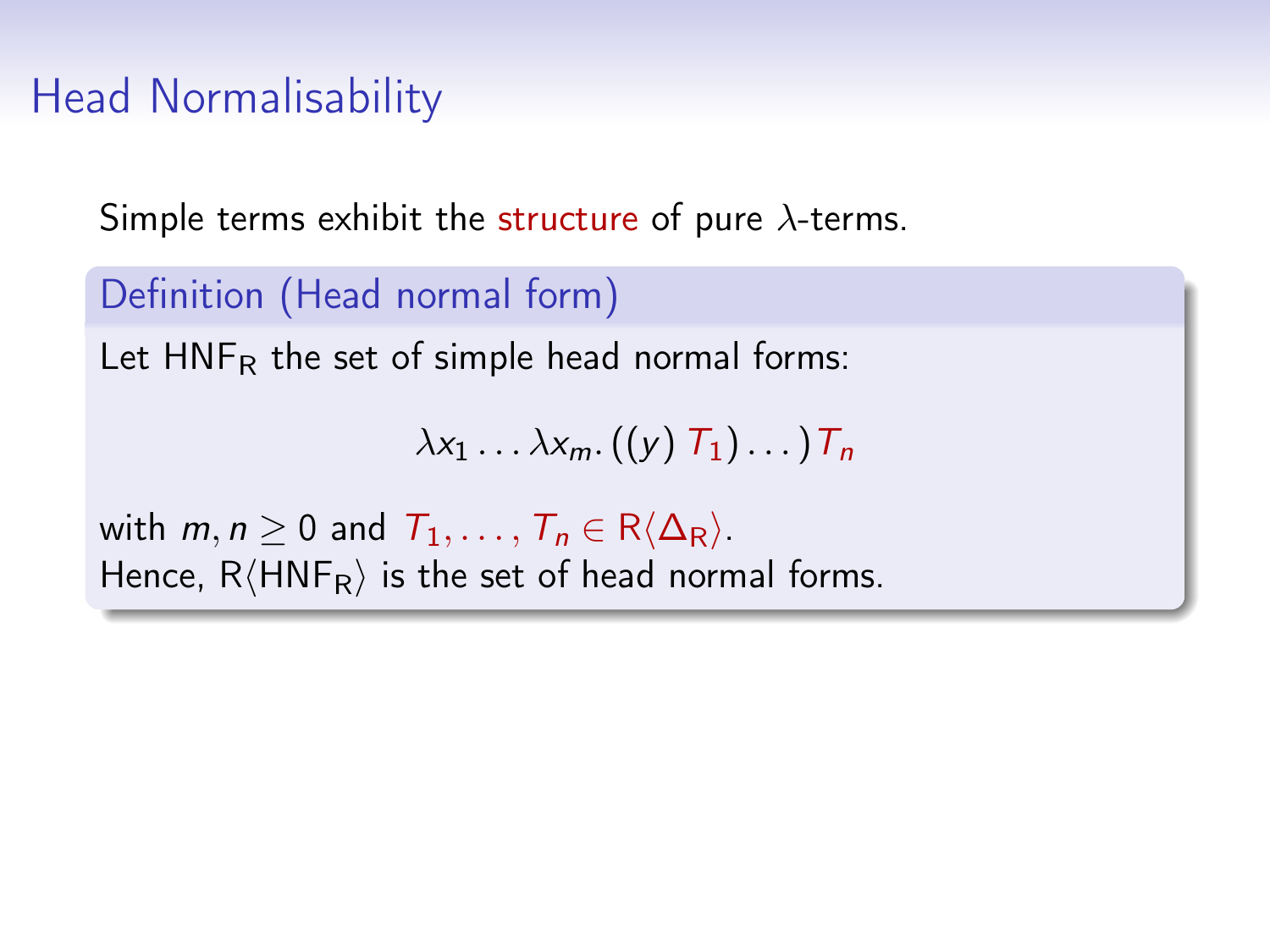## Head Normalisability

Simple terms exhibit the structure of pure  $\lambda$ -terms.

Definition (Head normal form) Let  $HNF_R$  the set of simple head normal forms:  $\lambda x_1 \ldots \lambda x_m$ .  $((y) T_1) \ldots T_n$ with  $m, n \geq 0$  and  $T_1, \ldots, T_n \in R\langle \Delta_R \rangle$ . Hence,  $R\langle HNF_R\rangle$  is the set of head normal forms.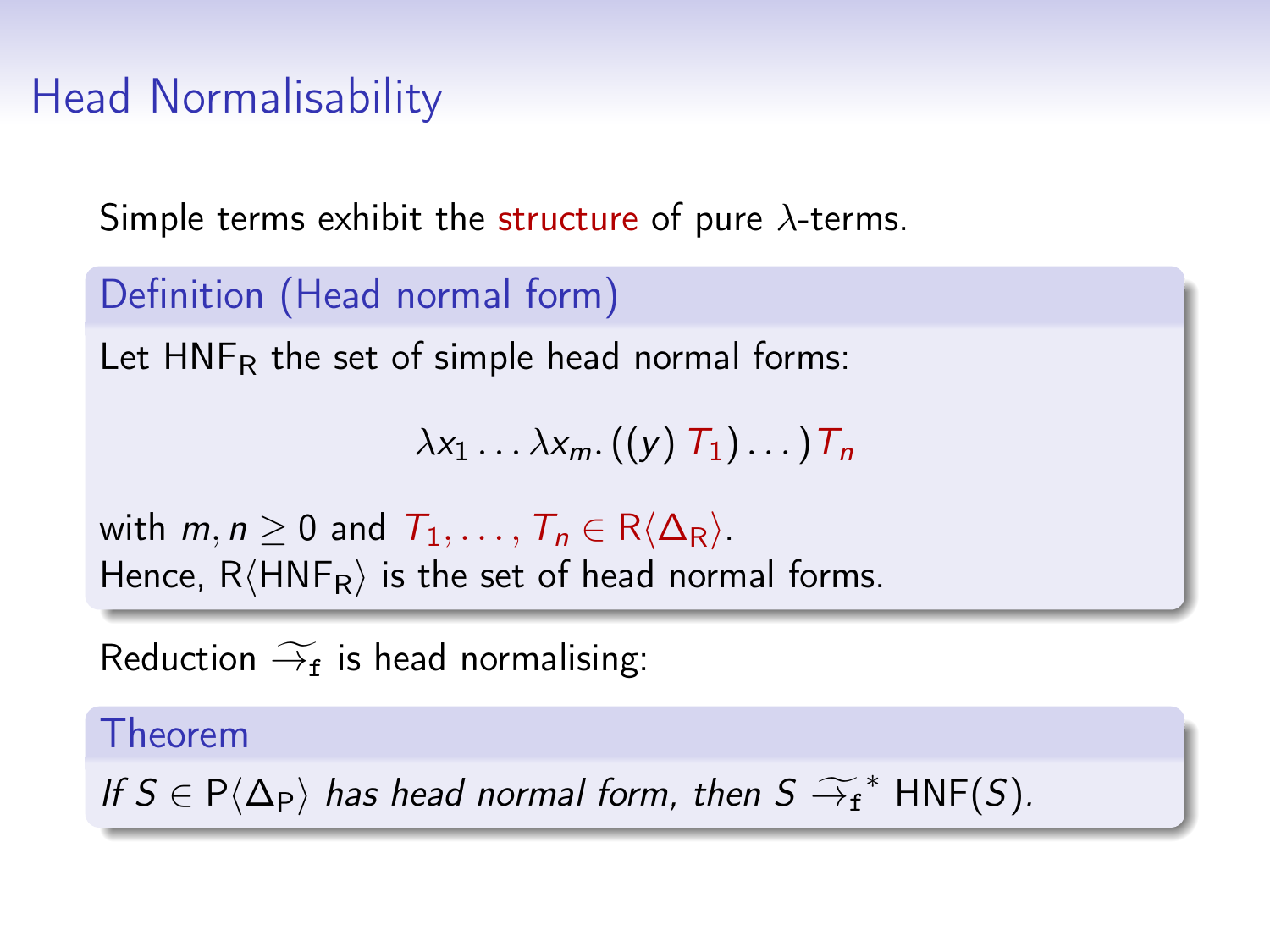## Head Normalisability

Simple terms exhibit the structure of pure  $\lambda$ -terms.

```
Definition (Head normal form)
Let HNF_R the set of simple head normal forms:
                        \lambda x_1 \ldots \lambda x_m. ((y) T_1) \ldots T_nwith m, n \geq 0 and T_1, \ldots, T_n \in R(\Delta_R).
Hence, R\langle HNF_R\rangle is the set of head normal forms.
```
Reduction  $\widetilde{\rightarrow}_{f}$  is head normalising:

#### Theorem

If  $S \in P(\Delta_P)$  has head normal form, then  $S \widetilde{\rightarrow}_f^*$  HNF(S).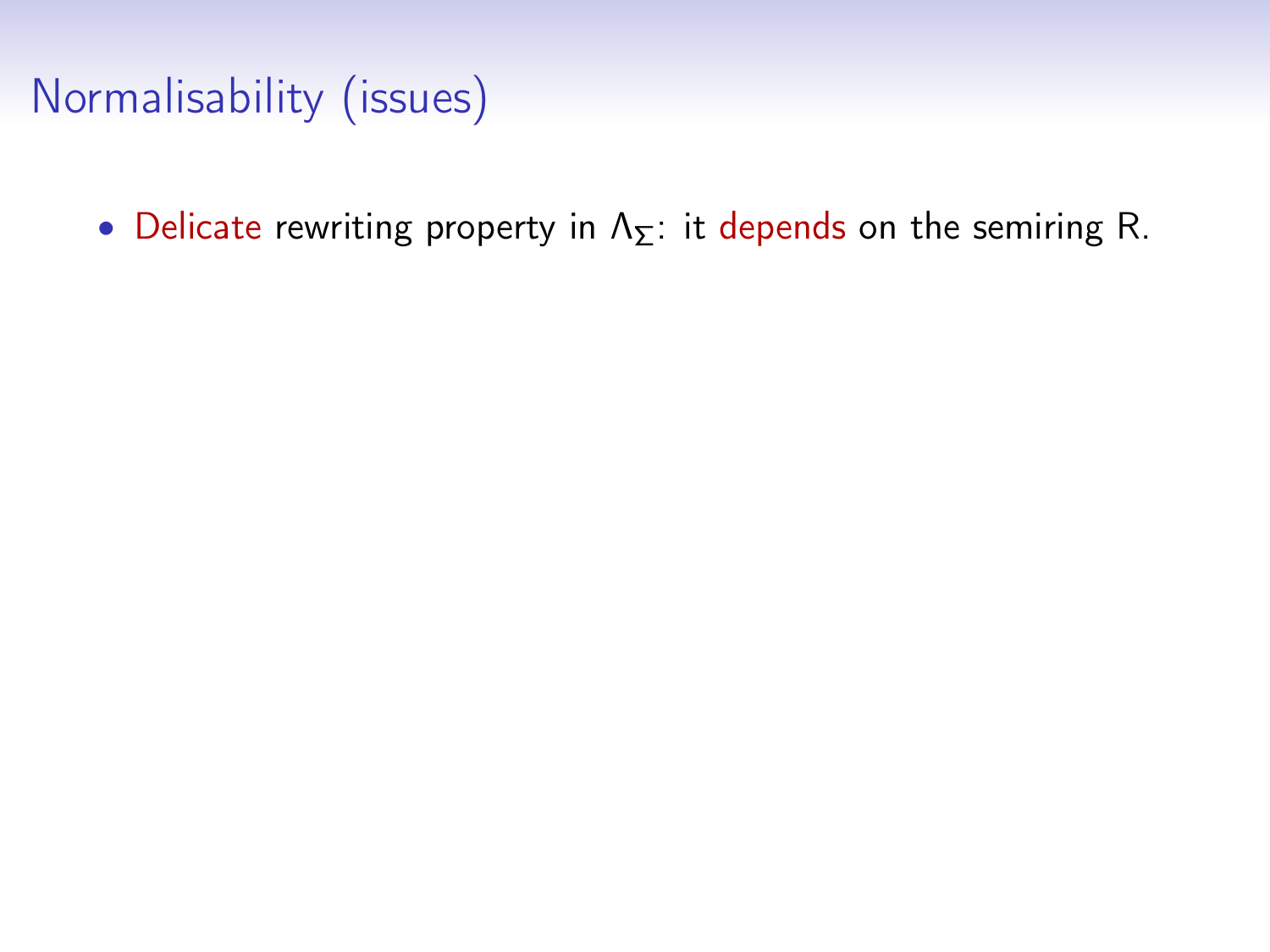# Normalisability (issues)

• Delicate rewriting property in  $\Lambda_{\Sigma}$ : it depends on the semiring R.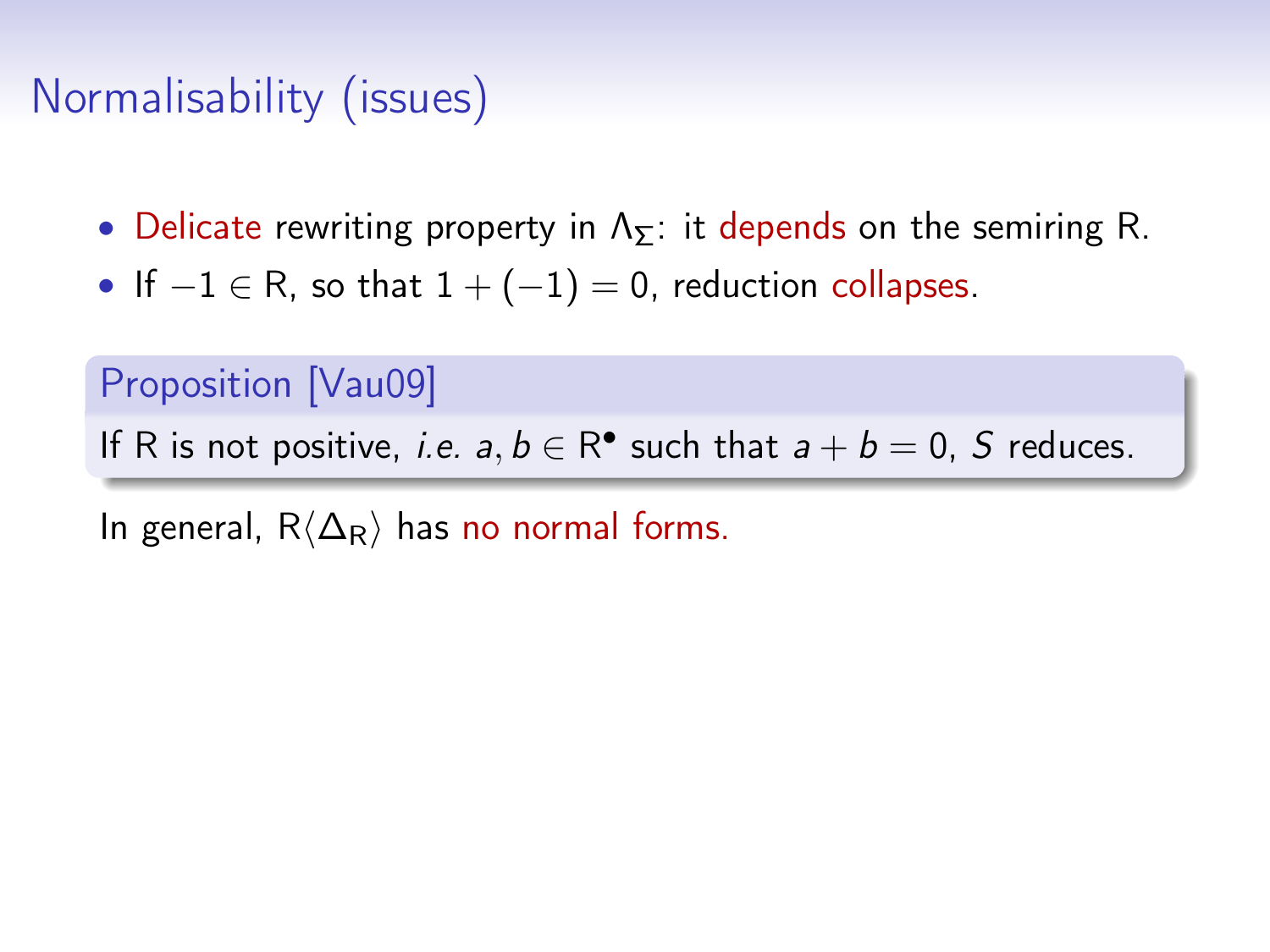# Normalisability (issues)

- Delicate rewriting property in  $\Lambda_{\Sigma}$ : it depends on the semiring R.
- If  $-1 \in R$ , so that  $1 + (-1) = 0$ , reduction collapses.

#### Proposition [\[Vau09\]](#page-0-0)

If R is not positive, *i.e.*  $a, b \in \mathbb{R}^{\bullet}$  such that  $a + b = 0$ , S reduces.

In general,  $R\langle\Delta_R\rangle$  has no normal forms.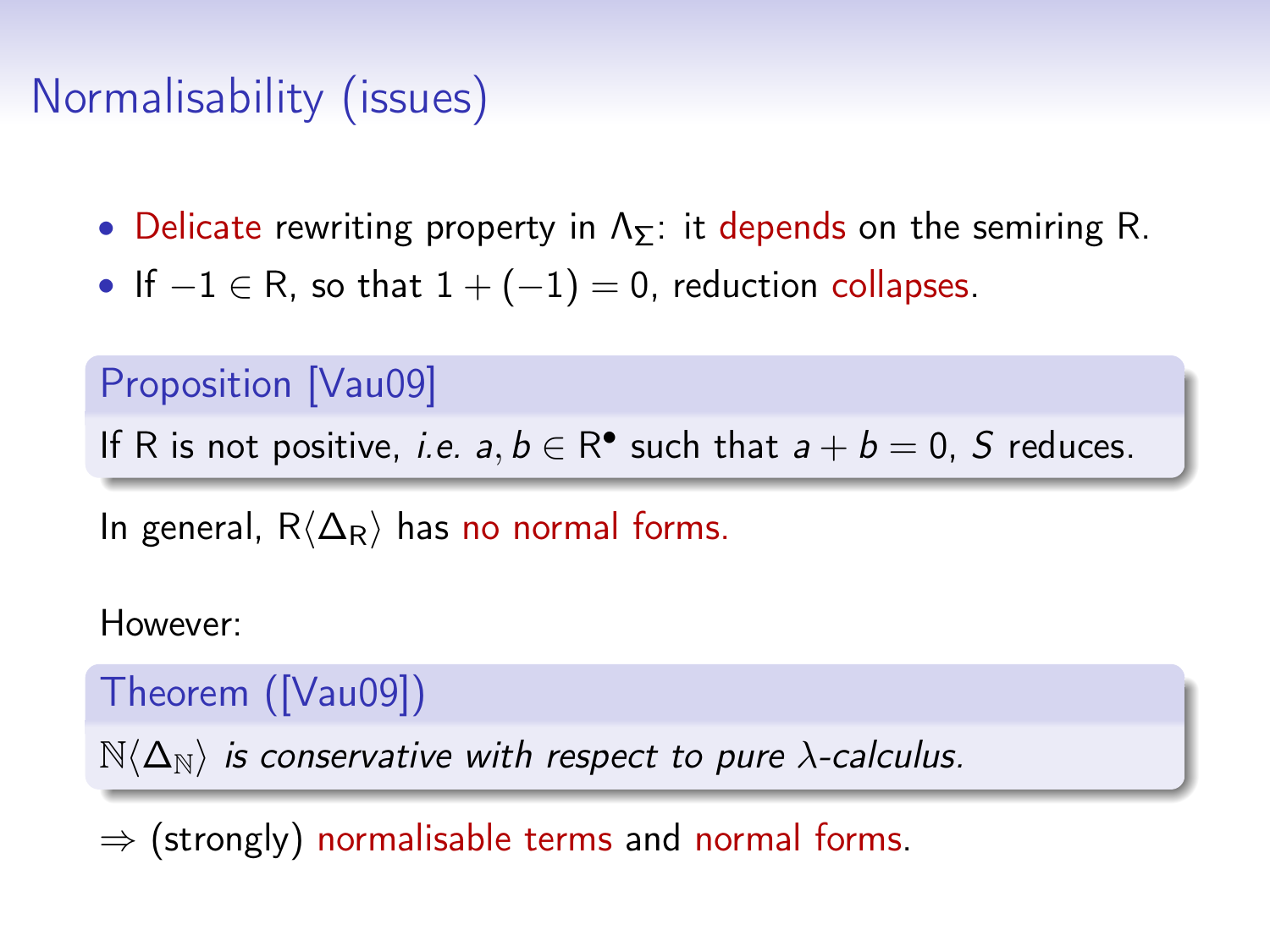# Normalisability (issues)

- Delicate rewriting property in  $\Lambda_{\Sigma}$ : it depends on the semiring R.
- If  $-1 \in R$ , so that  $1 + (-1) = 0$ , reduction collapses.

#### Proposition [\[Vau09\]](#page-0-0)

If R is not positive, *i.e.*  $a, b \in \mathbb{R}^{\bullet}$  such that  $a + b = 0$ , S reduces.

In general,  $R\langle\Delta_R\rangle$  has no normal forms.

However:

Theorem ([\[Vau09\]](#page-0-0))

 $N\langle\Delta_{N}\rangle$  is conservative with respect to pure  $\lambda$ -calculus.

 $\Rightarrow$  (strongly) normalisable terms and normal forms.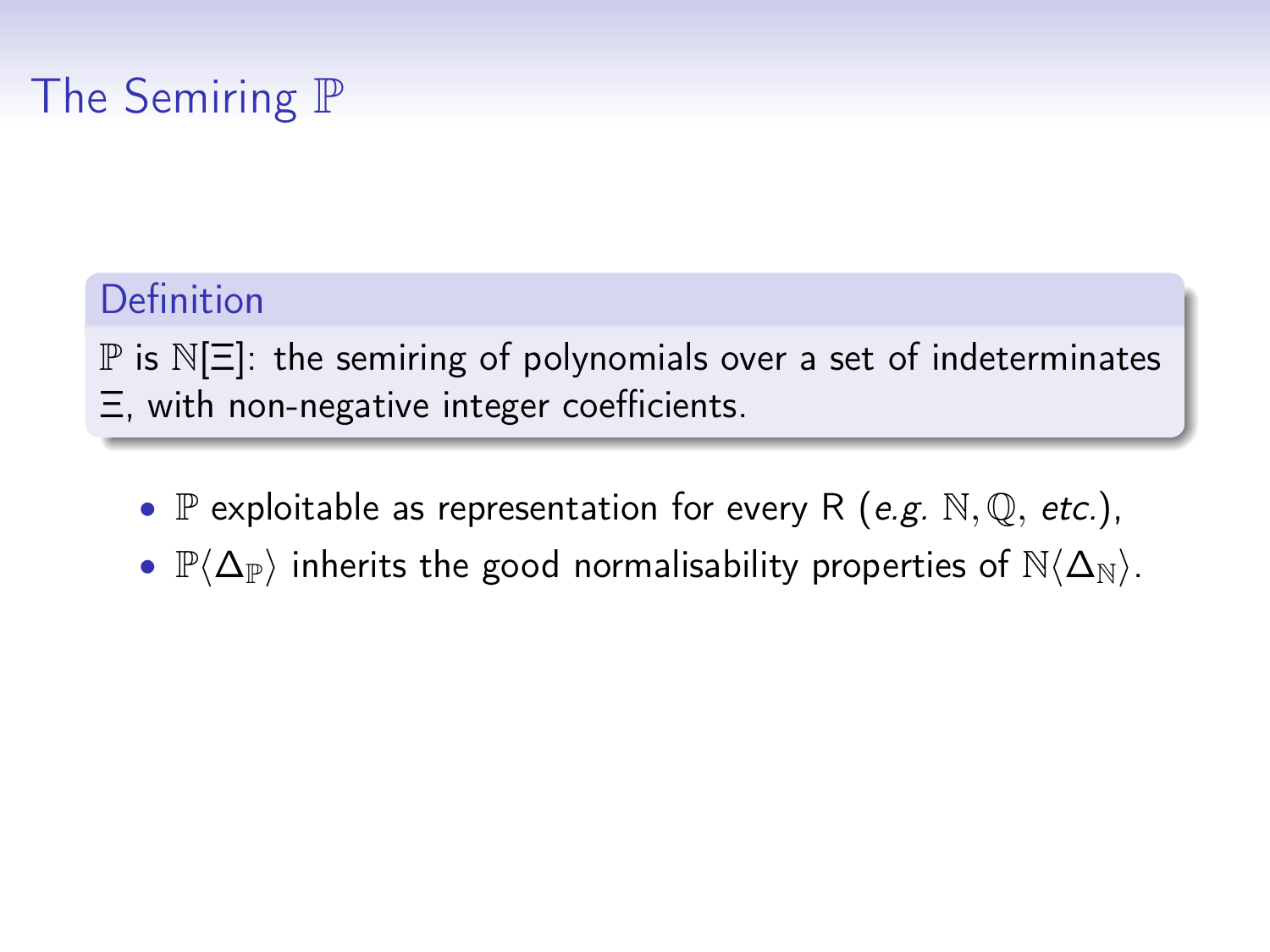# The Semiring P

#### Definition

 $\mathbb P$  is  $\mathbb N[\Xi]$ : the semiring of polynomials over a set of indeterminates Ξ, with non-negative integer coefficients.

- $\mathbb P$  exploitable as representation for every R (e.g.  $\mathbb N$ ,  $\mathbb Q$ , etc.),
- $\mathbb{P}\langle\Delta_{\mathbb{P}}\rangle$  inherits the good normalisability properties of  $\mathbb{N}\langle\Delta_{\mathbb{N}}\rangle$ .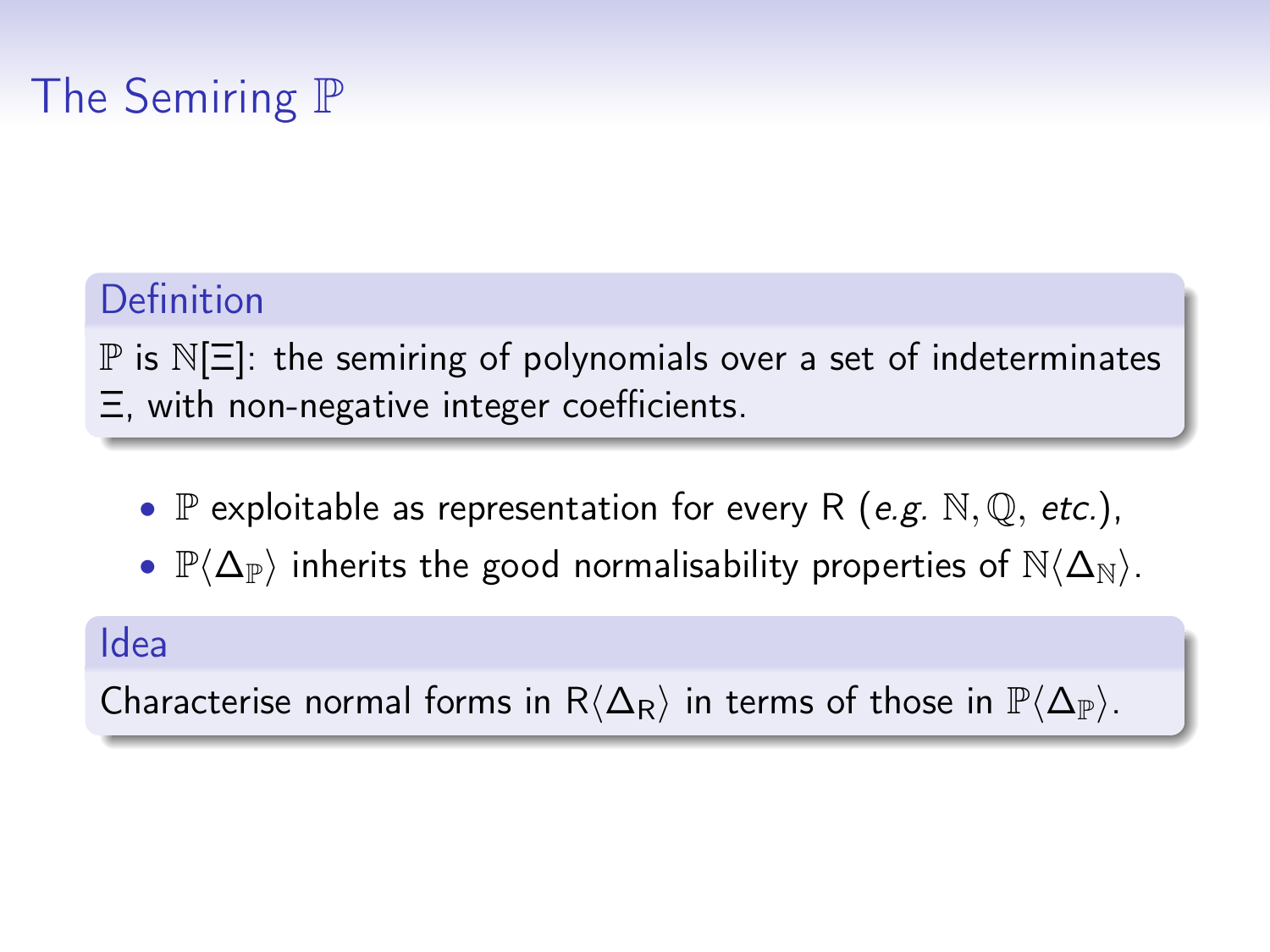# The Semiring P

#### Definition

 $\mathbb P$  is  $\mathbb N[\Xi]$ : the semiring of polynomials over a set of indeterminates Ξ, with non-negative integer coefficients.

- $\mathbb P$  exploitable as representation for every R (e.g.  $\mathbb N, \mathbb Q,$  etc.),
- $\mathbb{P}\langle\Delta_{\mathbb{P}}\rangle$  inherits the good normalisability properties of  $\mathbb{N}\langle\Delta_{\mathbb{N}}\rangle$ .

#### Idea

Characterise normal forms in R $\langle \Delta_R \rangle$  in terms of those in  $\mathbb{P}\langle \Delta_{\mathbb{P}} \rangle$ .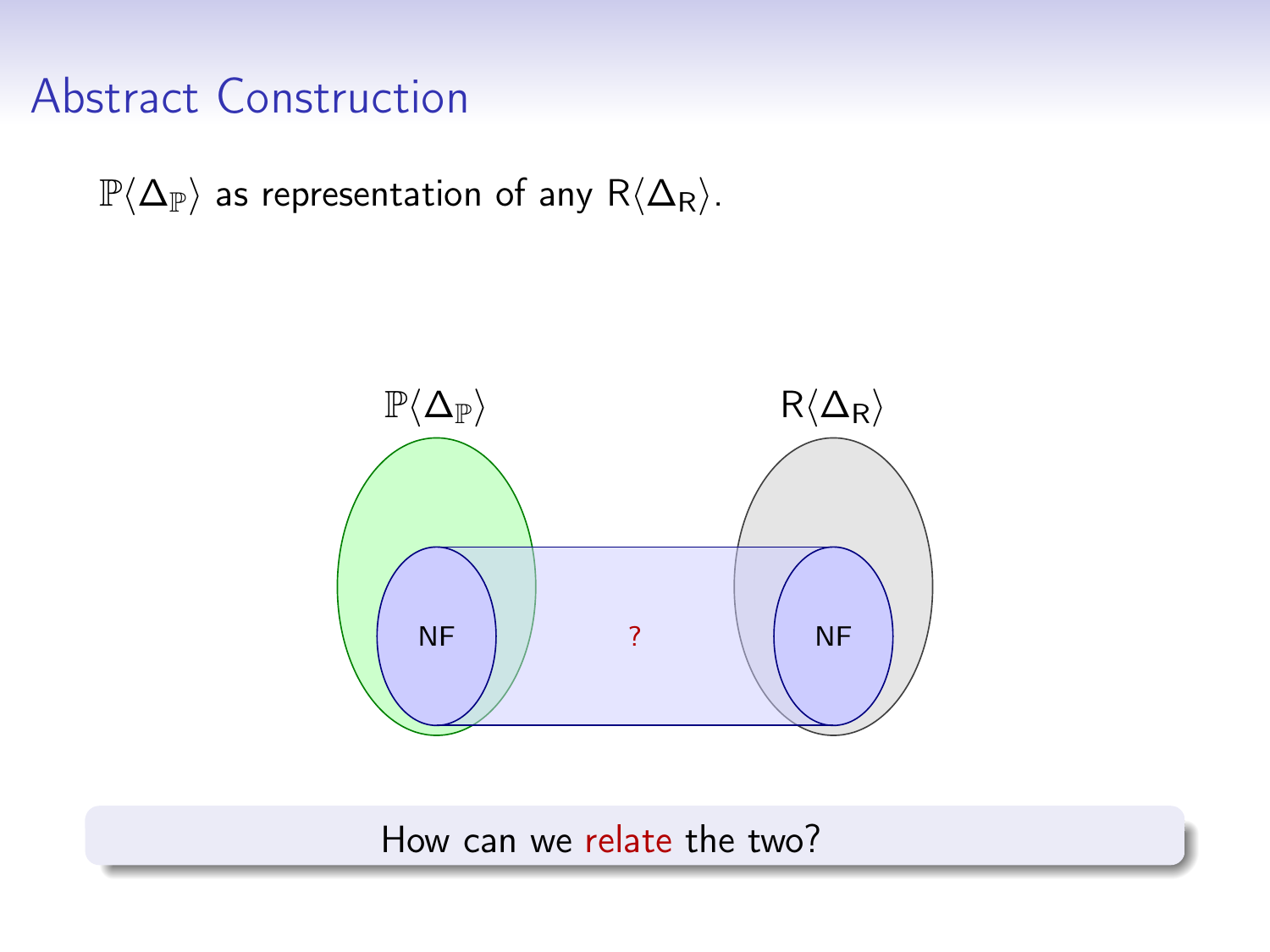$\mathbb{P}\langle\Delta_{\mathbb{P}}\rangle$  as representation of any R $\langle\Delta_{\mathbb{R}}\rangle$ .



How can we relate the two?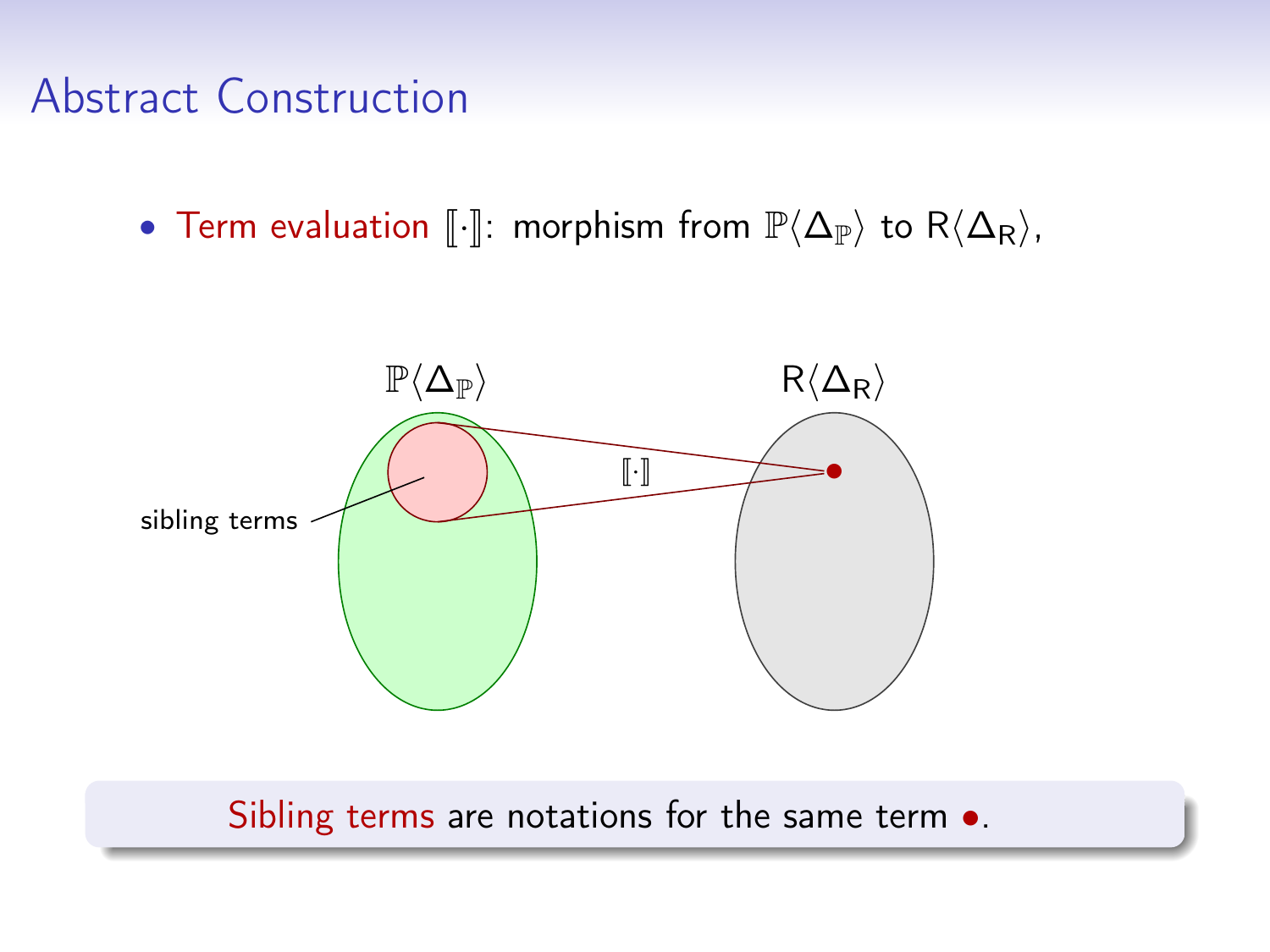• Term evaluation  $\lbrack\!\lbrack\cdot\rbrack\!\rbrack$ : morphism from  $\mathbb{P}\langle\Delta_{\mathbb{P}}\rangle$  to  $R\langle\Delta_{\mathsf{R}}\rangle$ ,



Sibling terms are notations for the same term  $\bullet$ .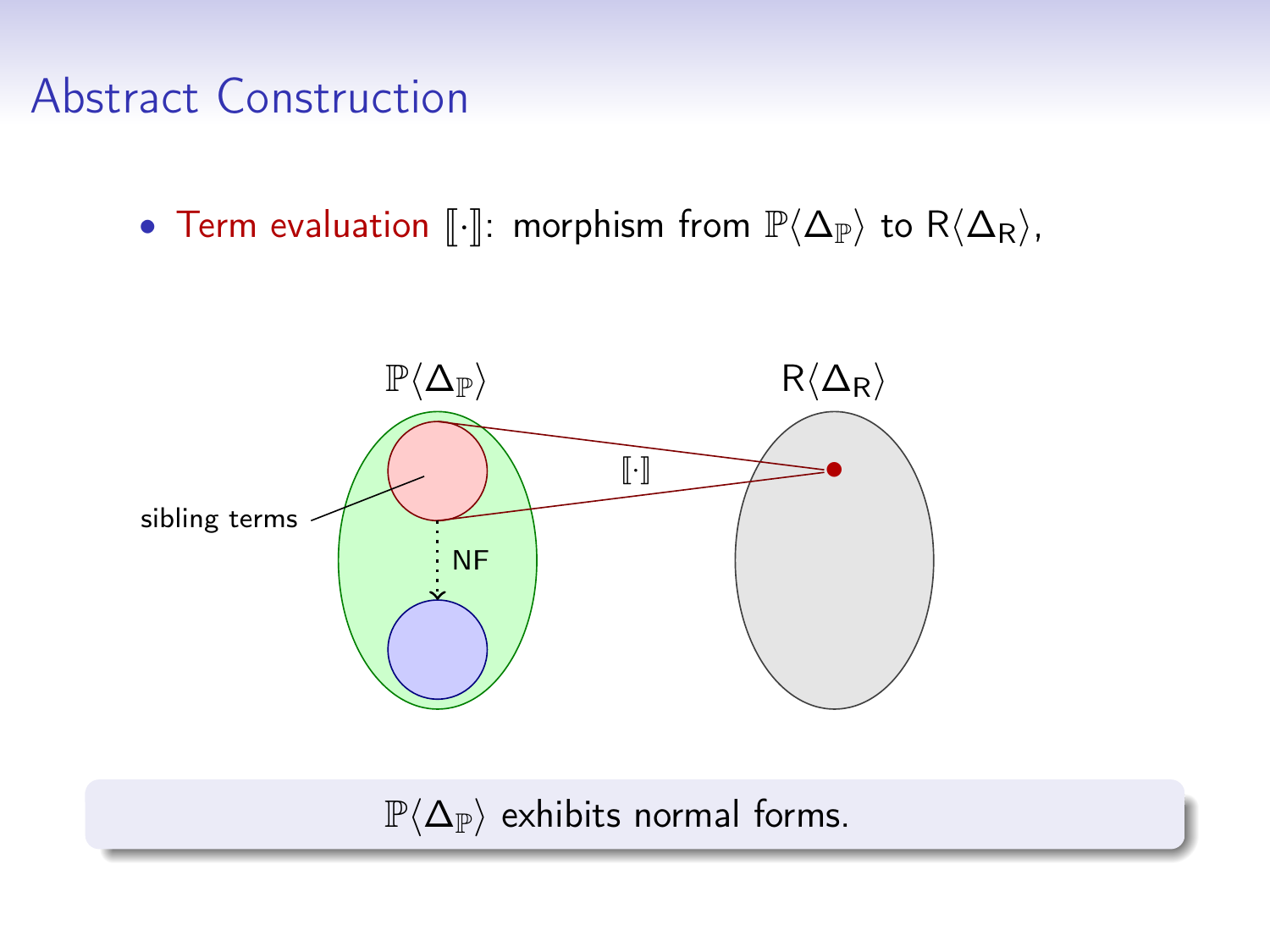• Term evaluation  $\lbrack\!\lbrack\cdot\rbrack\!\rbrack$ : morphism from  $\mathbb{P}\langle\Delta_{\mathbb{P}}\rangle$  to  $R\langle\Delta_{\mathsf{R}}\rangle$ ,



 $\mathbb{P}\langle \Delta_{\mathbb{P}}\rangle$  exhibits normal forms.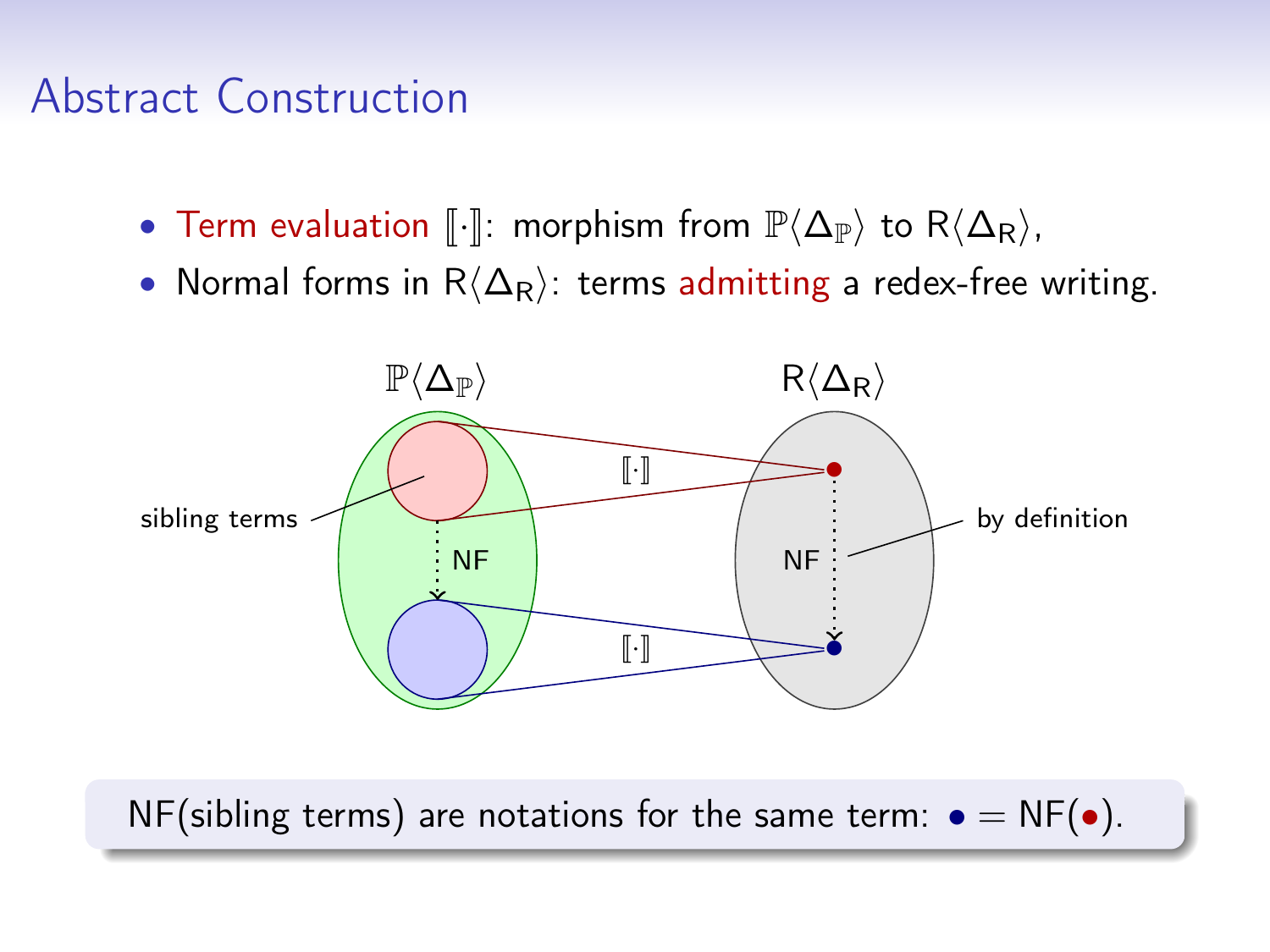- Term evaluation  $\llbracket \cdot \rrbracket$ : morphism from  $\mathbb{P}\langle \Delta_{\mathbb{P}}\rangle$  to  $R\langle \Delta_{\mathsf{R}}\rangle$ ,
- Normal forms in  $R\langle\Delta_R\rangle$ : terms admitting a redex-free writing.



NF(sibling terms) are notations for the same term:  $\bullet = NF(\bullet)$ .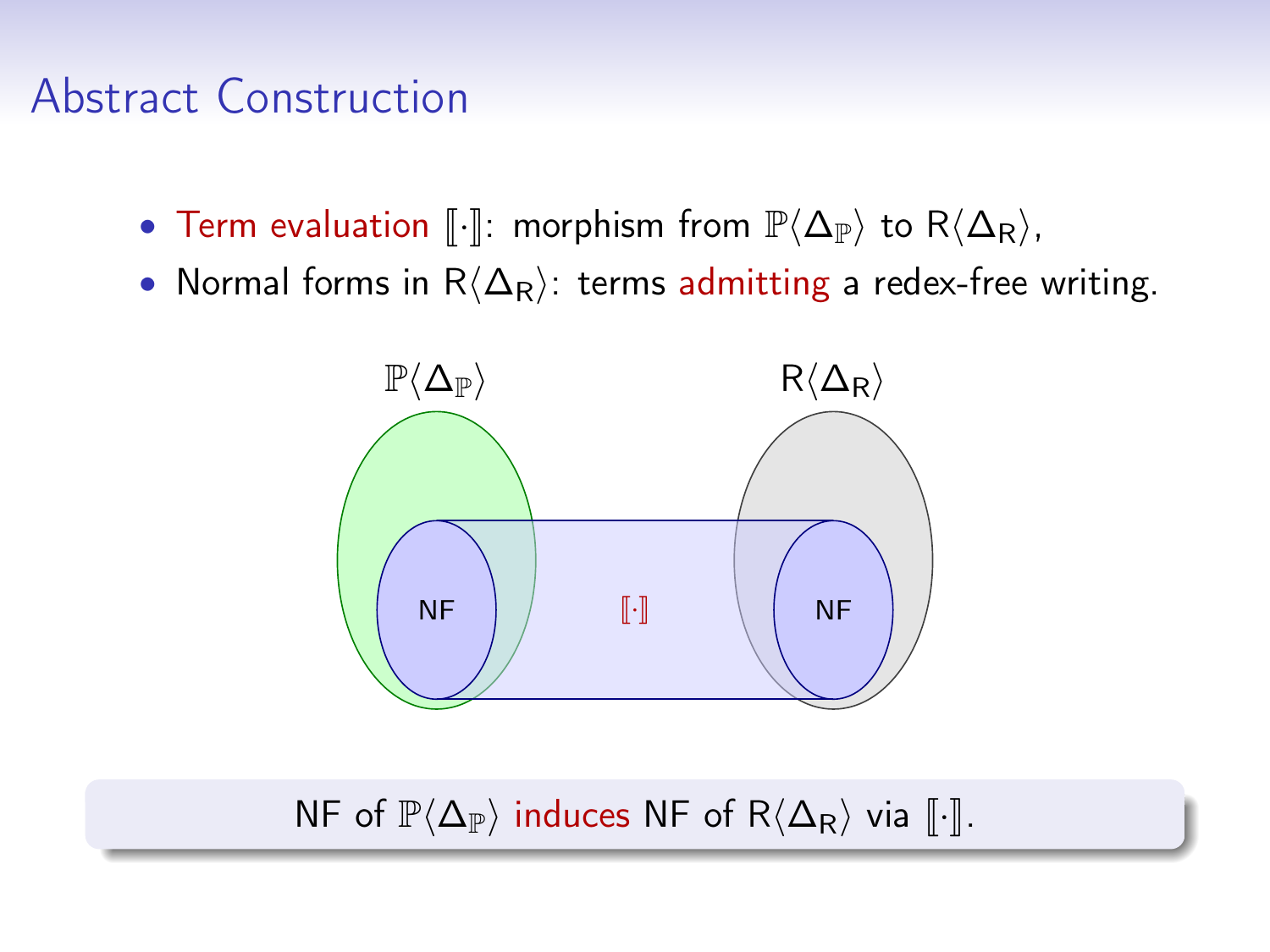#### Abstract Construction

- Term evaluation  $\llbracket \cdot \rrbracket$ : morphism from  $\mathbb{P}\langle \Delta_{\mathbb{P}}\rangle$  to  $R\langle \Delta_{\mathsf{R}}\rangle$ ,
- Normal forms in  $R\langle\Delta_{\sf R}\rangle$ : terms admitting a redex-free writing.



NF of  $\mathbb{P}\langle \Delta_{\mathbb{P}}\rangle$  induces NF of  $R\langle \Delta_{\mathbb{R}}\rangle$  via  $\lceil \cdot \rceil$ .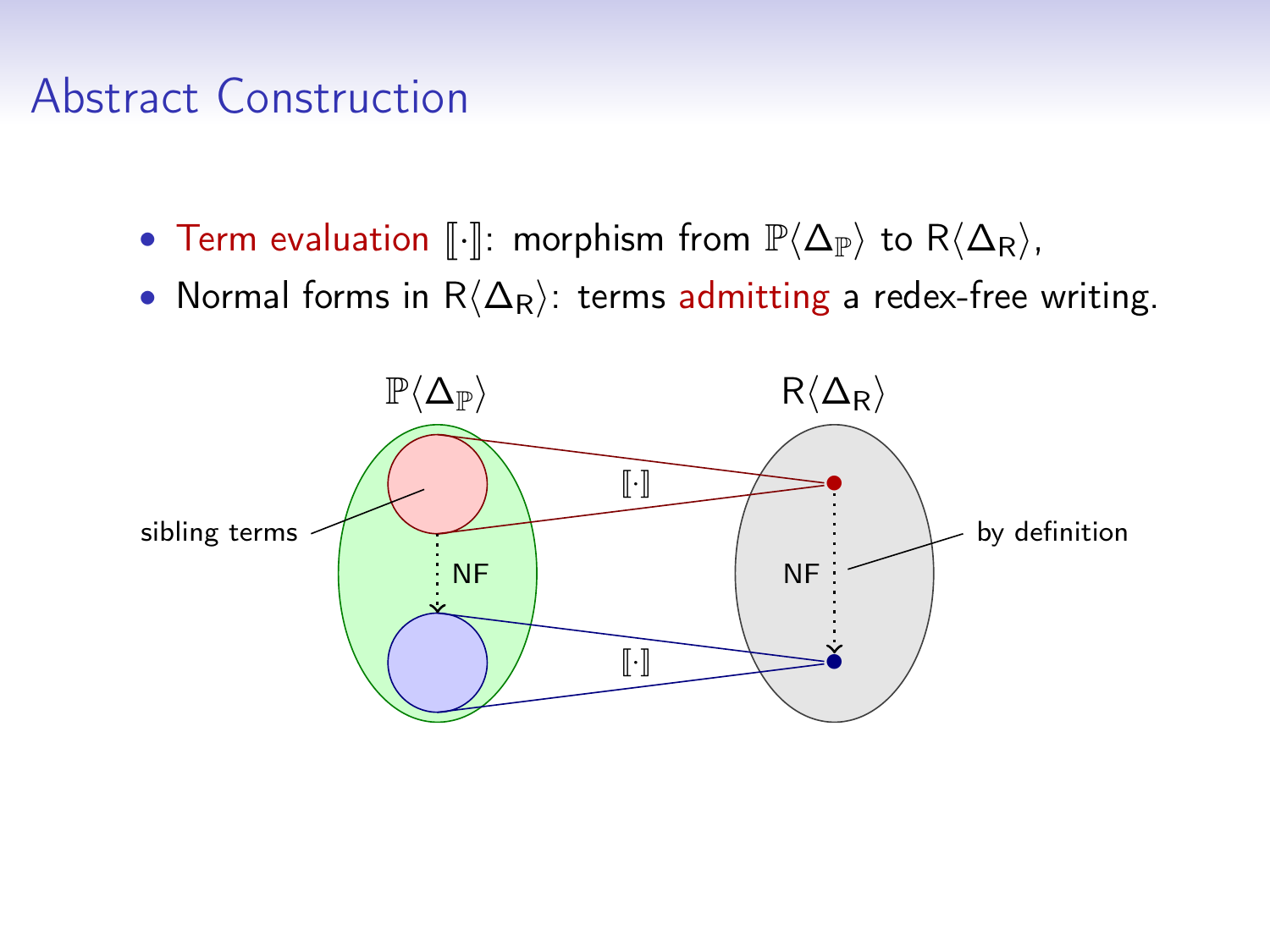#### Abstract Construction

- Term evaluation  $\llbracket \cdot \rrbracket$ : morphism from  $\mathbb{P}\langle \Delta_{\mathbb{P}}\rangle$  to  $R\langle \Delta_{\mathsf{R}}\rangle$ ,
- Normal forms in  $R\langle\Delta_{\sf R}\rangle$ : terms admitting a redex-free writing.

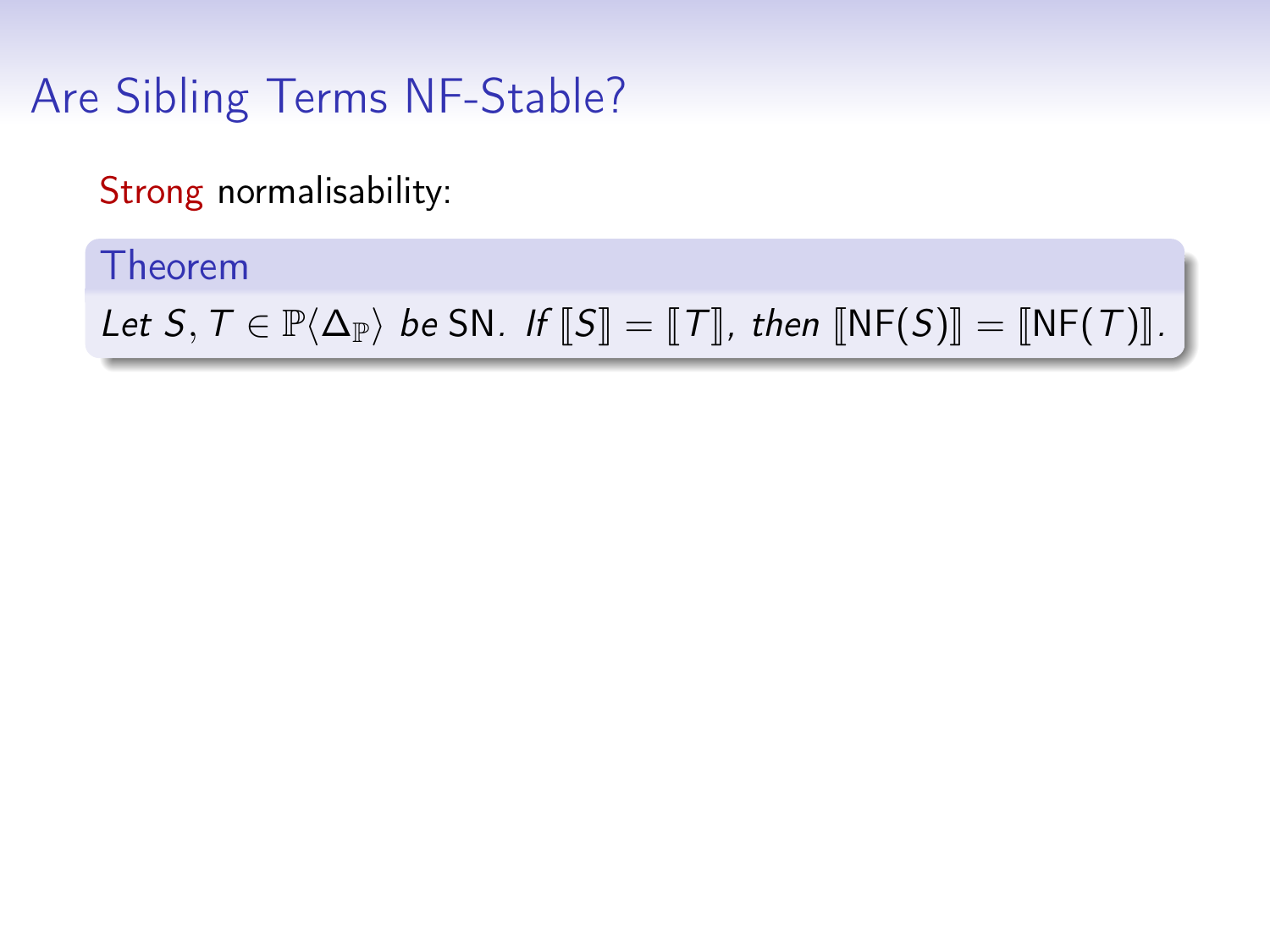Strong normalisability:

Theorem

Let  $S, T \in \mathbb{P}\langle \Delta_{\mathbb{P}} \rangle$  be SN. If  $\llbracket S \rrbracket = \llbracket T \rrbracket$ , then  $\llbracket \text{NF}(S) \rrbracket = \llbracket \text{NF}(T) \rrbracket$ .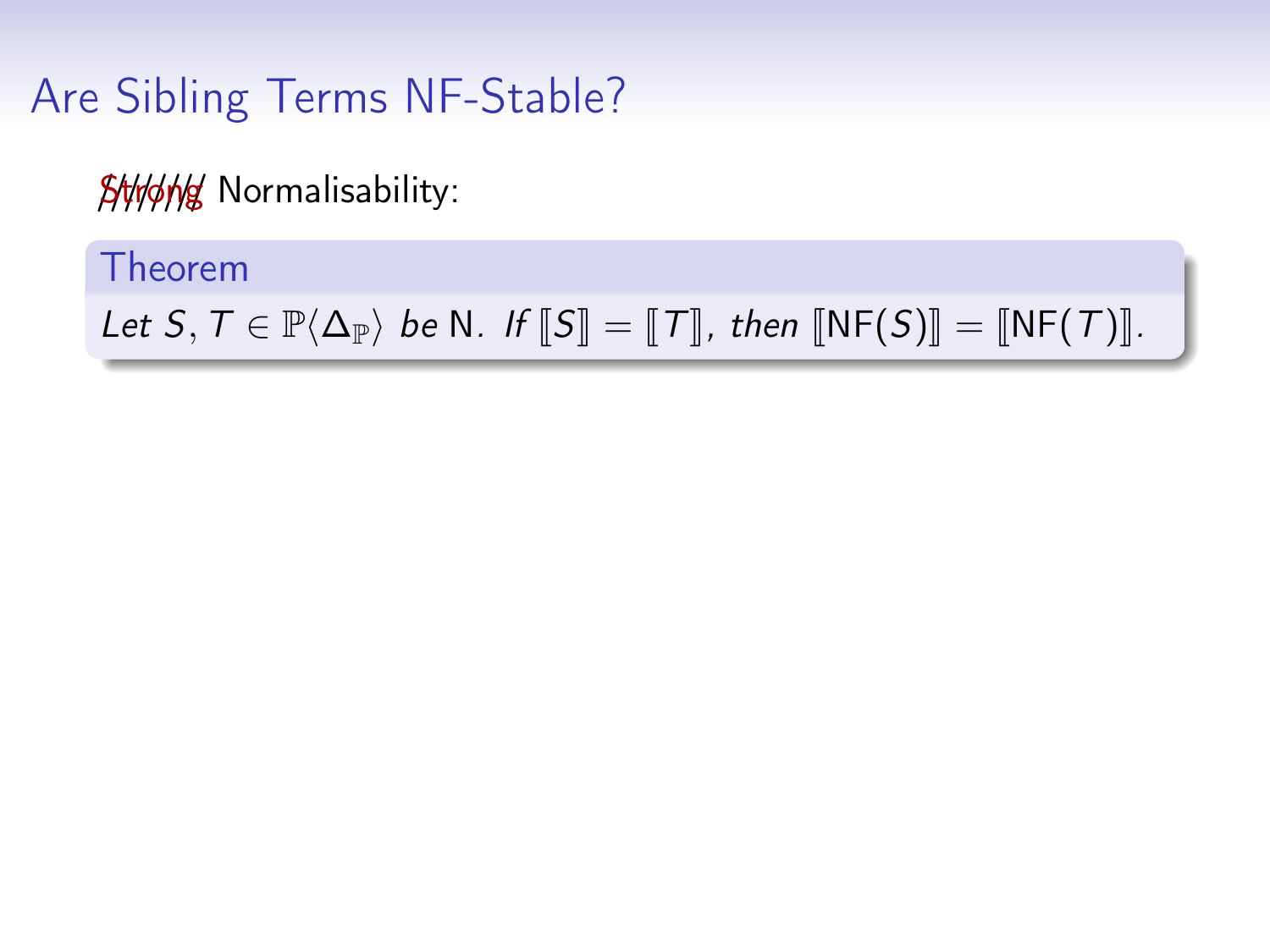**SHI/J/M/ Normalisability:** 

Theorem

Let  $S, T \in \mathbb{P}\langle \Delta_{\mathbb{P}} \rangle$  be N. If  $\llbracket S \rrbracket = \llbracket T \rrbracket$ , then  $\llbracket \text{NF}(S) \rrbracket = \llbracket \text{NF}(T) \rrbracket$ .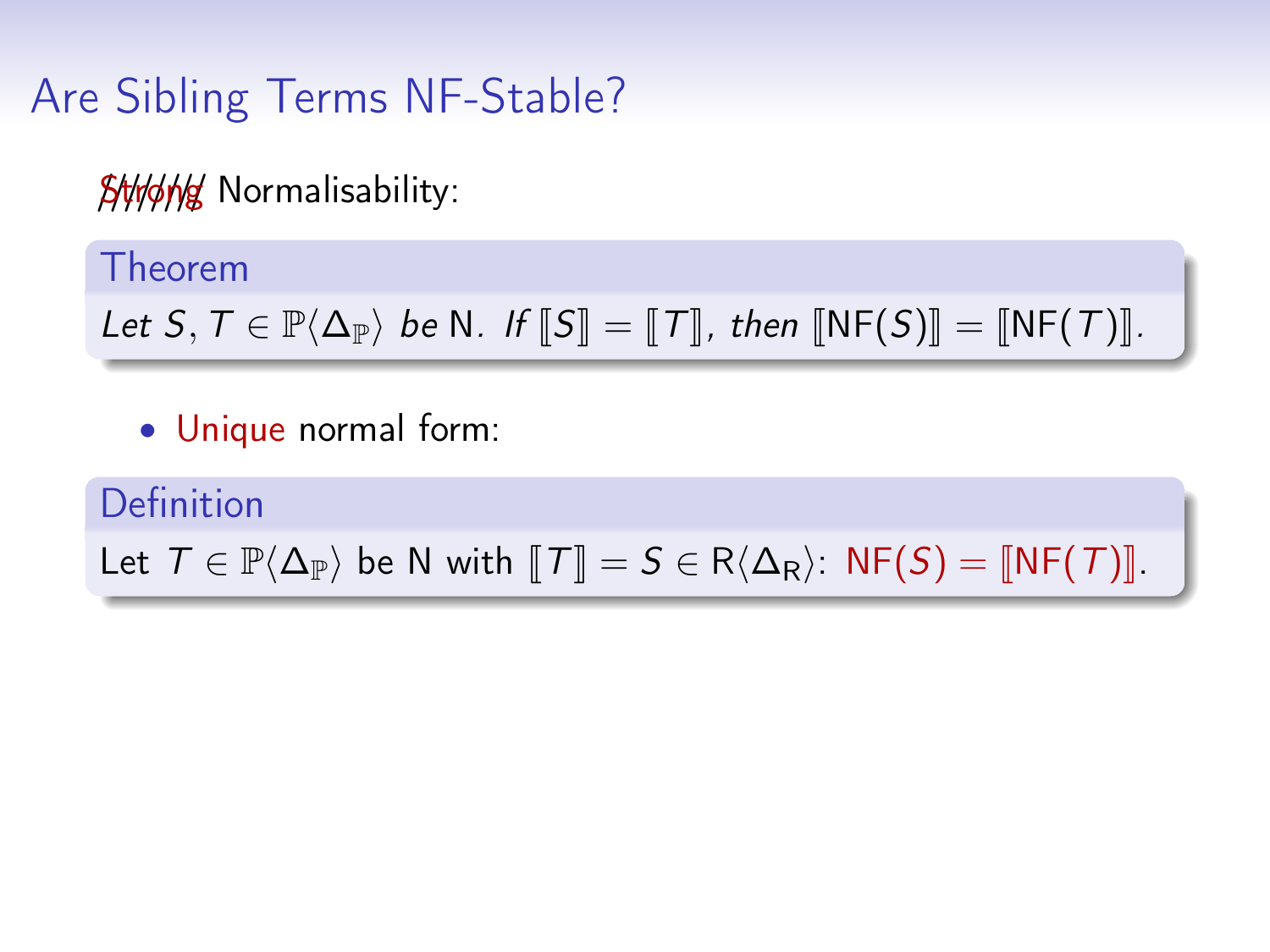**SHI/J/M/ Normalisability:** 

Theorem

Let  $S, T \in \mathbb{P}\langle \Delta_{\mathbb{P}} \rangle$  be N. If  $\llbracket S \rrbracket = \llbracket T \rrbracket$ , then  $\llbracket \text{NF}(S) \rrbracket = \llbracket \text{NF}(T) \rrbracket$ .

• Unique normal form:

Definition Let  $T \in \mathbb{P}\langle \Delta_{\mathbb{P}}\rangle$  be N with  $T\mathbb{I} = S \in R\langle \Delta_{\mathsf{R}}\rangle$ : NF(S) =  $\mathbb{I}\mathsf{NF}(T)\mathbb{I}$ .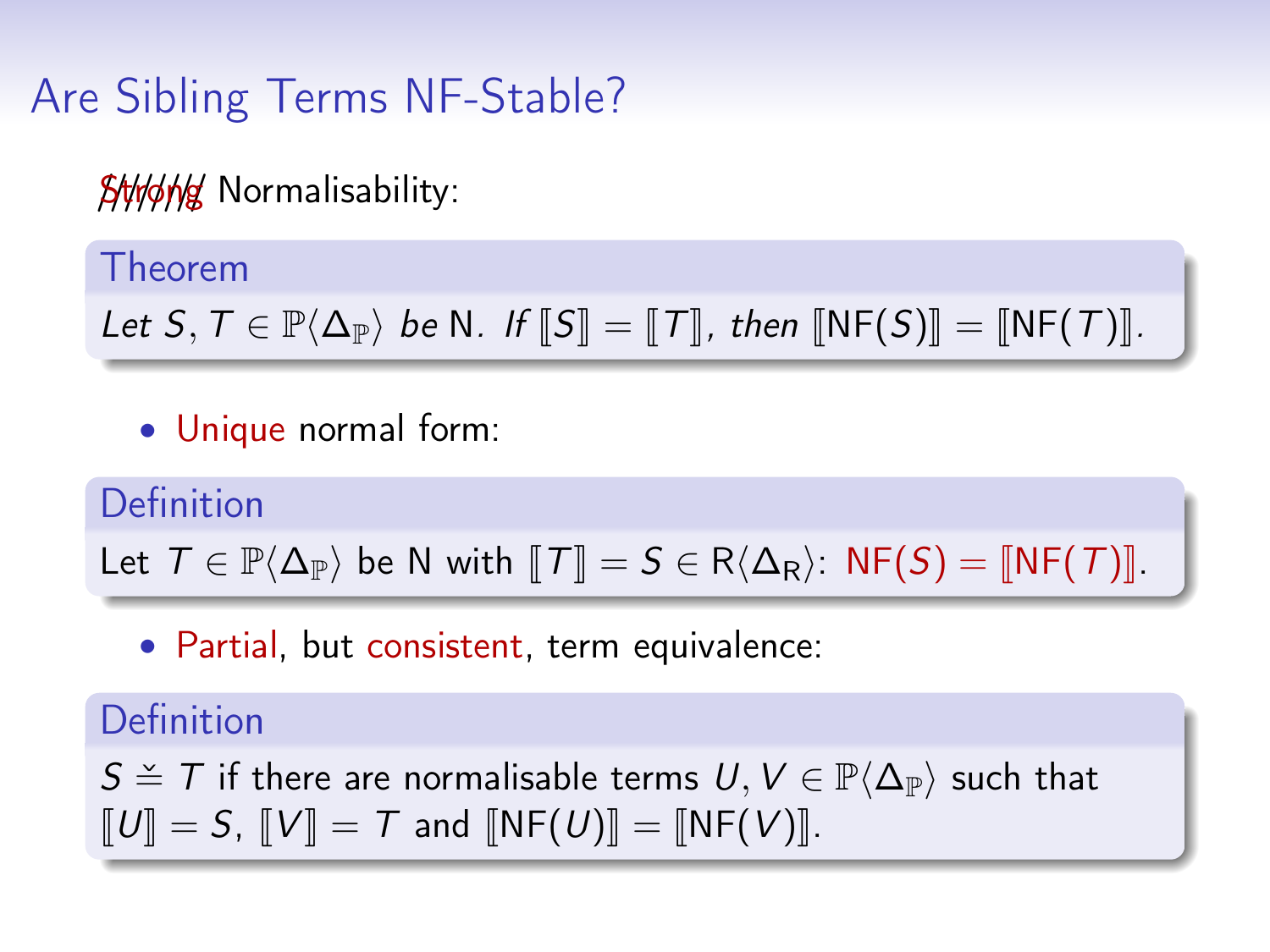**SHHAK Normalisability:** 

Theorem

Let  $S, T \in \mathbb{P}\langle \Delta_{\mathbb{P}} \rangle$  be N. If  $\llbracket S \rrbracket = \llbracket T \rrbracket$ , then  $\llbracket \text{NF}(S) \rrbracket = \llbracket \text{NF}(T) \rrbracket$ .

• Unique normal form:

Definition Let  $T \in \mathbb{P}\langle \Delta_{\mathbb{P}}\rangle$  be N with  $T\mathbb{I} = S \in R\langle \Delta_{\mathsf{R}}\rangle$ : NF(S) =  $\mathbb{I}\mathsf{NF}(T)\mathbb{I}$ .

• Partial, but consistent, term equivalence:

Definition

 $S \cong T$  if there are normalisable terms  $U, V \in \mathbb{P}\langle\Delta_{\mathbb{P}}\rangle$  such that  $\llbracket U \rrbracket = S$ ,  $\llbracket V \rrbracket = T$  and  $\llbracket \text{NF}(U) \rrbracket = \llbracket \text{NF}(V) \rrbracket$ .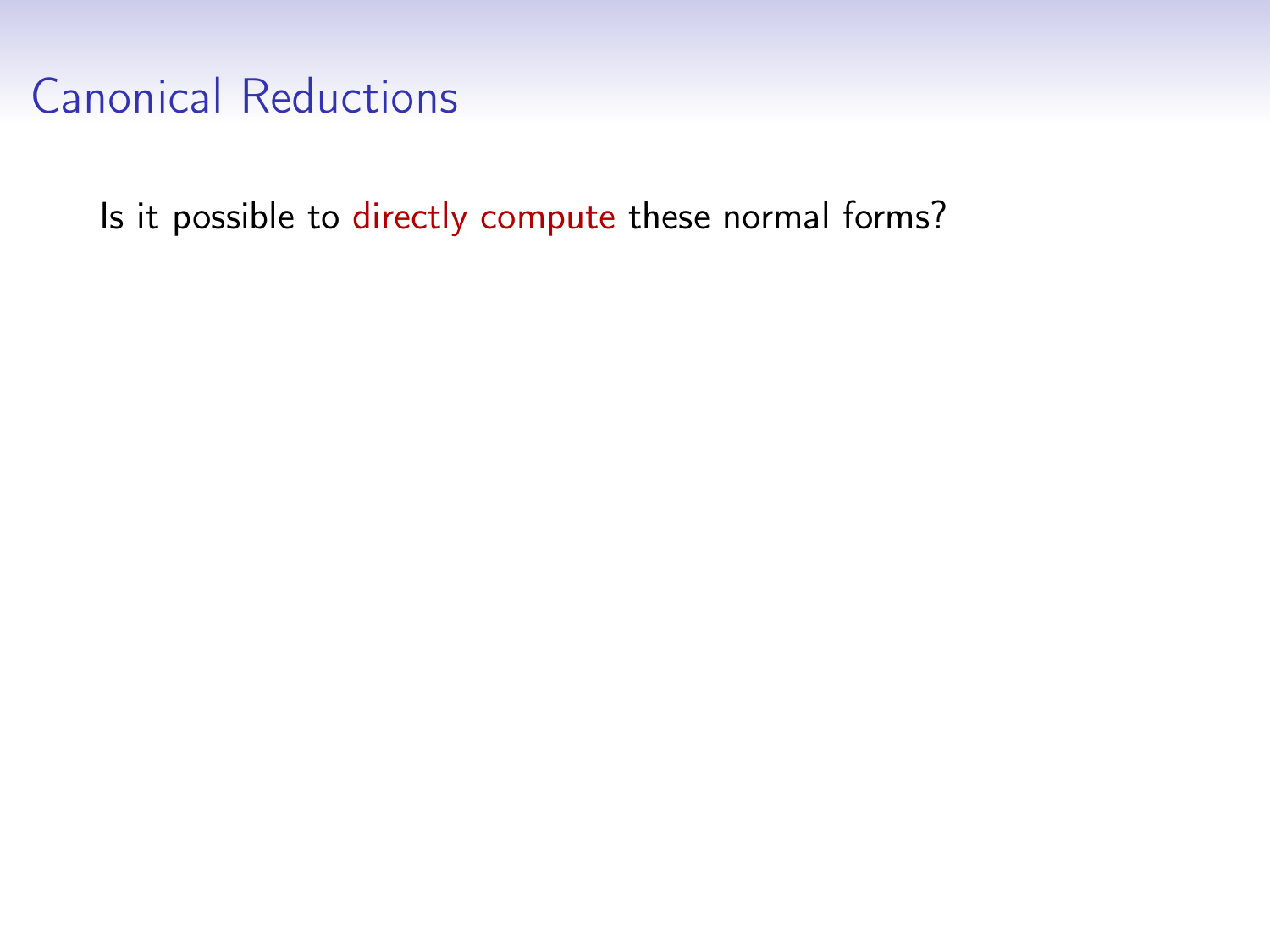Is it possible to directly compute these normal forms?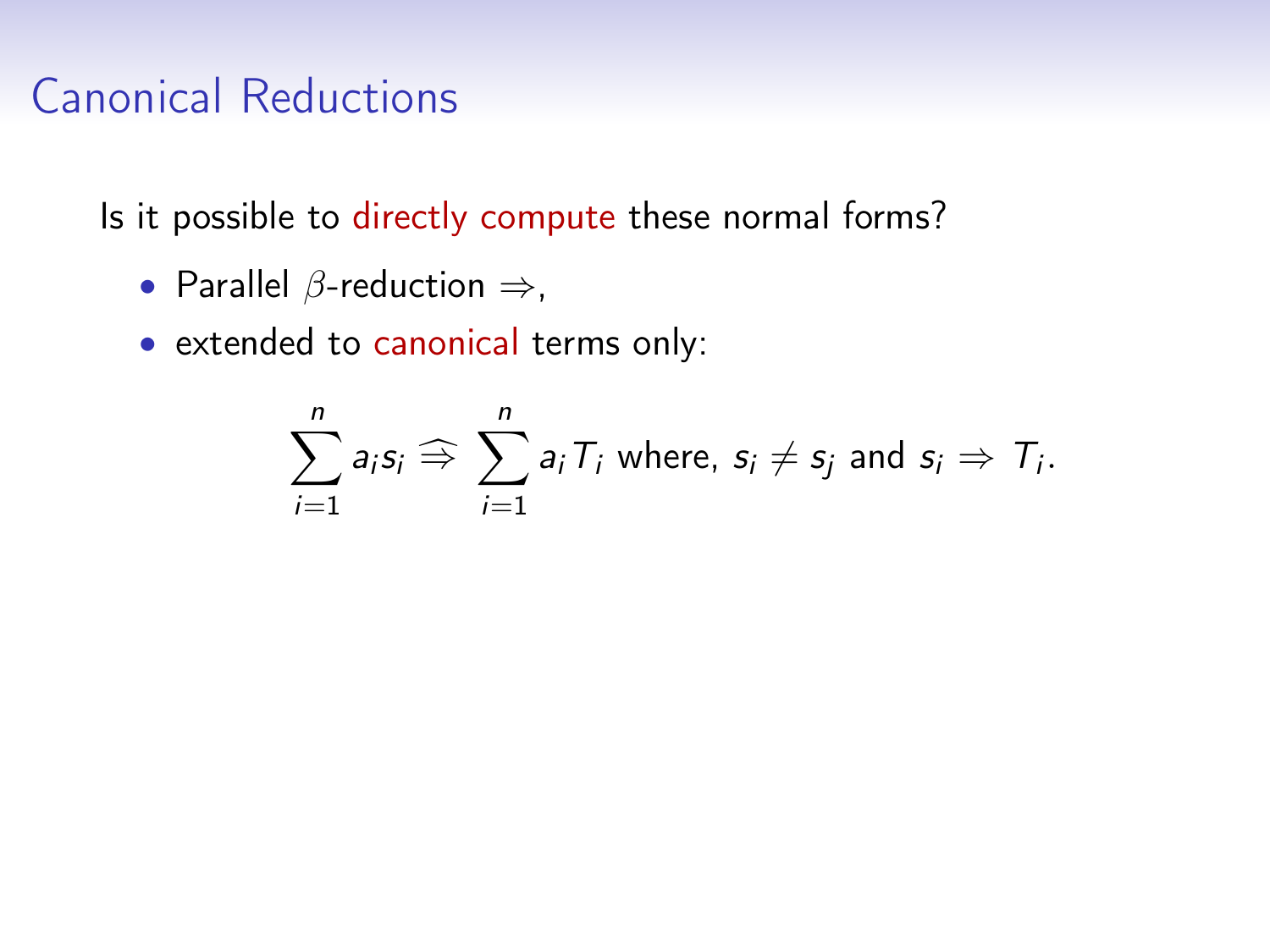Is it possible to directly compute these normal forms?

- Parallel  $\beta$ -reduction  $\Rightarrow$ ,
- extended to canonical terms only:

$$
\sum_{i=1}^n a_i s_i \Rightarrow \sum_{i=1}^n a_i T_i \text{ where, } s_i \neq s_j \text{ and } s_i \Rightarrow T_i.
$$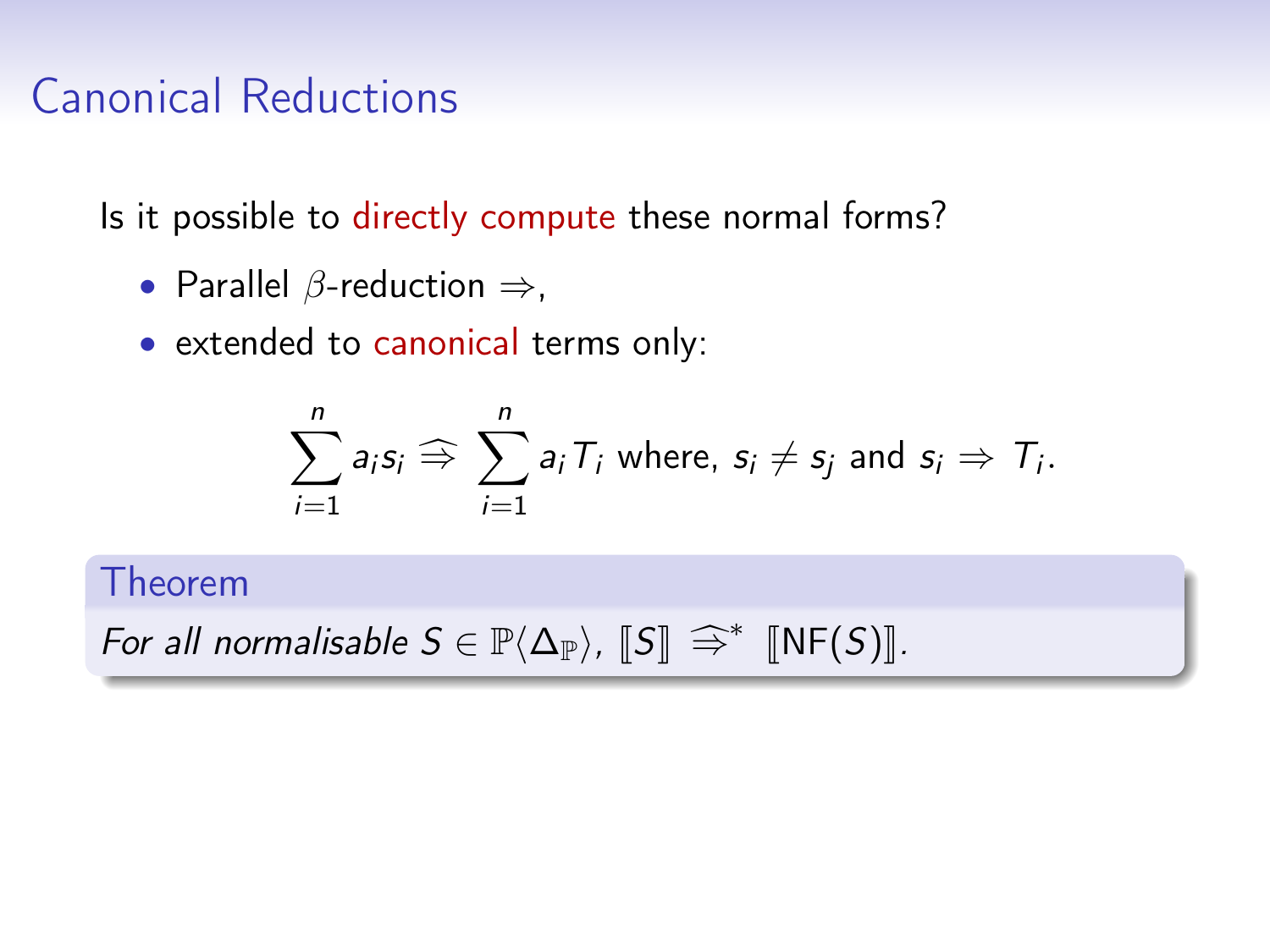Is it possible to directly compute these normal forms?

- Parallel  $\beta$ -reduction  $\Rightarrow$ ,
- extended to canonical terms only:

$$
\sum_{i=1}^n a_i s_i \Rightarrow \sum_{i=1}^n a_i T_i \text{ where, } s_i \neq s_j \text{ and } s_i \Rightarrow T_i.
$$

#### Theorem

For all normalisable  $S \in \mathbb{P}\langle \Delta_{\mathbb{P}}\rangle$ ,  $\llbracket S \rrbracket \Rightarrow^* \llbracket \text{NF}(S) \rrbracket$ .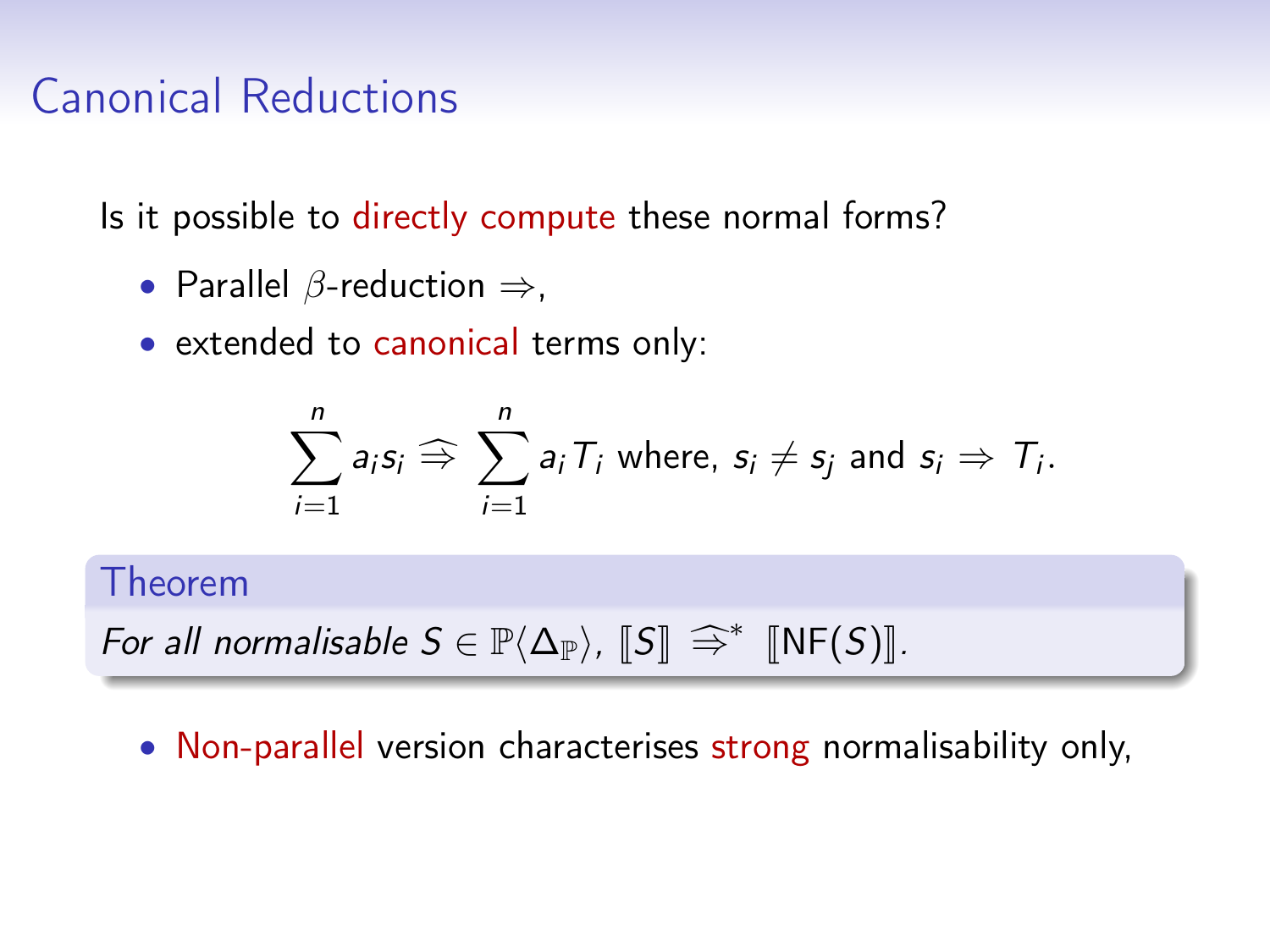Is it possible to directly compute these normal forms?

- Parallel  $\beta$ -reduction  $\Rightarrow$ ,
- extended to canonical terms only:

$$
\sum_{i=1}^n a_i s_i \widehat{\Rightarrow} \sum_{i=1}^n a_i T_i \text{ where, } s_i \neq s_j \text{ and } s_i \Rightarrow T_i.
$$

#### Theorem

For all normalisable  $S \in \mathbb{P}\langle \Delta_{\mathbb{P}}\rangle$ ,  $\llbracket S \rrbracket \Rightarrow^* \llbracket \text{NF}(S) \rrbracket$ .

• Non-parallel version characterises strong normalisability only,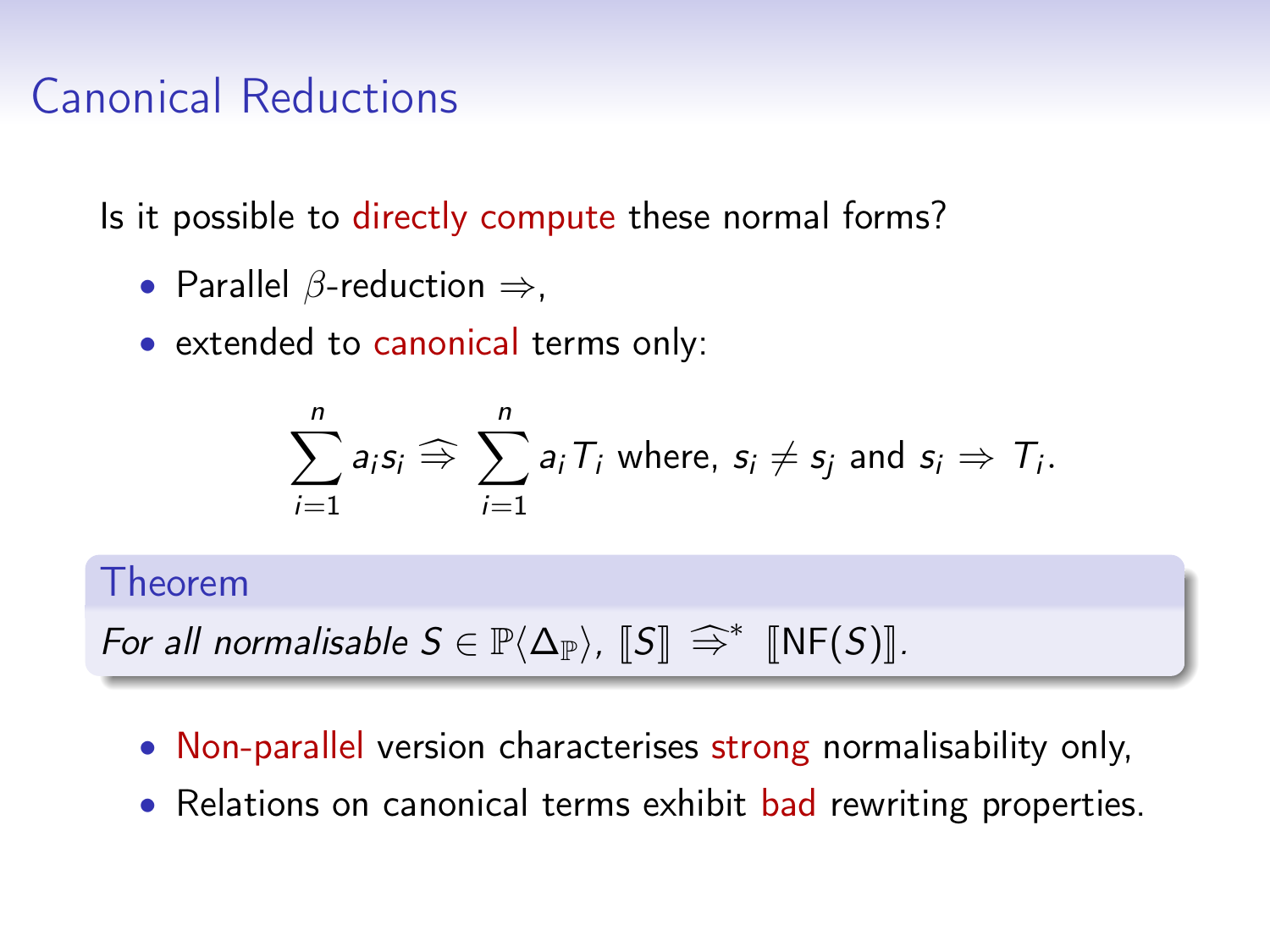Is it possible to directly compute these normal forms?

- Parallel  $\beta$ -reduction  $\Rightarrow$ ,
- extended to canonical terms only:

$$
\sum_{i=1}^n a_i s_i \widehat{\Rightarrow} \sum_{i=1}^n a_i T_i \text{ where, } s_i \neq s_j \text{ and } s_i \Rightarrow T_i.
$$

#### Theorem

For all normalisable 
$$
S \in \mathbb{P}\langle \Delta_{\mathbb{P}} \rangle
$$
,  $[S] \cong^* [NF(S)]$ .

- Non-parallel version characterises strong normalisability only,
- Relations on canonical terms exhibit bad rewriting properties.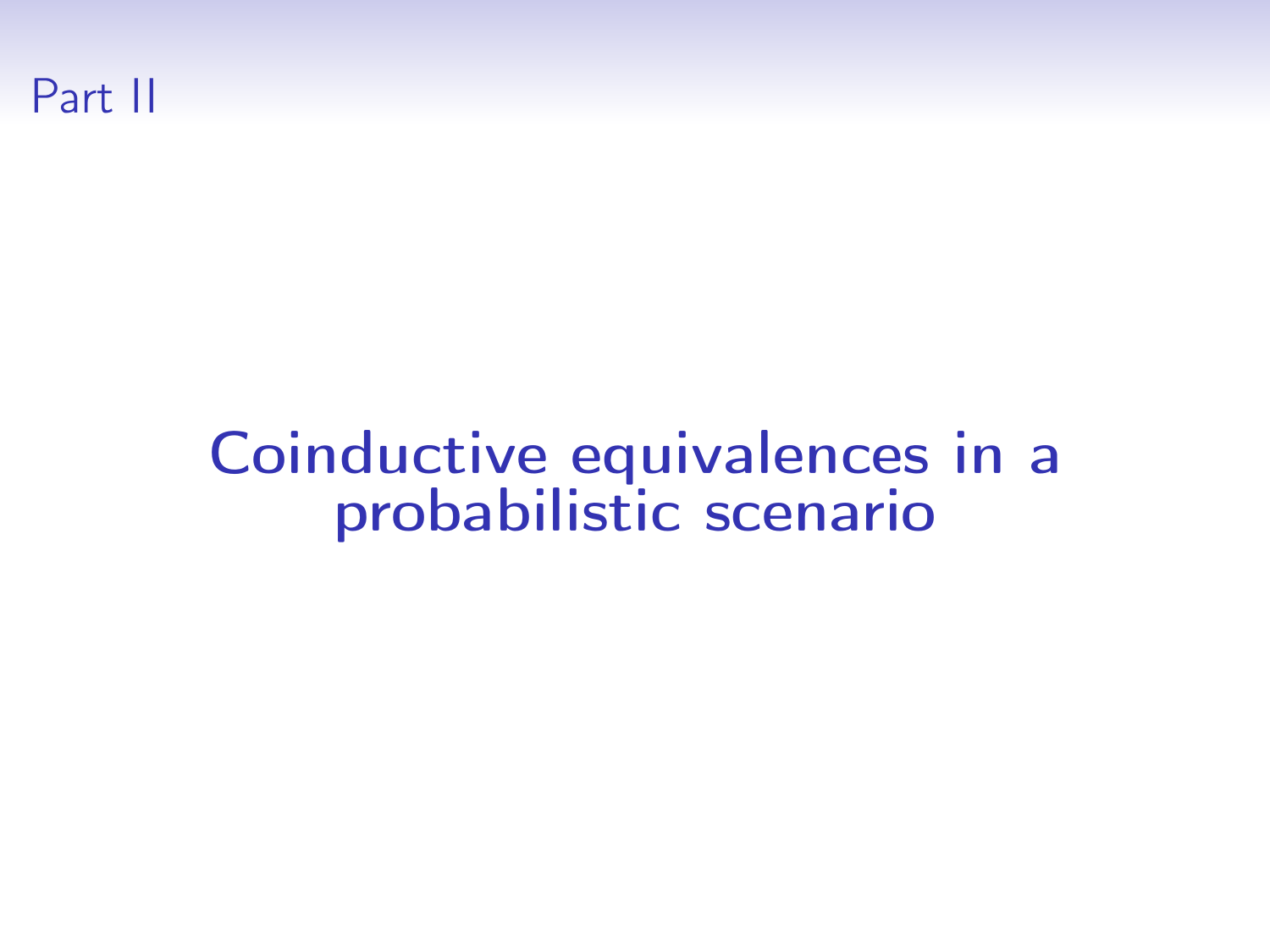

# Coinductive equivalences in a probabilistic scenario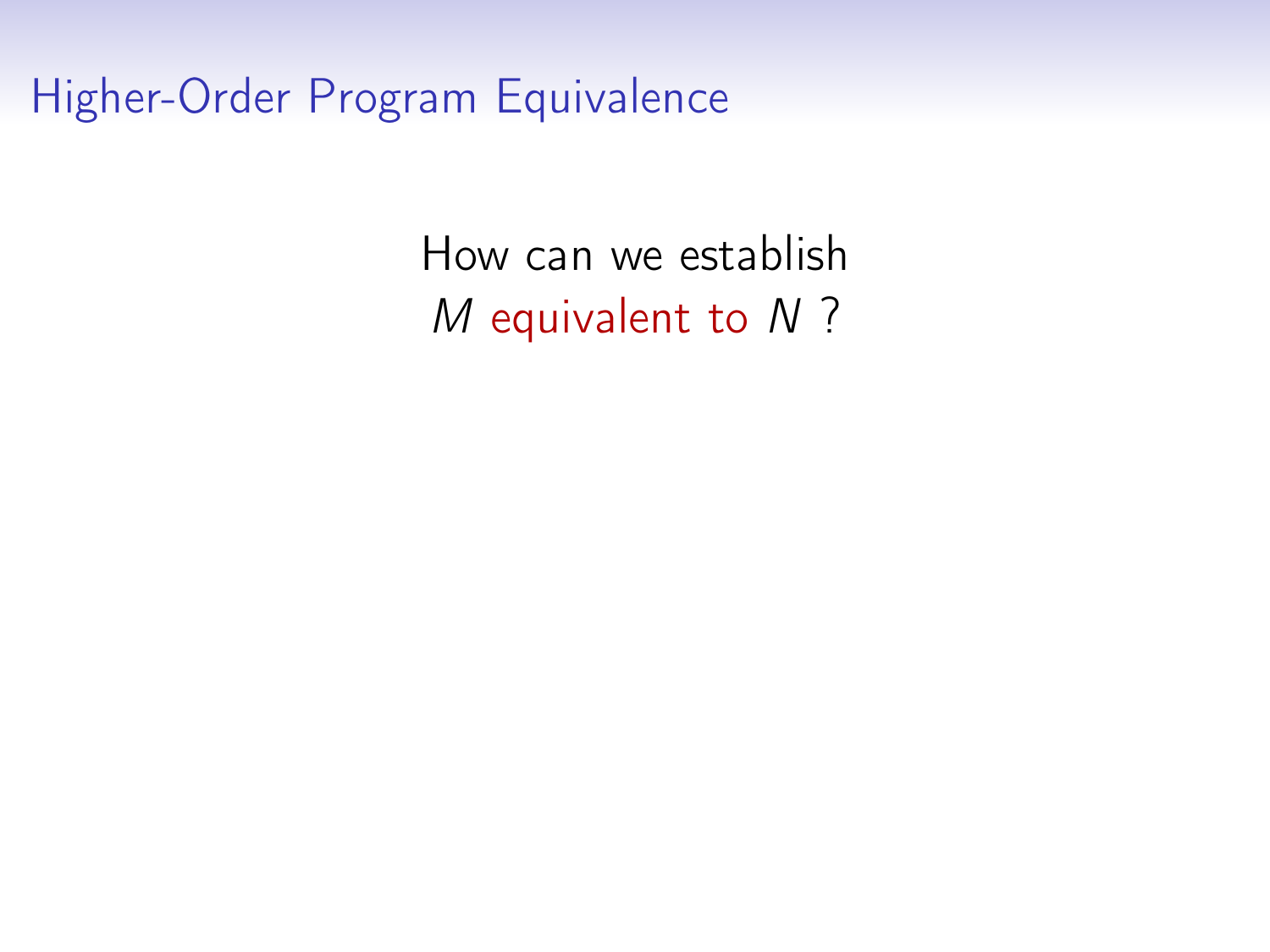Higher-Order Program Equivalence

How can we establish M equivalent to N ?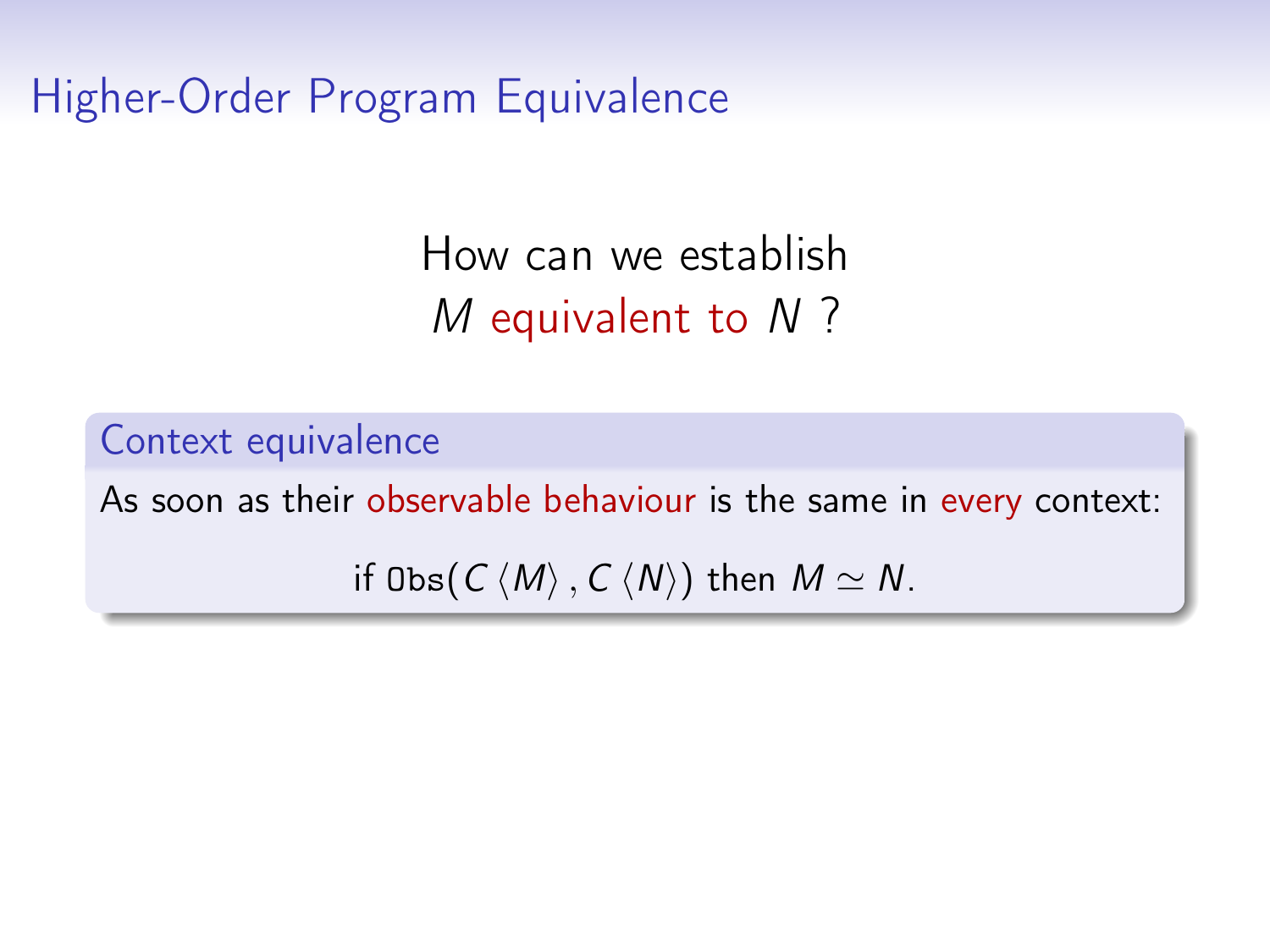Higher-Order Program Equivalence

How can we establish M equivalent to N ?

Context equivalence As soon as their observable behaviour is the same in every context: if  $\text{Obs}(C \langle M \rangle, C \langle N \rangle)$  then  $M \simeq N$ .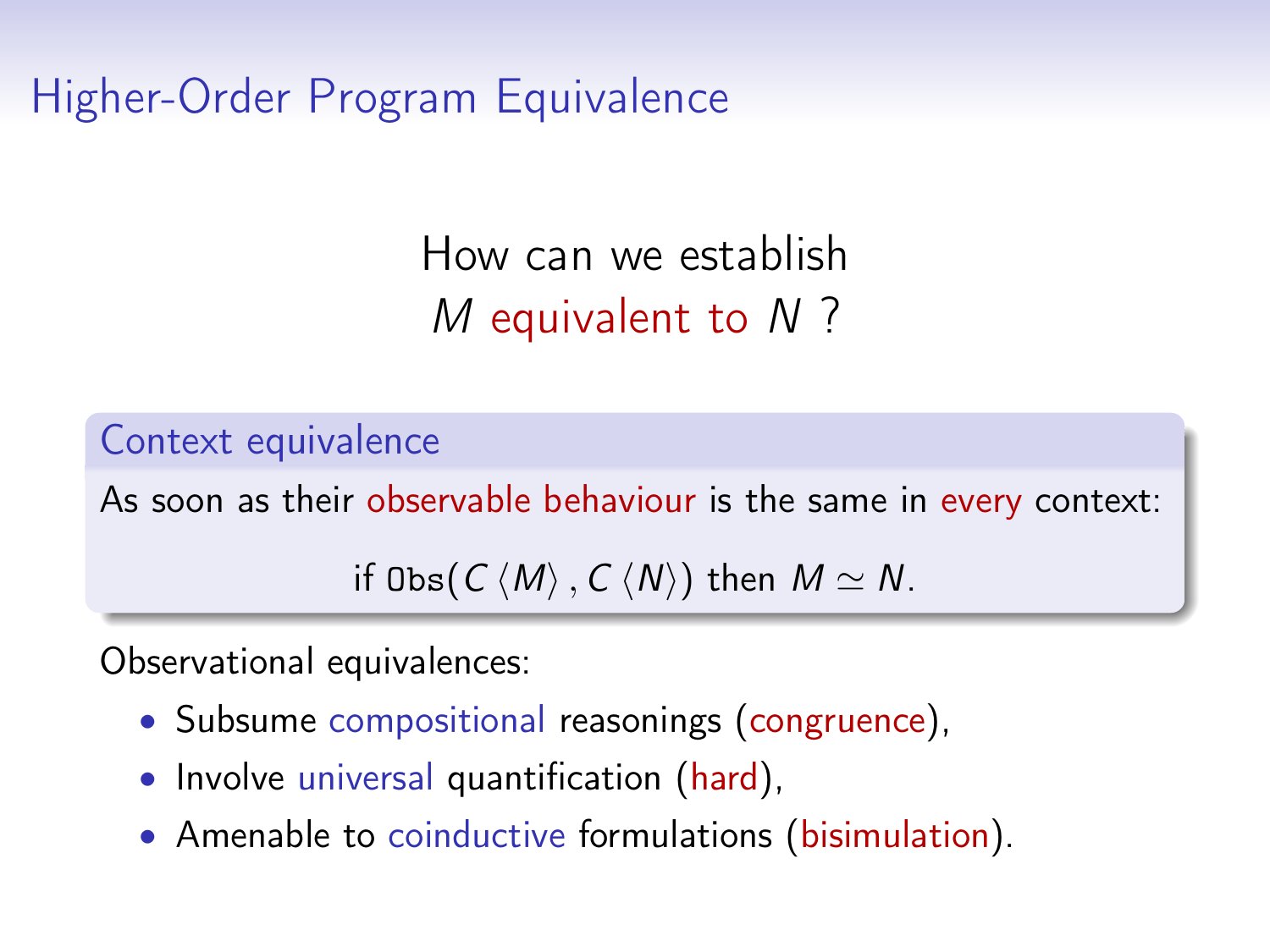Higher-Order Program Equivalence

How can we establish M equivalent to N ?

Context equivalence

As soon as their observable behaviour is the same in every context:

if  $\text{Obs}(C \langle M \rangle, C \langle N \rangle)$  then  $M \simeq N$ .

Observational equivalences:

- Subsume compositional reasonings (congruence),
- Involve universal quantification (hard),
- Amenable to coinductive formulations (bisimulation).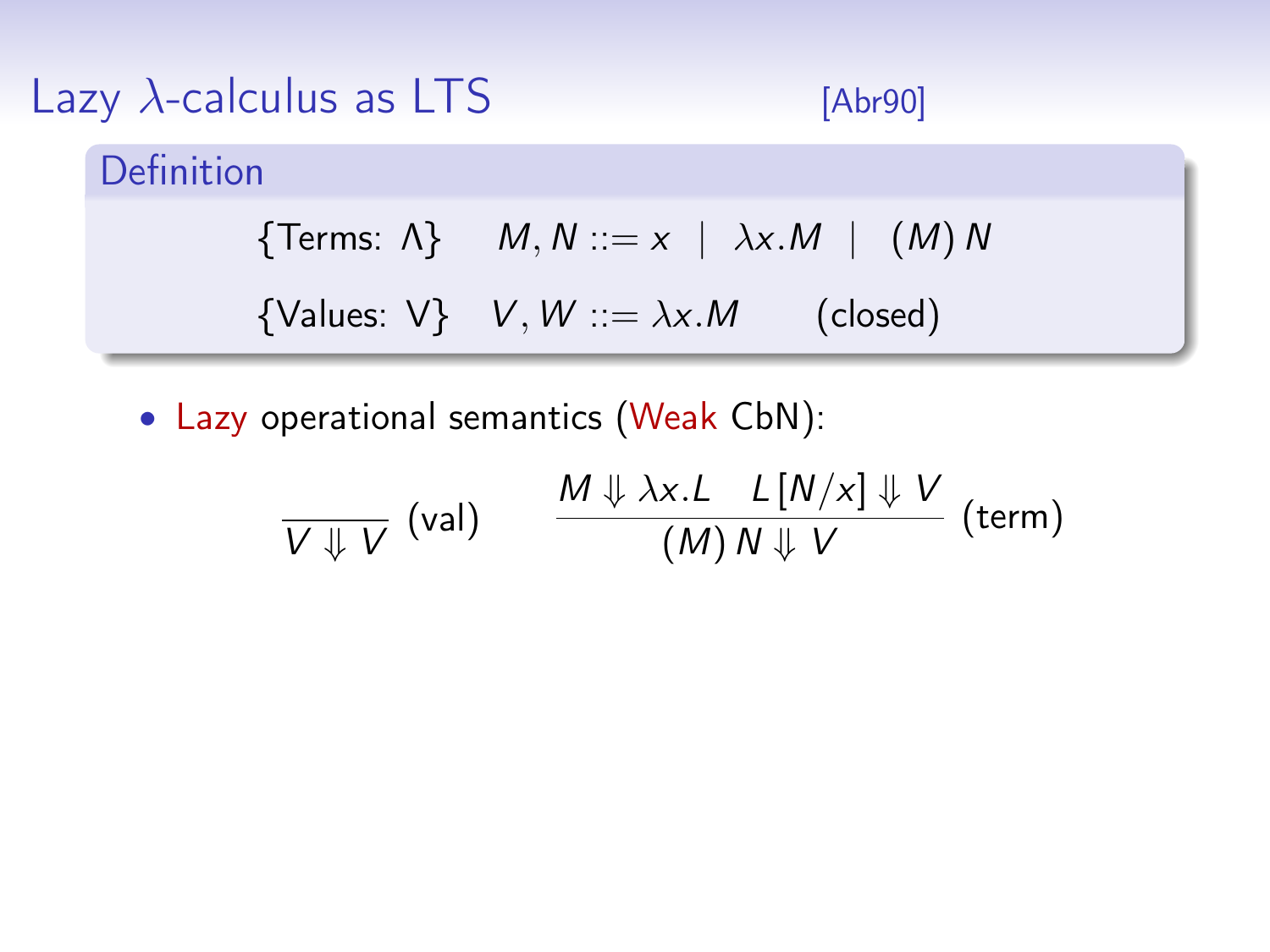| Lazy $\lambda$ -calculus as LTS | [Abr90]                                                      |  |
|---------------------------------|--------------------------------------------------------------|--|
| Definition                      |                                                              |  |
|                                 | {Terms: $\Lambda$ } $M, N ::= x \mid \lambda x.M \mid (M) N$ |  |
|                                 | {Values: V} $V, W ::= \lambda x.M$ (closed)                  |  |

• Lazy operational semantics (Weak CbN):

$$
\frac{M \Downarrow \lambda x. L \quad L[N/x] \Downarrow V}{(M) N \Downarrow V} \text{ (term)}
$$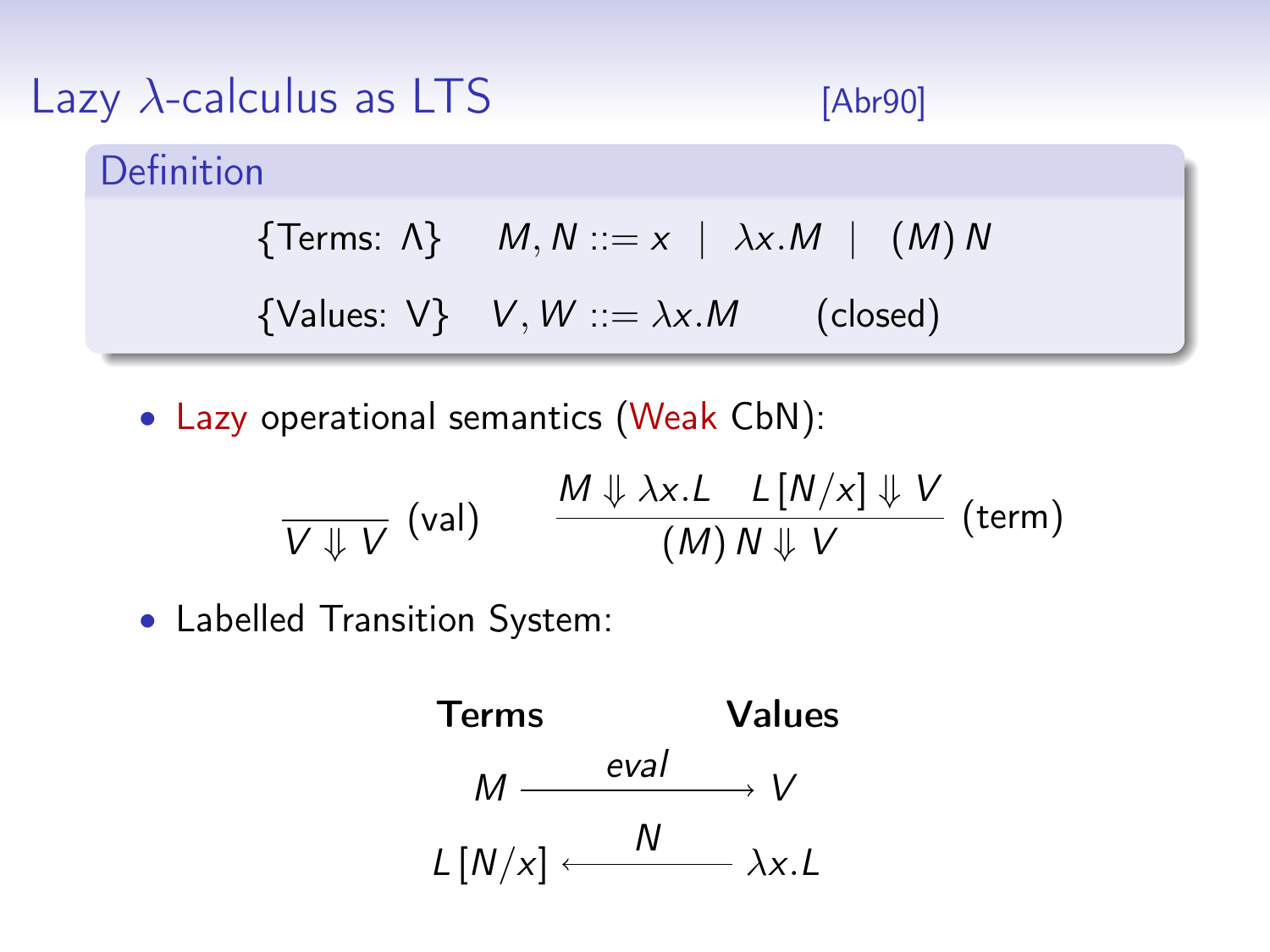| Lazy $\lambda$ -calculus as LTS | [Abr90]                                                      |  |
|---------------------------------|--------------------------------------------------------------|--|
| Definition                      |                                                              |  |
|                                 | {Terms: $\Lambda$ } $M, N ::= x \mid \lambda x.M \mid (M) N$ |  |
|                                 | {Values: $V$ } $V, W ::= \lambda x.M$<br>(closed)            |  |

• Lazy operational semantics (Weak CbN):

$$
\frac{M \Downarrow \lambda x. L \quad L[N/x] \Downarrow V}{(M) N \Downarrow V} \text{ (term)}
$$

• Labelled Transition System:

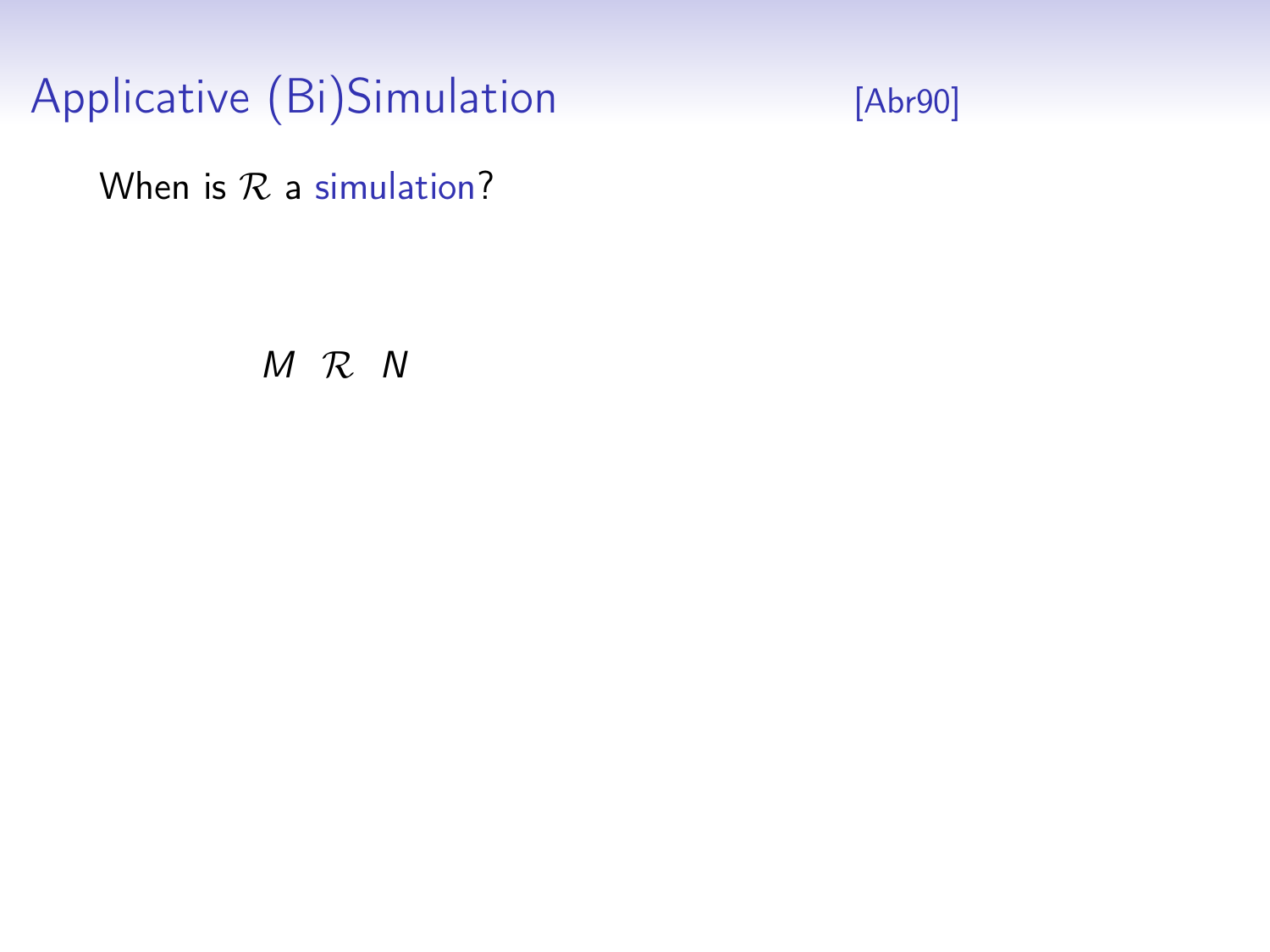

When is  $R$  a simulation?

M R N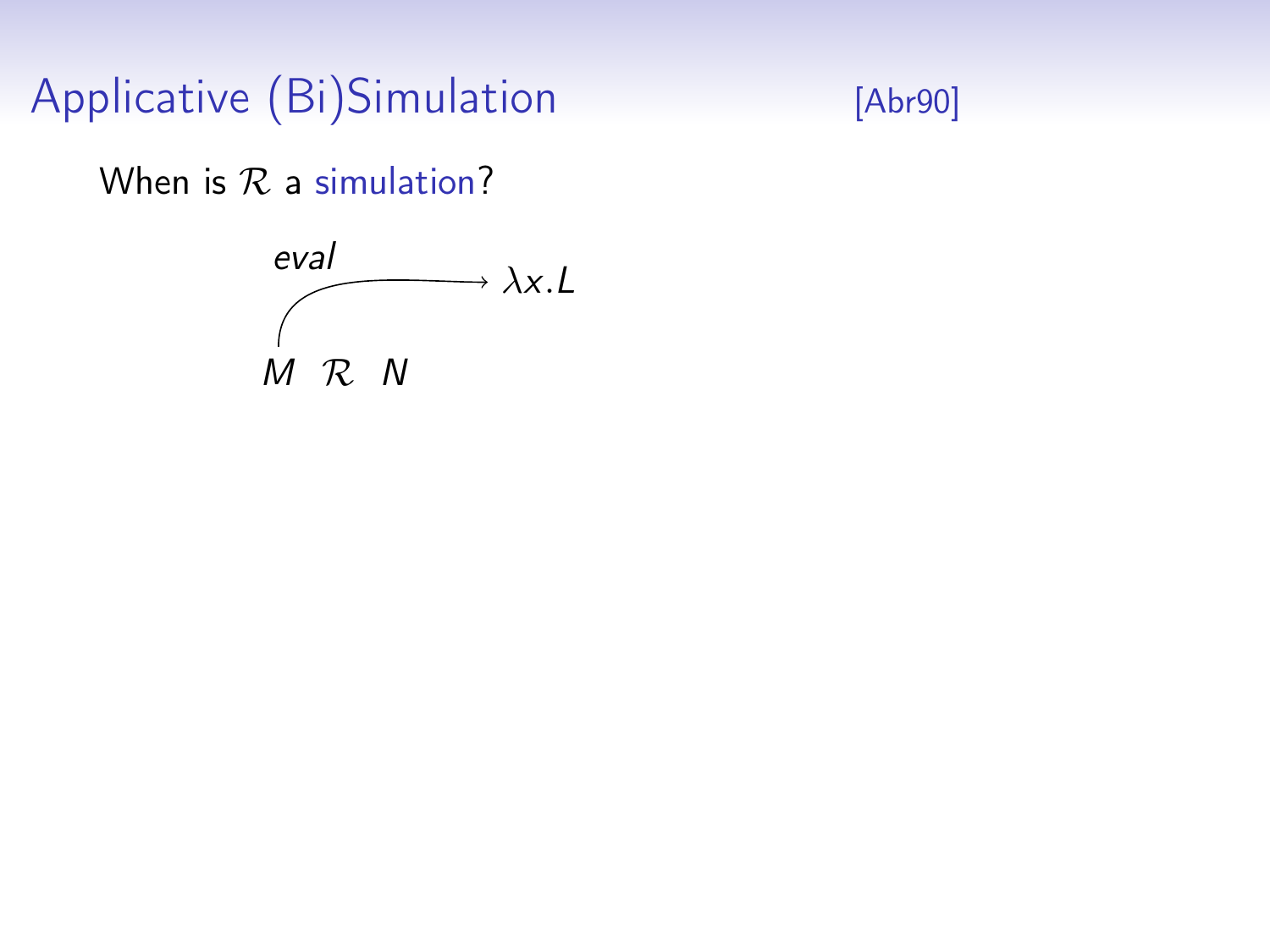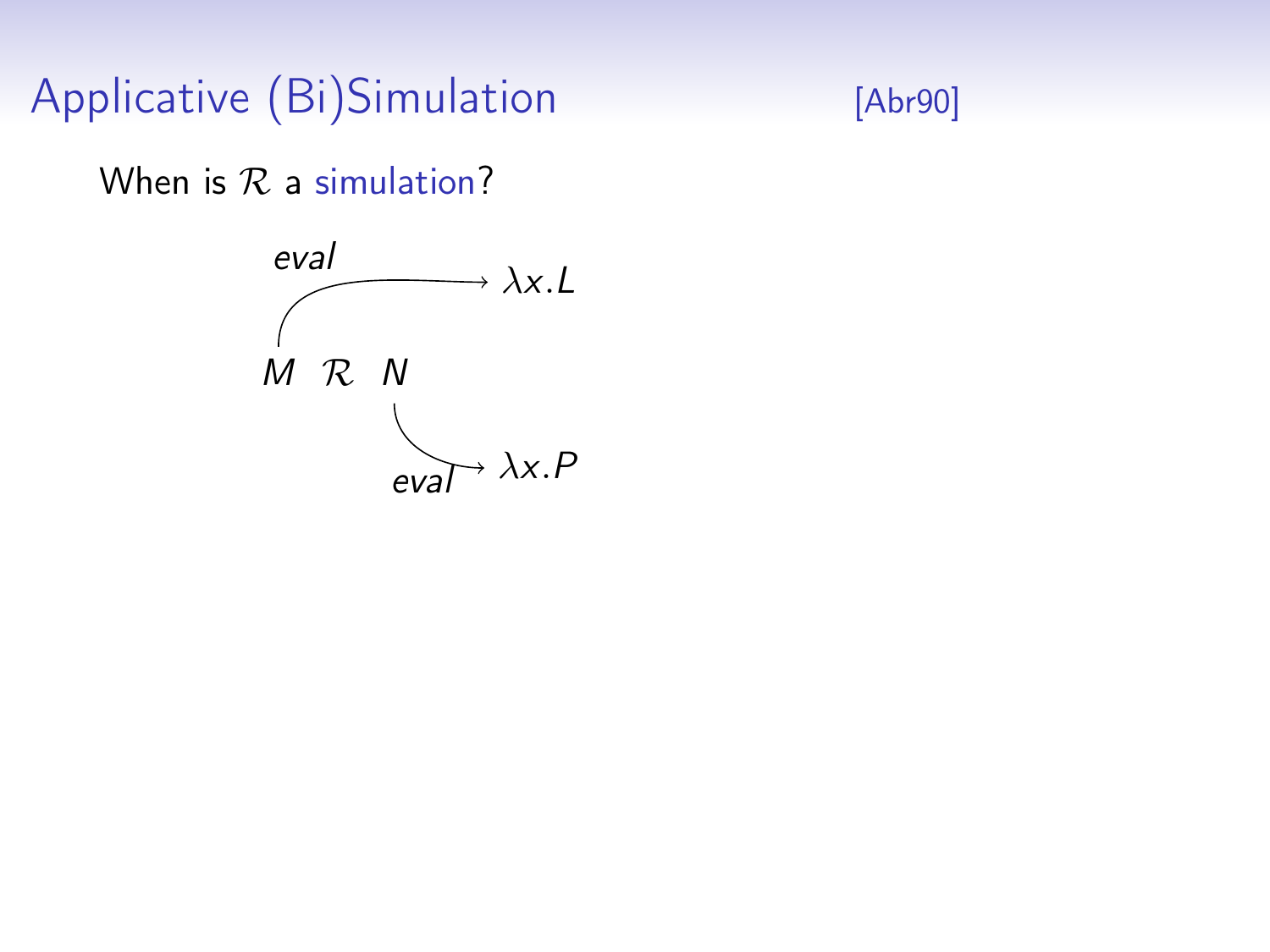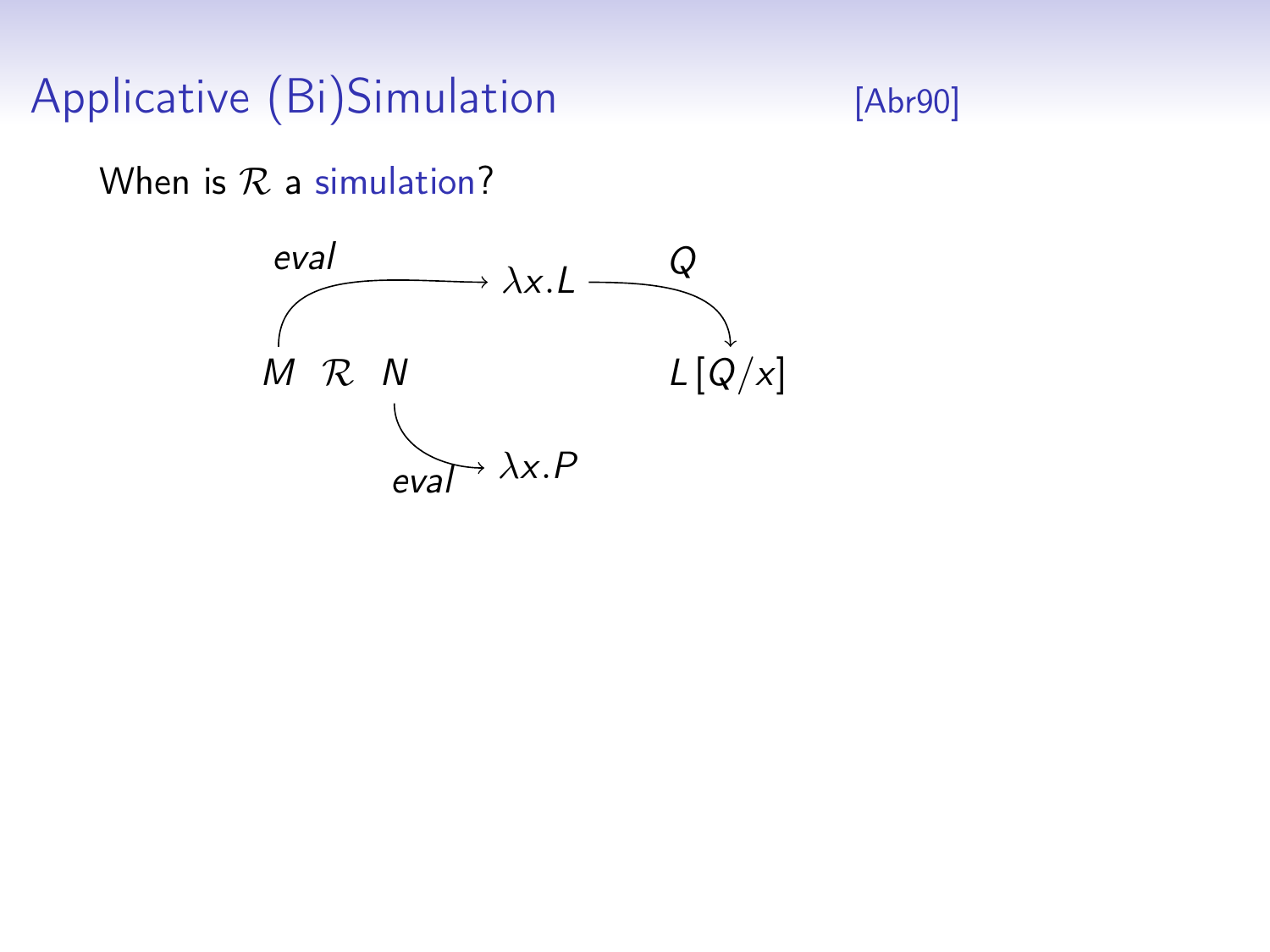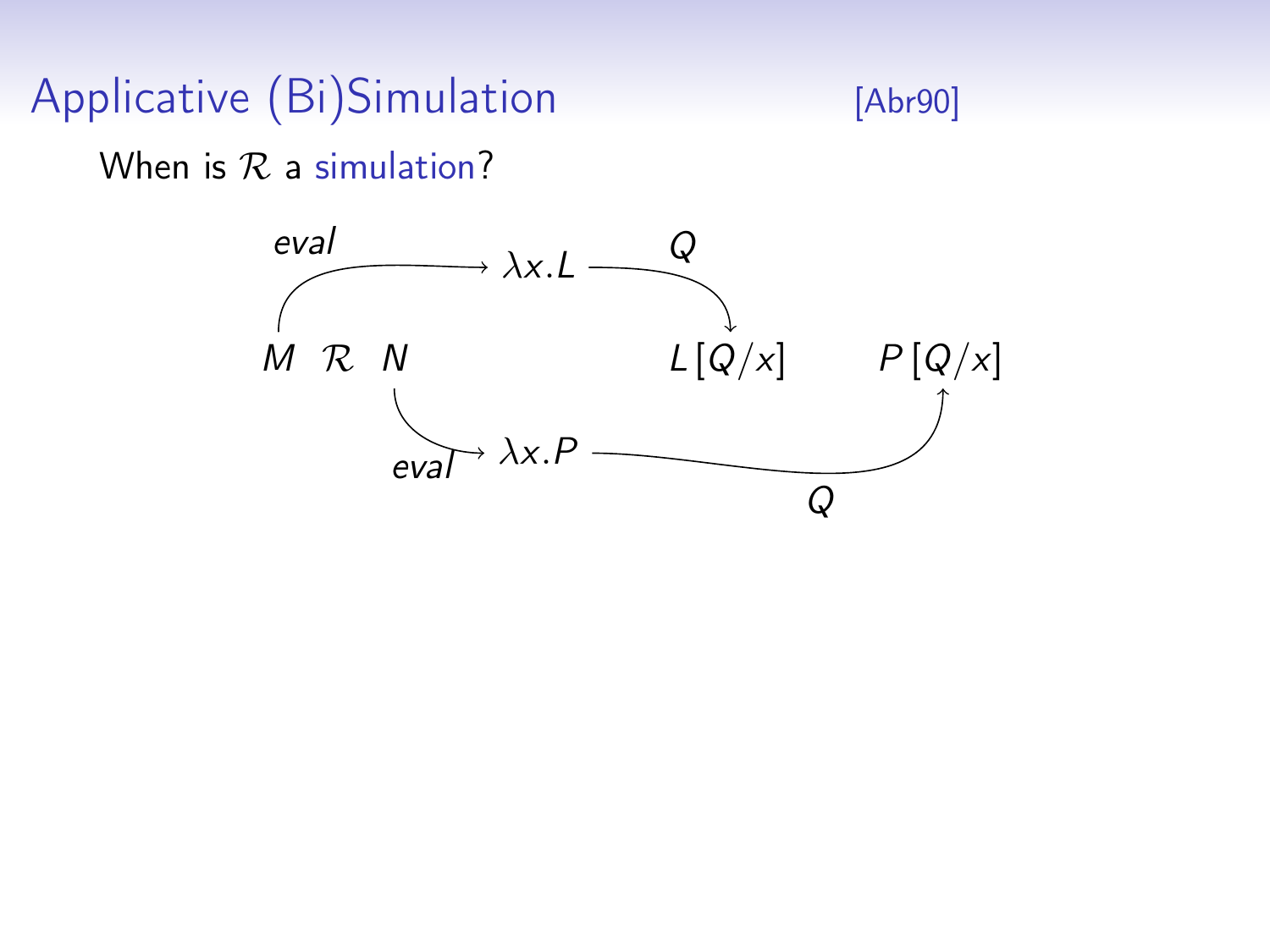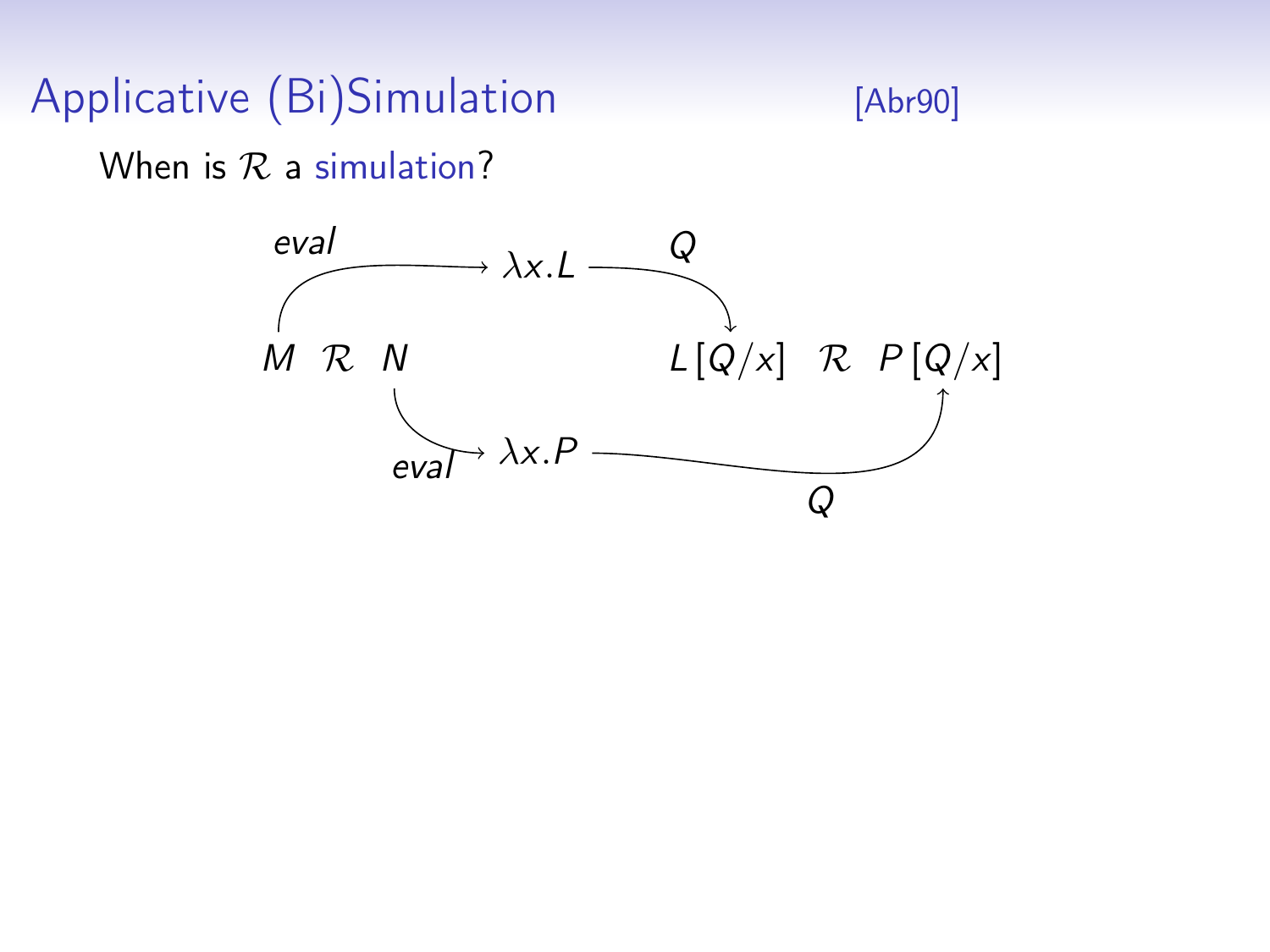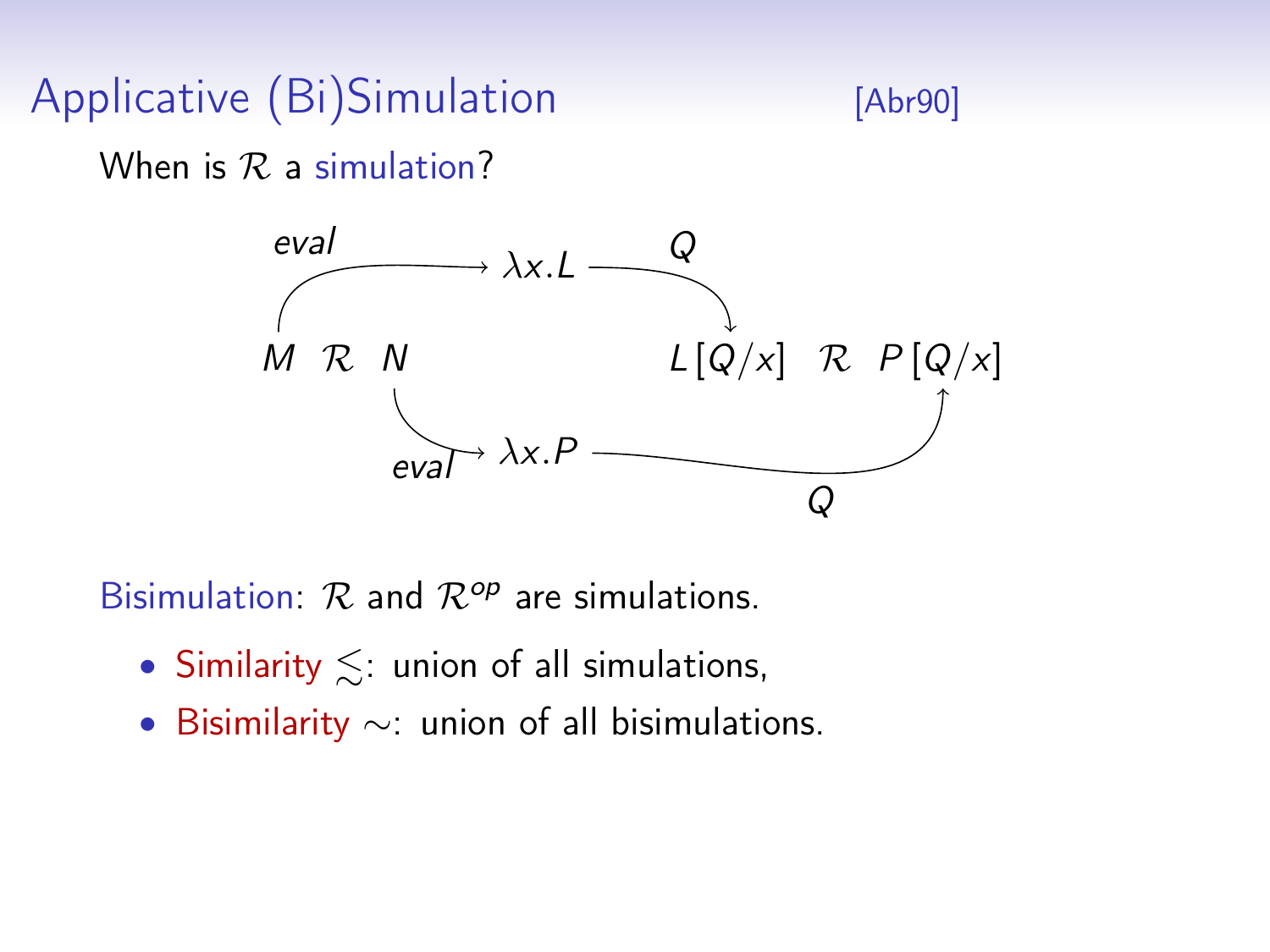When is  $R$  a simulation?



Bisimulation:  $\mathcal{R}$  and  $\mathcal{R}^{op}$  are simulations.

- Similarity  $\leq$ : union of all simulations,
- Bisimilarity ∼: union of all bisimulations.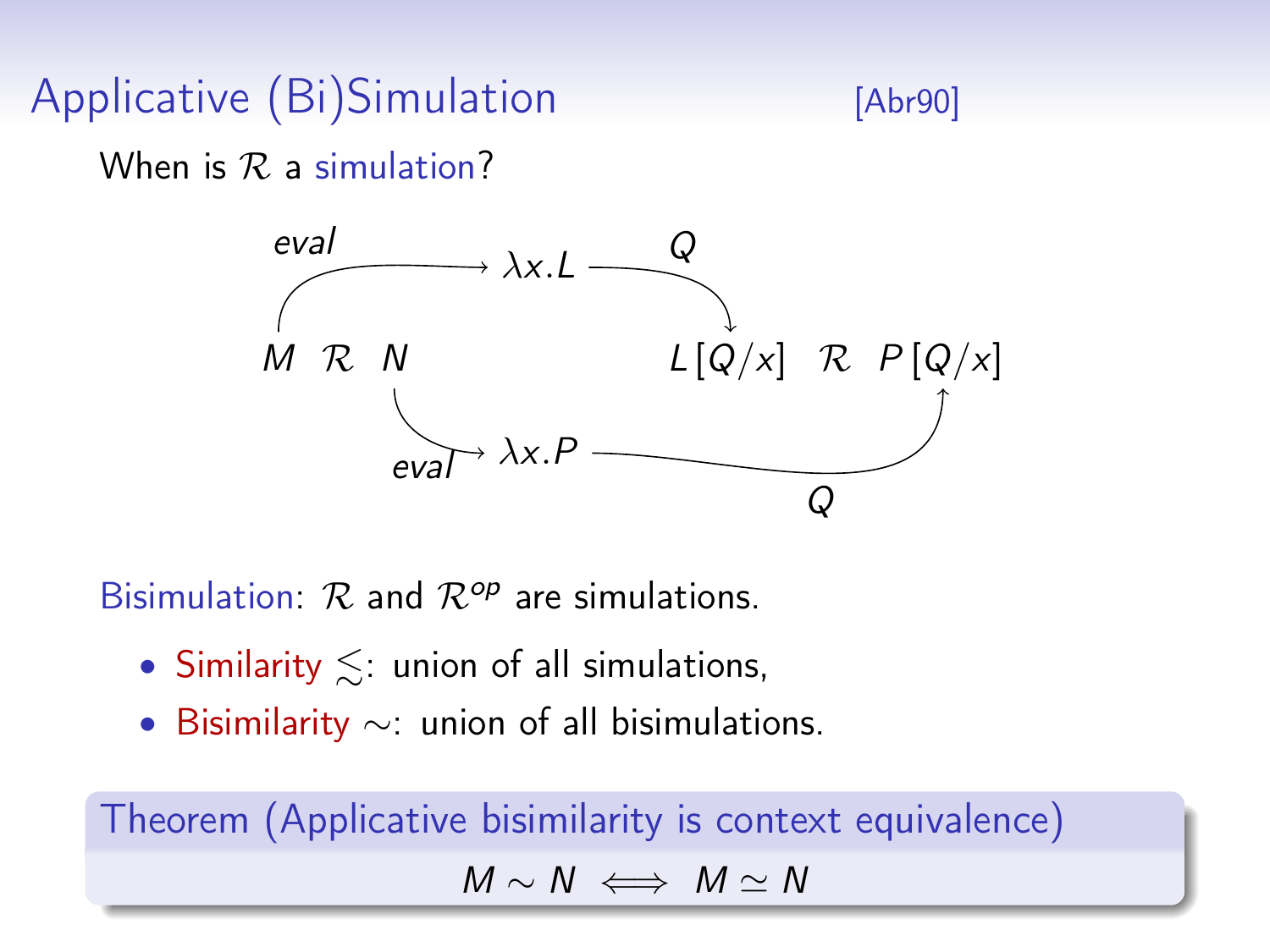When is  $R$  a simulation?



Bisimulation:  $\mathcal{R}$  and  $\mathcal{R}^{op}$  are simulations.

- Similarity  $\leq$ : union of all simulations,
- Bisimilarity ∼: union of all bisimulations.

Theorem (Applicative bisimilarity is context equivalence)  $M \sim N \iff M \sim N$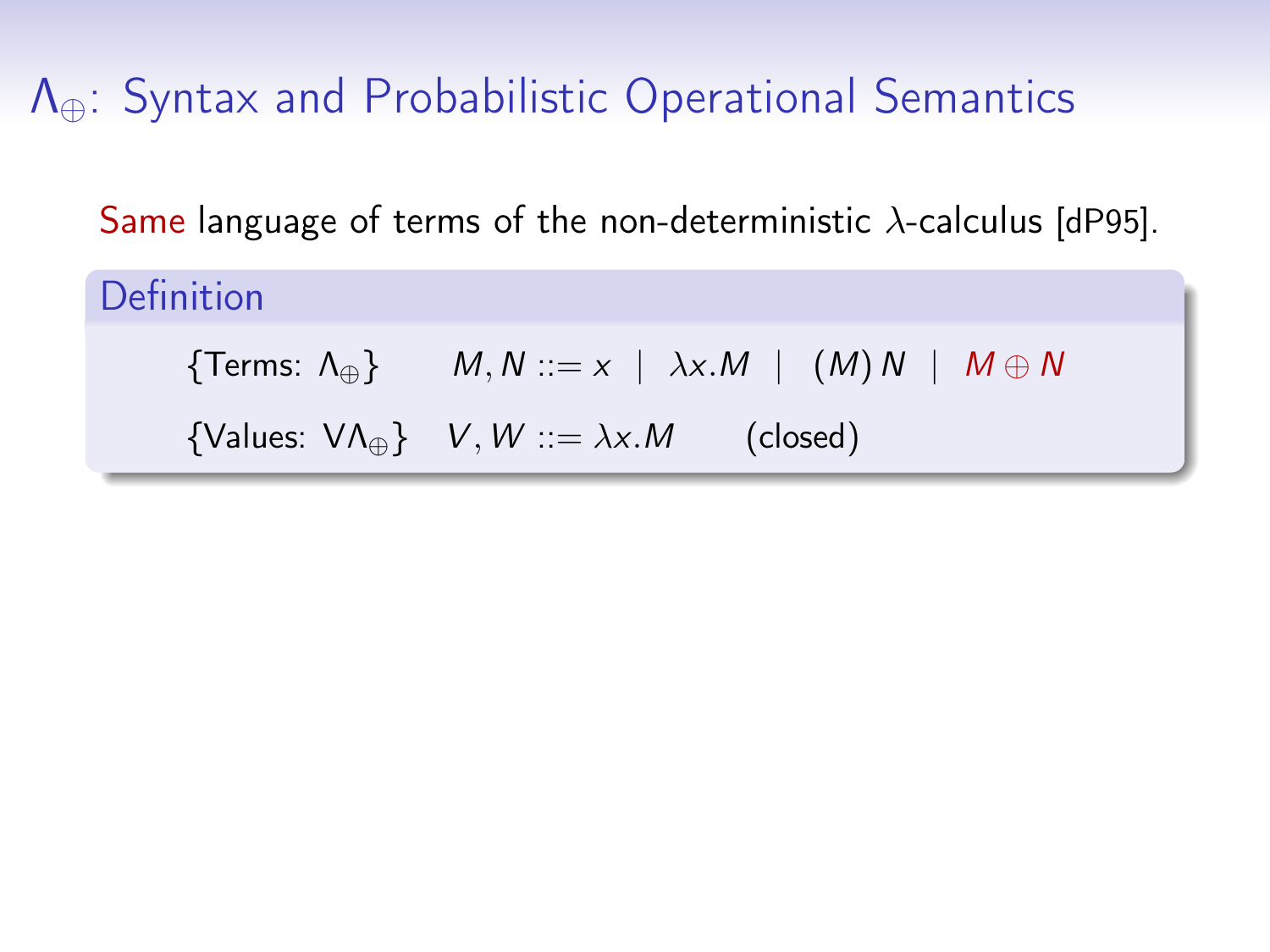Same language of terms of the non-deterministic  $\lambda$ -calculus [\[dP95\]](#page-0-0).

Definition

{Terms:  $\Lambda_{\oplus}$ }  $M, N ::= x \mid \lambda x.M \mid (M) N \mid M \oplus N$ 

{Values:  $V \Lambda_{\oplus}$ }  $V, W ::= \lambda x.M$  (closed)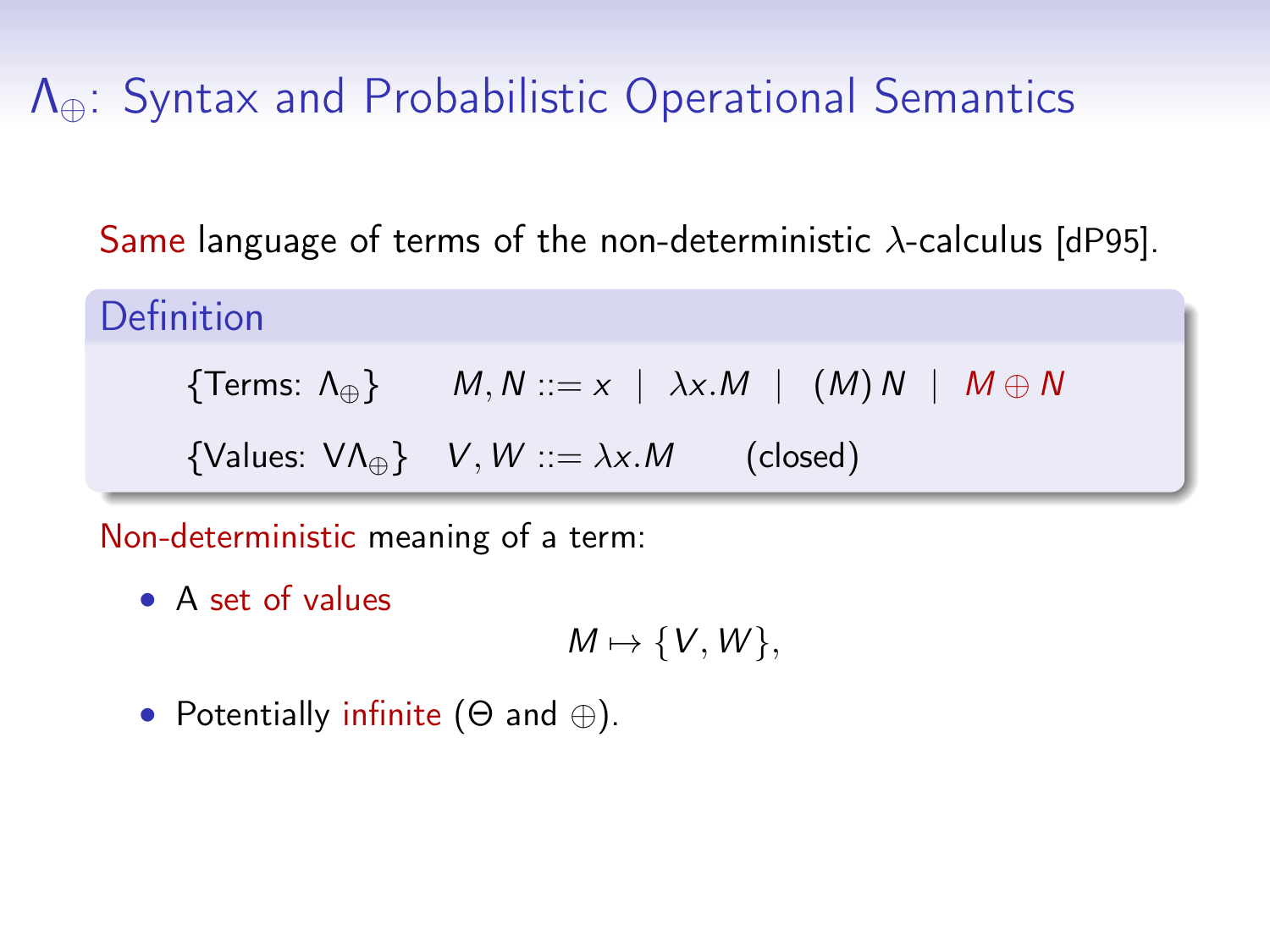Same language of terms of the non-deterministic  $\lambda$ -calculus [\[dP95\]](#page-0-0).

Definition

$$
{\text{Terms: } \Lambda_{\oplus} } \} \qquad M, N ::= x \mid \lambda x.M \mid (M) N \mid M \oplus N
$$

{Values:  $V \Lambda_{\oplus}$ }  $V, W ::= \lambda x.M$  (closed)

Non-deterministic meaning of a term:

• A set of values

$$
M\mapsto \{V,W\},
$$

• Potentially infinite  $(\Theta \text{ and } \oplus)$ .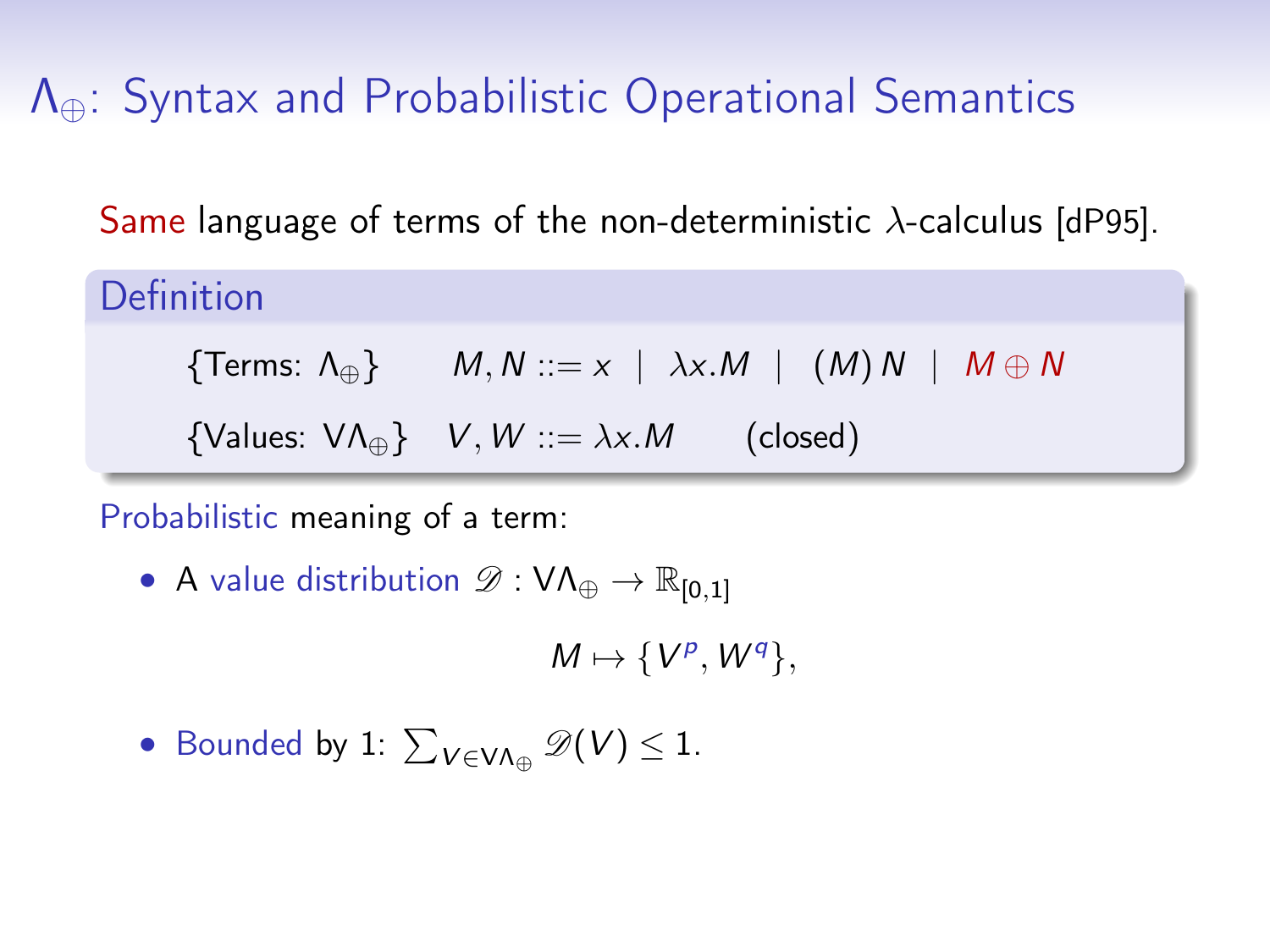Same language of terms of the non-deterministic  $\lambda$ -calculus [\[dP95\]](#page-0-0).

Definition

$$
{\sf Terms: }\; \Lambda_{\oplus} \} \qquad M,N::=x \ \mid \ \lambda x.M \ \mid \ \ (M)\ N \ \mid \ M \oplus N
$$

{Values:  $V \Lambda_{\mathbb{A}}$ }  $V, W ::= \lambda x.M$  (closed)

Probabilistic meaning of a term:

• A value distribution  $\mathscr{D}: VA_{\oplus} \to \mathbb{R}_{[0,1]}$ 

 $M \mapsto \{V^p, W^q\},\$ 

• Bounded by 1:  $\sum_{V \in V \Lambda_{\oplus}} \mathscr{D}(V) \leq 1$ .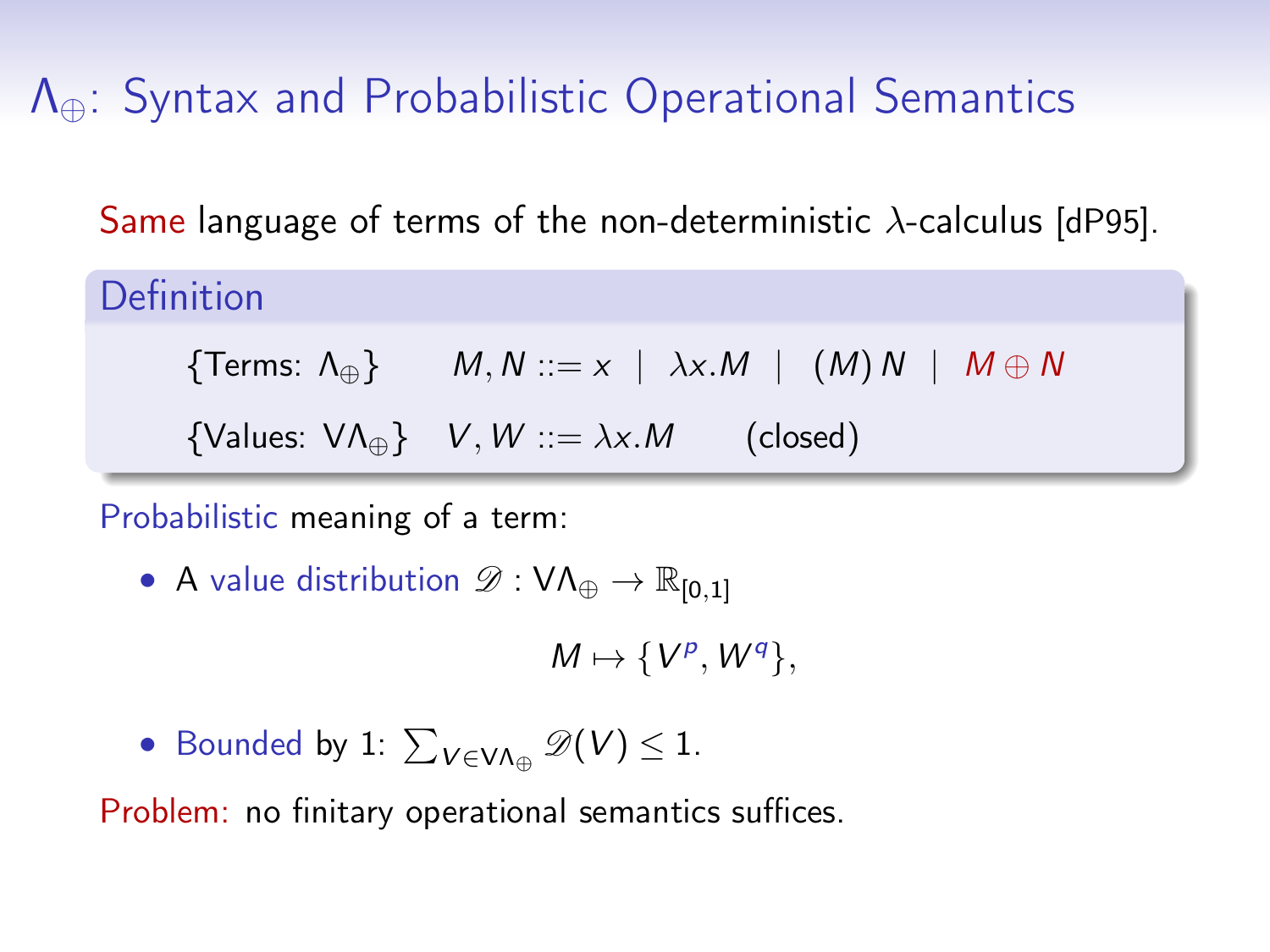Same language of terms of the non-deterministic  $\lambda$ -calculus [\[dP95\]](#page-0-0).

Definition

$$
{\sf Terms: }\;\Lambda_\oplus \} \qquad M,N::=x\;\;|\;\; \lambda x.M\;\;|\;\; \left( M\right)N\;\;|\;\;M\oplus N
$$

{Values:  $V \Lambda_{\mathbb{A}}$ }  $V, W ::= \lambda x.M$  (closed)

Probabilistic meaning of a term:

• A value distribution  $\mathscr{D}: VA_{\oplus} \to \mathbb{R}_{[0,1]}$ 

 $M \mapsto \{V^p, W^q\},\$ 

• Bounded by 1:  $\sum_{V \in V \Lambda_{\oplus}} \mathscr{D}(V) \leq 1$ .

Problem: no finitary operational semantics suffices.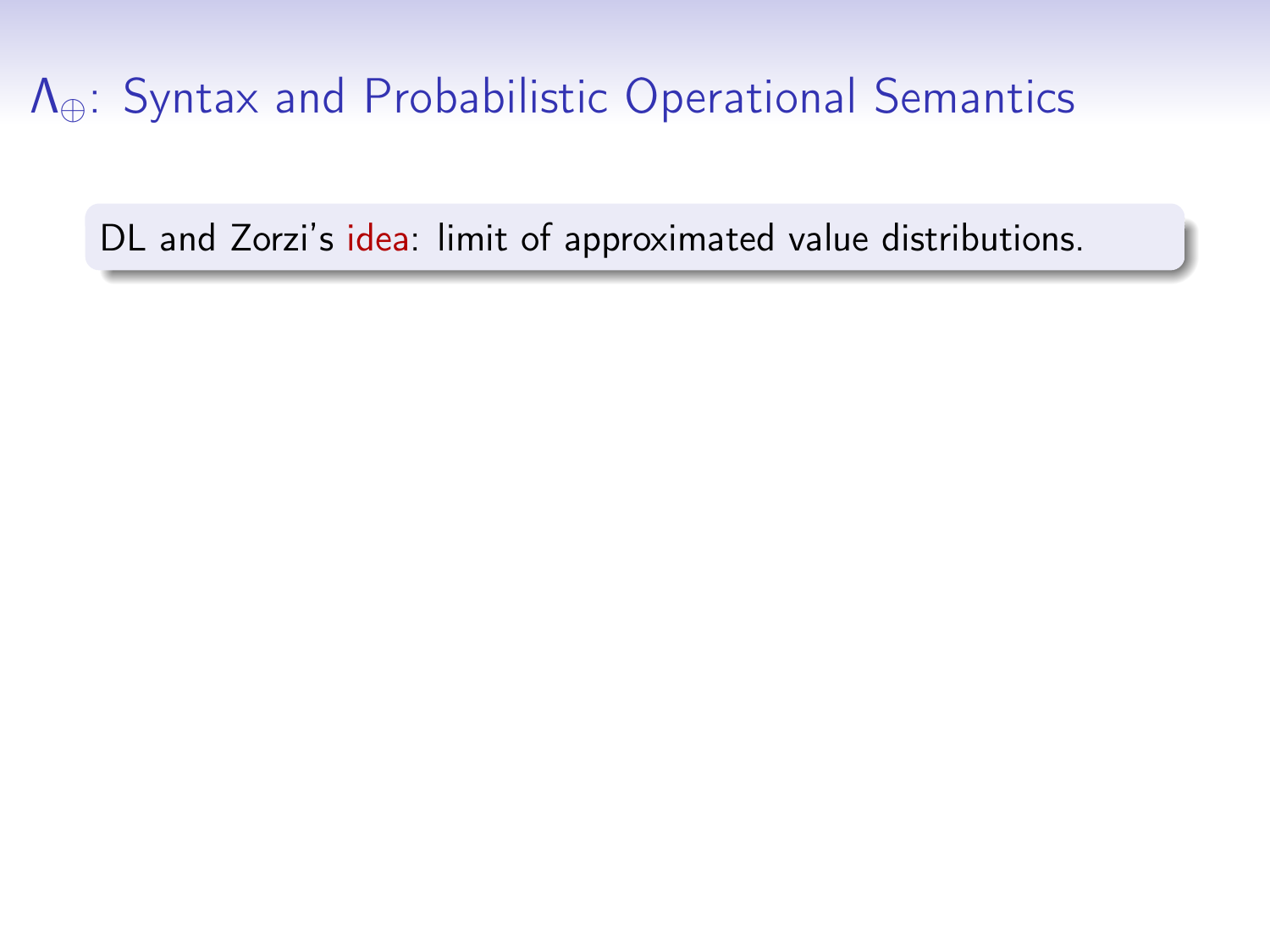DL and Zorzi's idea: limit of approximated value distributions.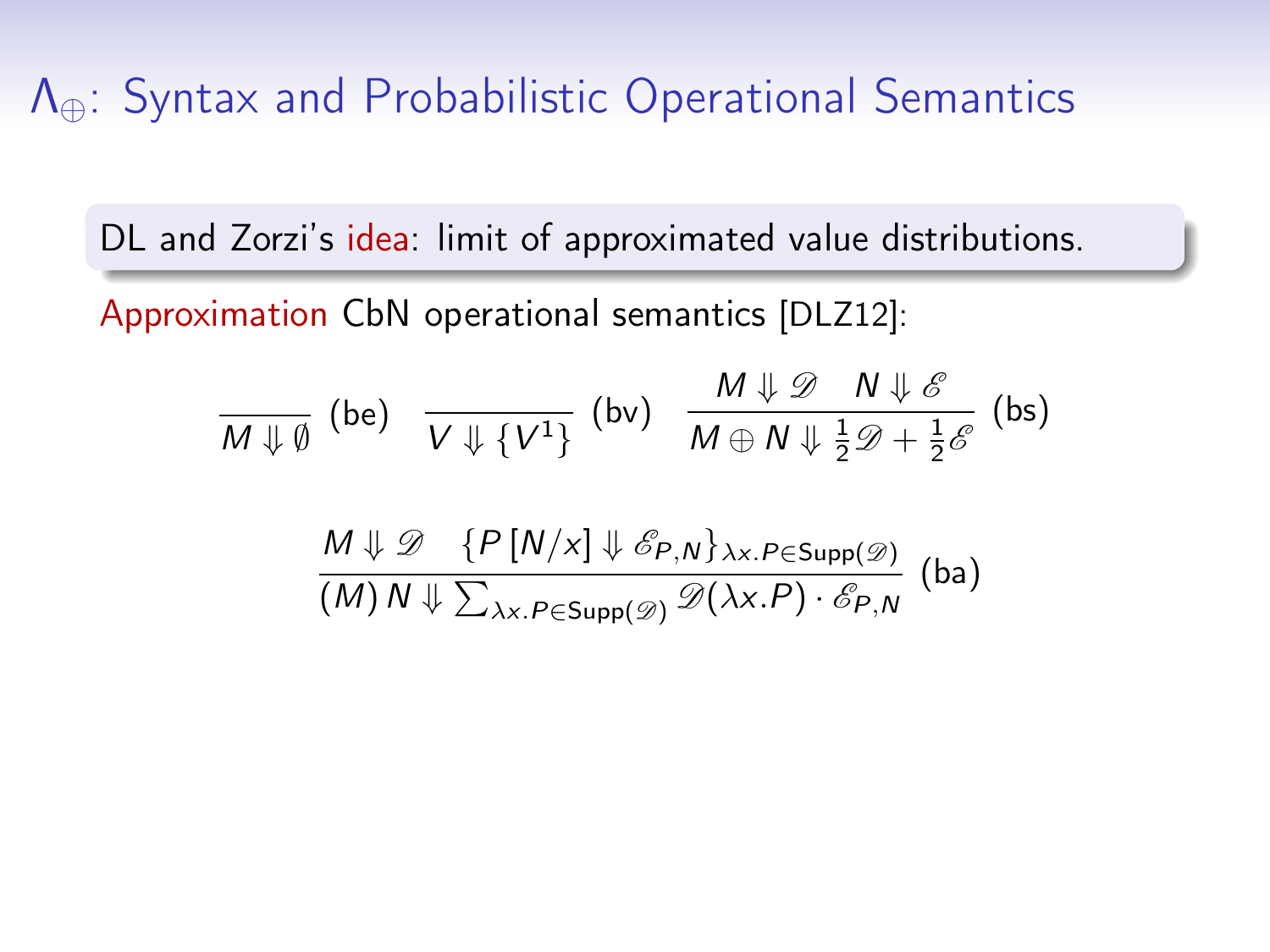DL and Zorzi's idea: limit of approximated value distributions.

Approximation CbN operational semantics [\[DLZ12\]](#page-0-0):

$$
\frac{M \downarrow \emptyset}{M \downarrow \emptyset} \text{ (be)} \quad \frac{V \downarrow \{V^1\}}{V \downarrow \{V^1\}} \text{ (bv)} \quad \frac{M \downarrow \emptyset}{M \oplus N \downarrow \frac{1}{2} \emptyset + \frac{1}{2} \mathscr{E}} \text{ (bs)}
$$

$$
\frac{M \Downarrow \mathscr{D} \{P[N/x] \Downarrow \mathscr{E}_{P,N}\}_{\lambda x.P \in \text{Supp}(\mathscr{D})}}{(M) N \Downarrow \sum_{\lambda x.P \in \text{Supp}(\mathscr{D})} \mathscr{D}(\lambda x.P) \cdot \mathscr{E}_{P,N} \quad \text{(ba)}
$$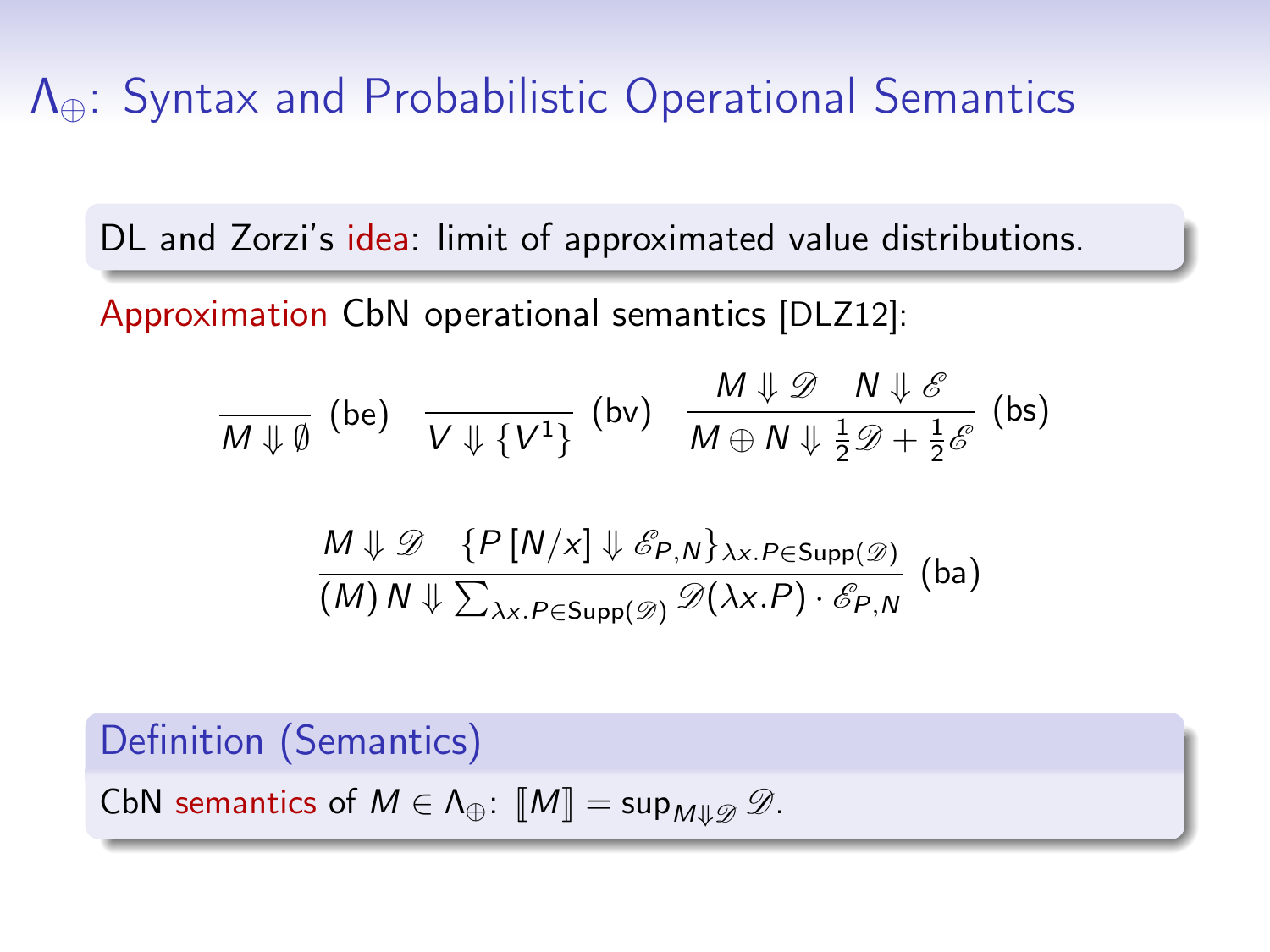DL and Zorzi's idea: limit of approximated value distributions.

Approximation CbN operational semantics [\[DLZ12\]](#page-0-0):

$$
\frac{M\downarrow \emptyset}{M\downarrow \emptyset} \text{ (be)} \quad \frac{V\downarrow \{V^1\}}{V\downarrow \{V^1\}} \text{ (bv)} \quad \frac{M\downarrow \emptyset}{M\oplus N\downarrow \frac{1}{2}\mathscr{D}+\frac{1}{2}\mathscr{E}} \text{ (bs)}
$$

$$
\frac{M \Downarrow \mathscr{D} \{P[N/x] \Downarrow \mathscr{E}_{P,N}\}_{\lambda x.P \in \text{Supp}(\mathscr{D})}}{(M) N \Downarrow \sum_{\lambda x.P \in \text{Supp}(\mathscr{D})} \mathscr{D}(\lambda x.P) \cdot \mathscr{E}_{P,N}} \text{ (ba)}
$$

Definition (Semantics)

CbN semantics of  $M \in \Lambda_{\oplus}$ :  $\llbracket M \rrbracket = \sup_{M \downarrow \downarrow \emptyset} \mathscr{D}$ .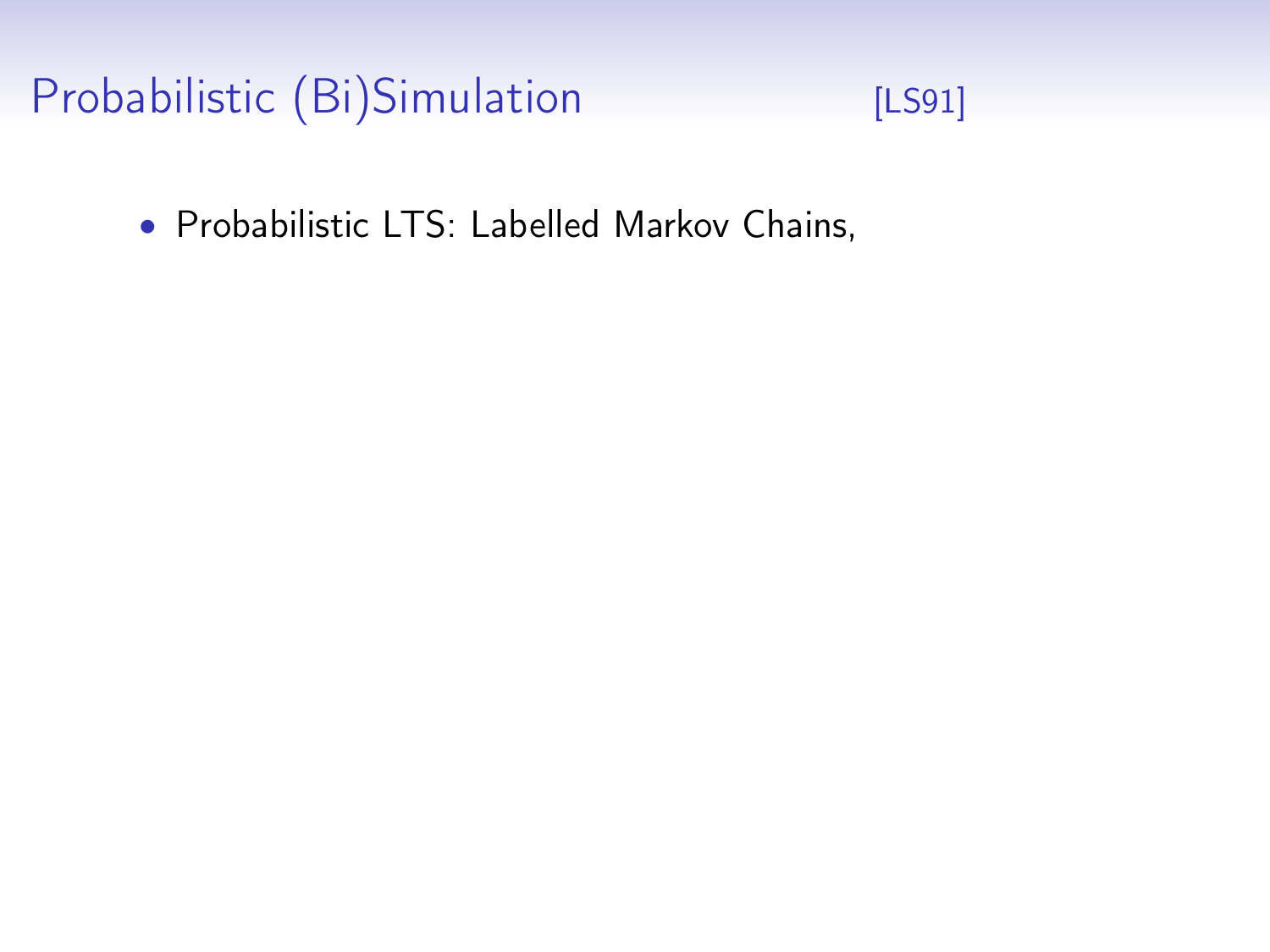# Probabilistic (Bi)Simulation [\[LS91\]](#page-0-0)



• Probabilistic LTS: Labelled Markov Chains,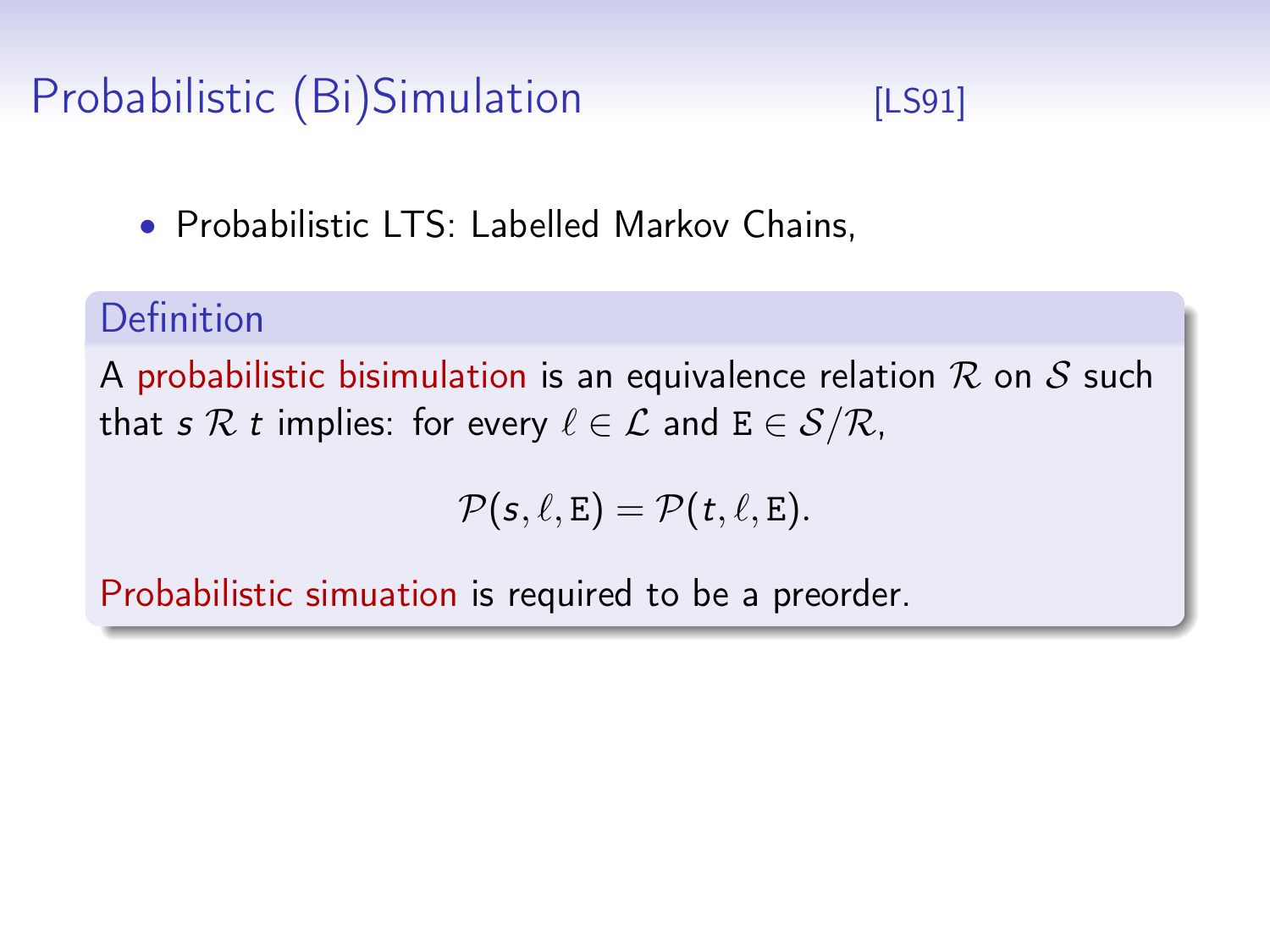# Probabilistic (Bi)Simulation [\[LS91\]](#page-0-0)

• Probabilistic LTS: Labelled Markov Chains,

#### Definition

A probabilistic bisimulation is an equivalence relation  $R$  on  $S$  such that s R t implies: for every  $\ell \in \mathcal{L}$  and  $E \in \mathcal{S}/\mathcal{R}$ ,

$$
\mathcal{P}(s,\ell,E)=\mathcal{P}(t,\ell,E).
$$

Probabilistic simuation is required to be a preorder.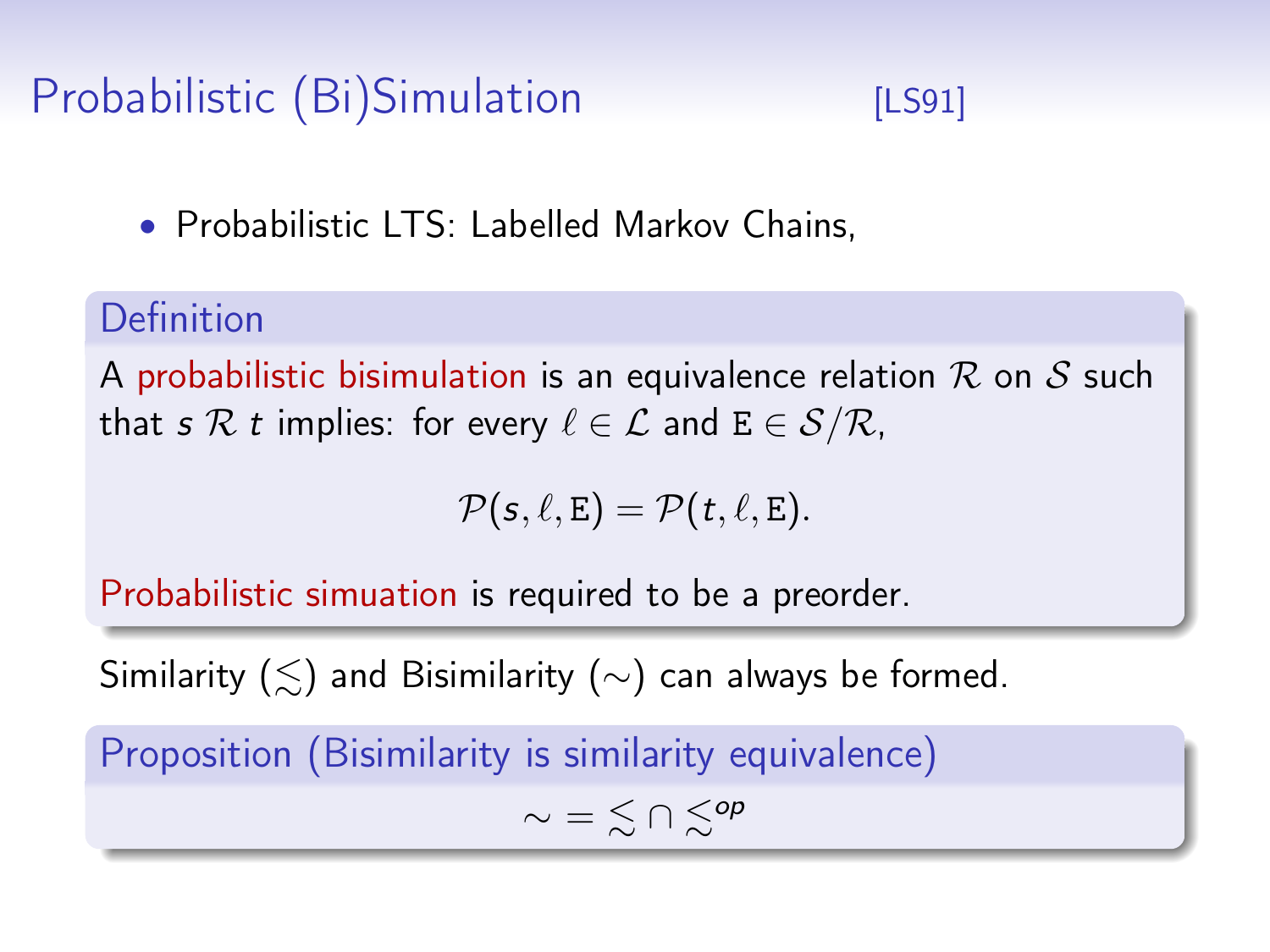# Probabilistic (Bi)Simulation [\[LS91\]](#page-0-0)

• Probabilistic LTS: Labelled Markov Chains,

#### Definition

A probabilistic bisimulation is an equivalence relation  $R$  on  $S$  such that s R t implies: for every  $\ell \in \mathcal{L}$  and  $E \in \mathcal{S}/\mathcal{R}$ ,

$$
\mathcal{P}(s,\ell,E)=\mathcal{P}(t,\ell,E).
$$

Probabilistic simuation is required to be a preorder.

Similarity ( $\leq$ ) and Bisimilarity (∼) can always be formed.

Proposition (Bisimilarity is similarity equivalence)

$$
\sim \; = \; \lesssim \cap \; \lesssim^{op}
$$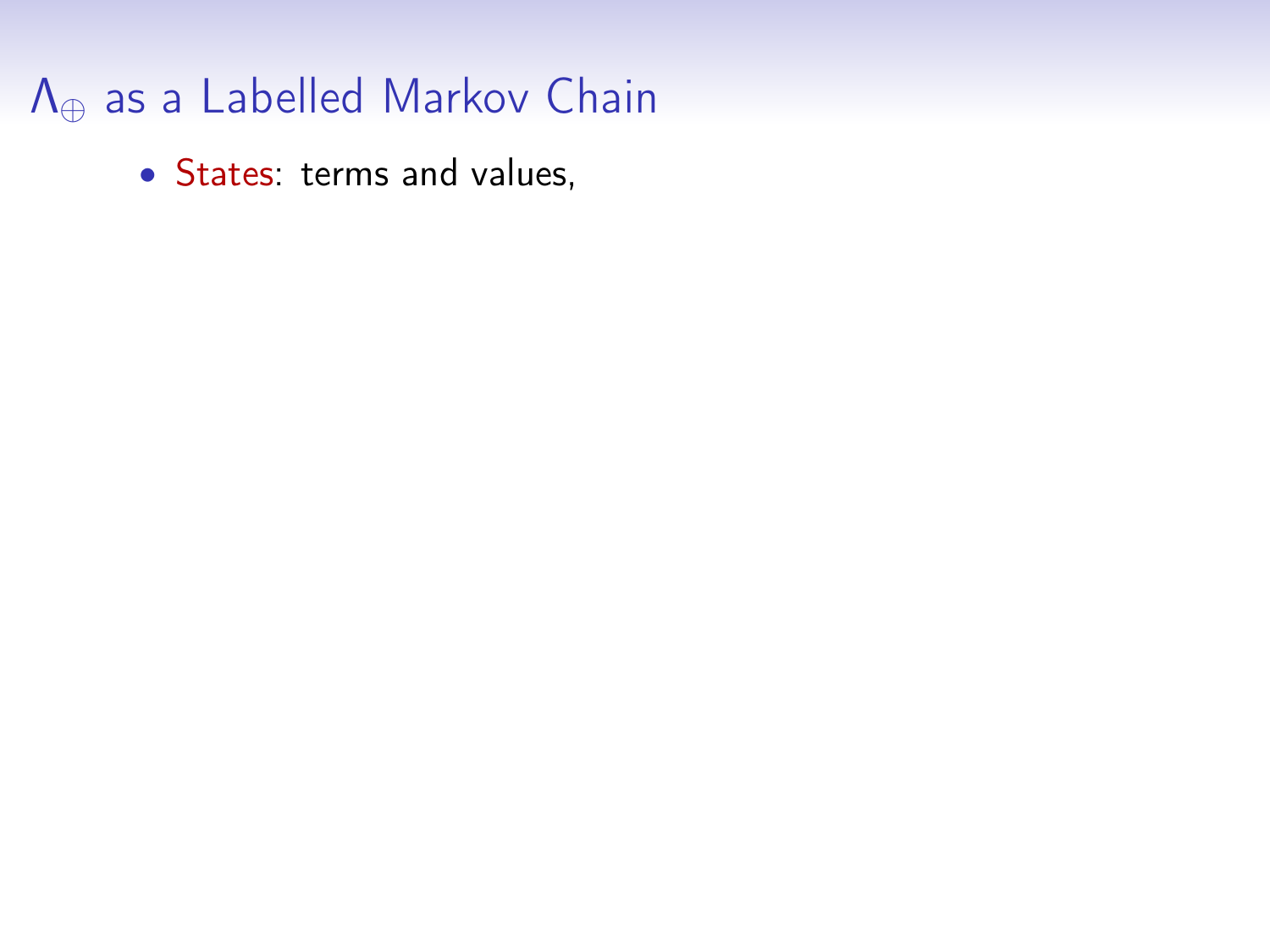### Λ<sup>⊕</sup> as a Labelled Markov Chain

• States: terms and values,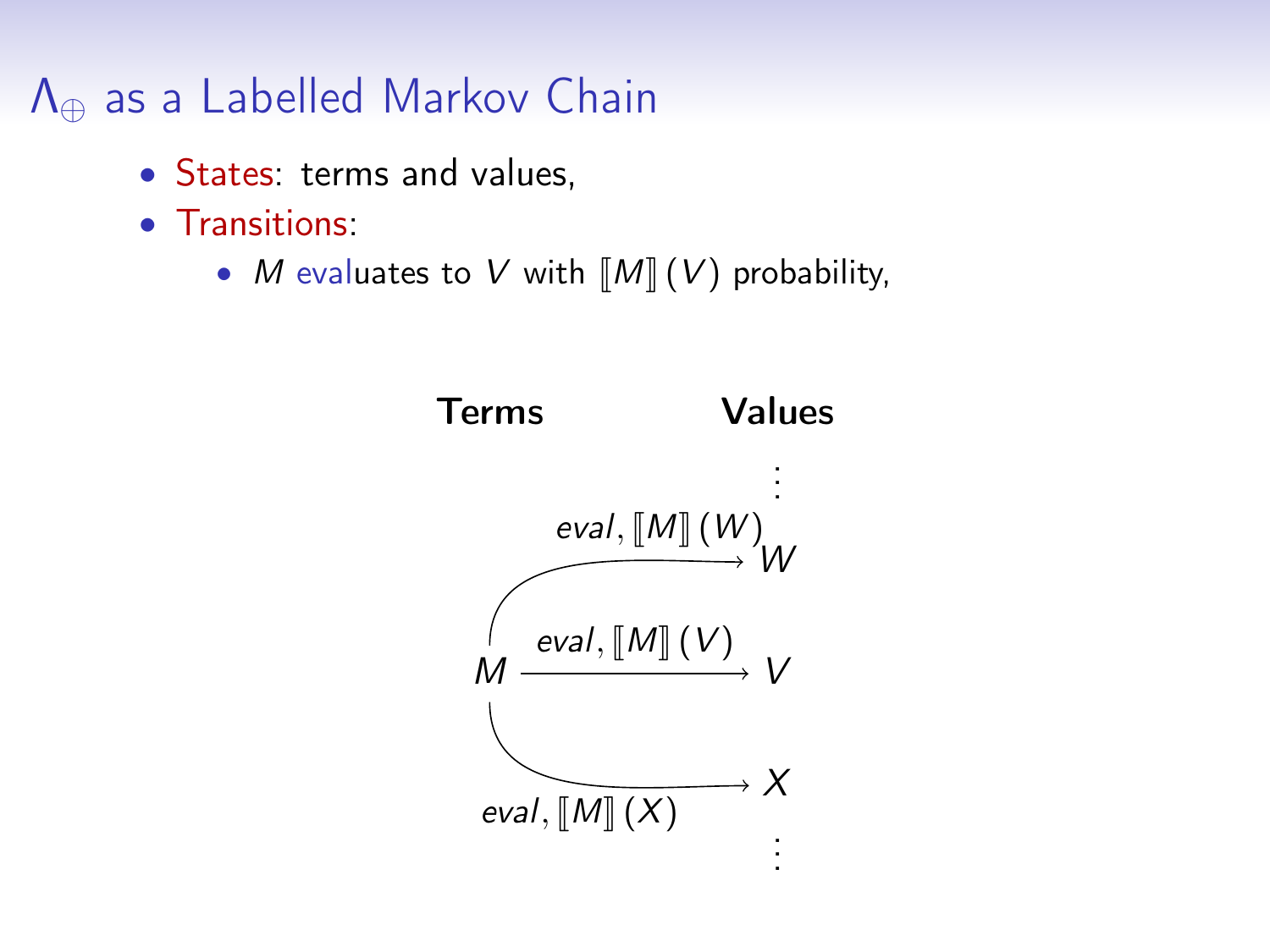#### Λ<sup>⊕</sup> as a Labelled Markov Chain

- States: terms and values,
- Transitions:
	- M evaluates to V with  $\llbracket M \rrbracket (V)$  probability,

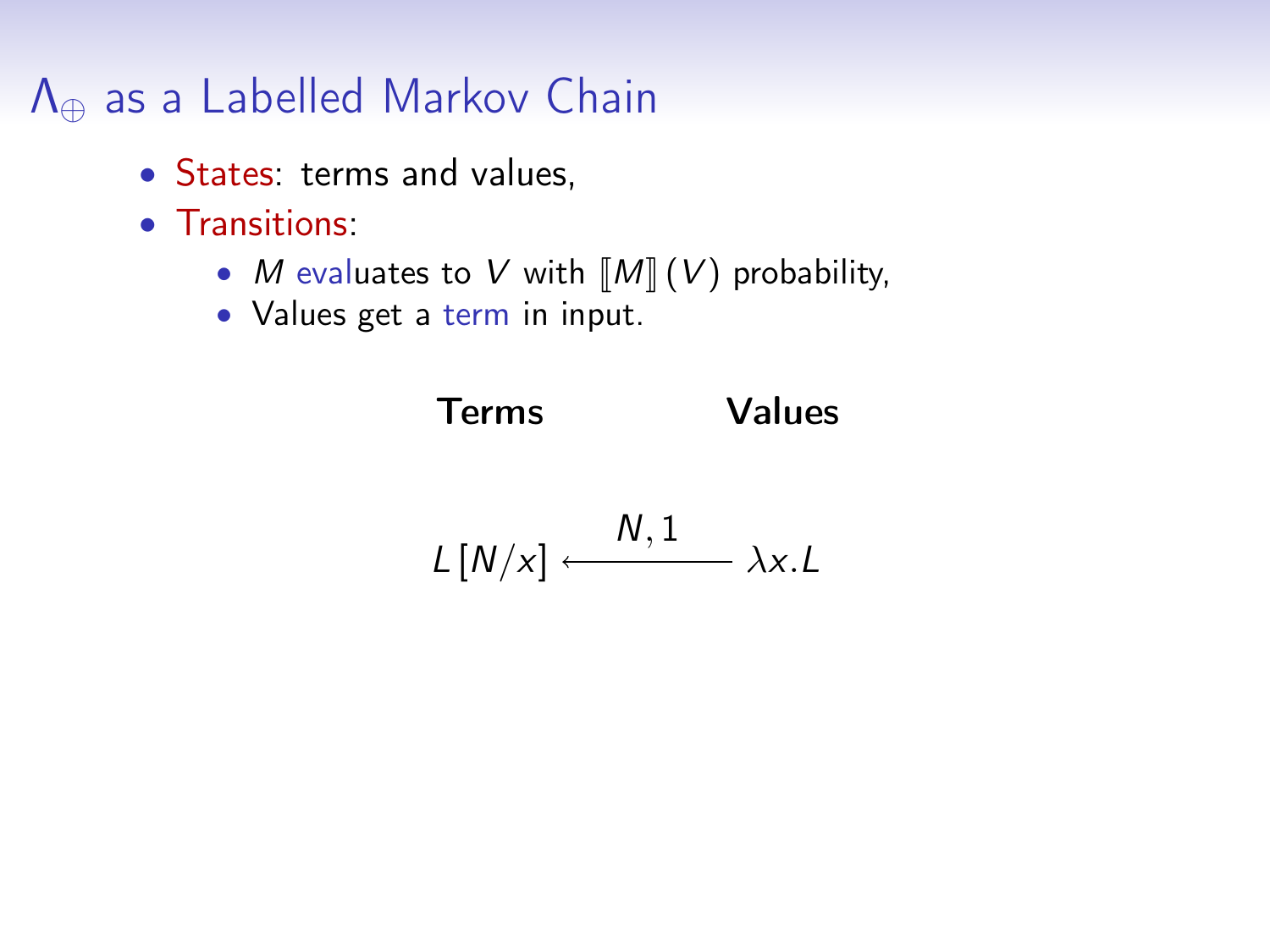#### Λ<sup>⊕</sup> as a Labelled Markov Chain

- States: terms and values,
- Transitions:
	- *M* evaluates to *V* with  $\llbracket M \rrbracket$  (*V*) probability,
	- Values get a term in input.

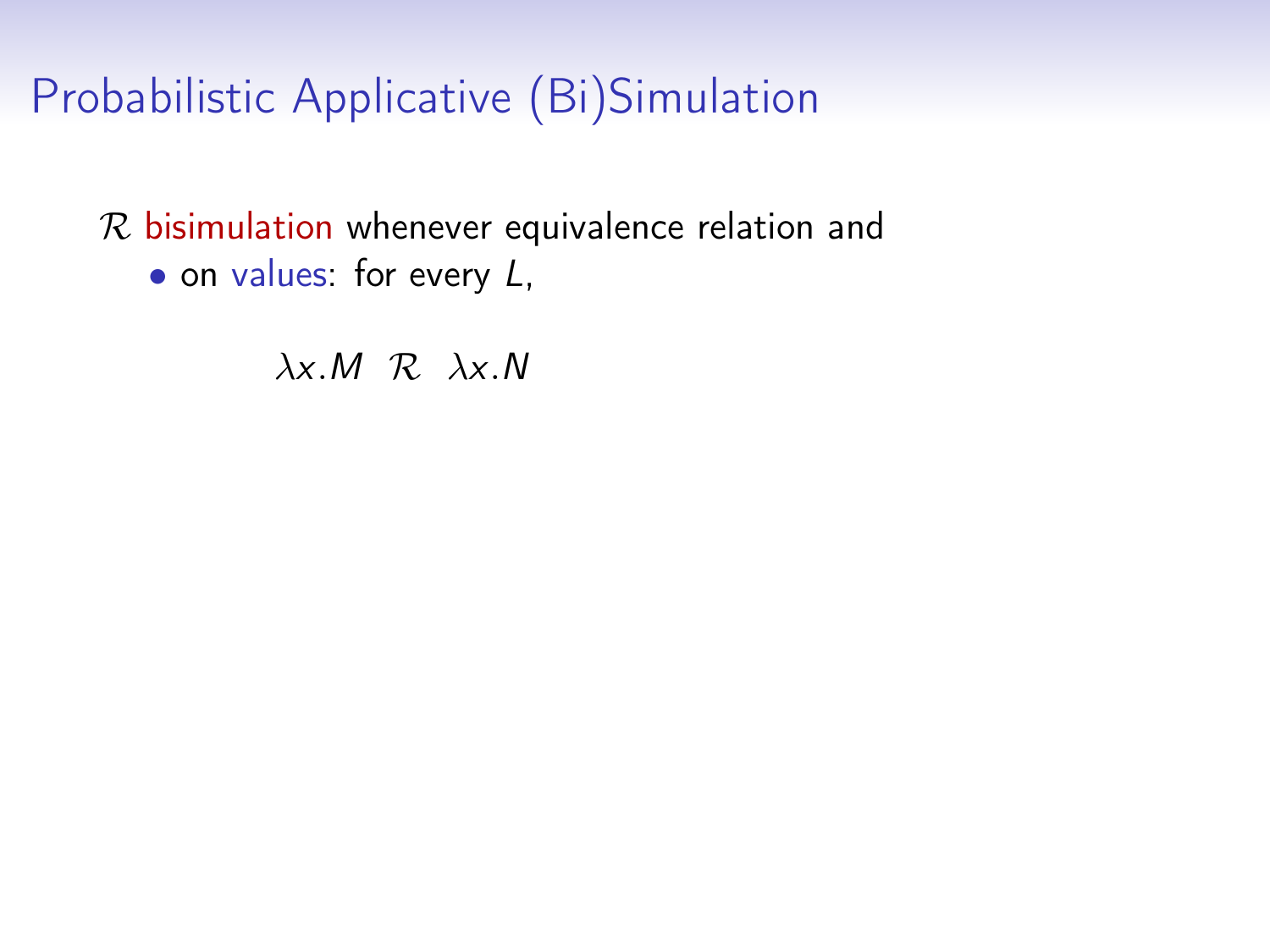$R$  bisimulation whenever equivalence relation and

• on values: for every L,

 $\lambda x.M \mathcal{R} \lambda x.N$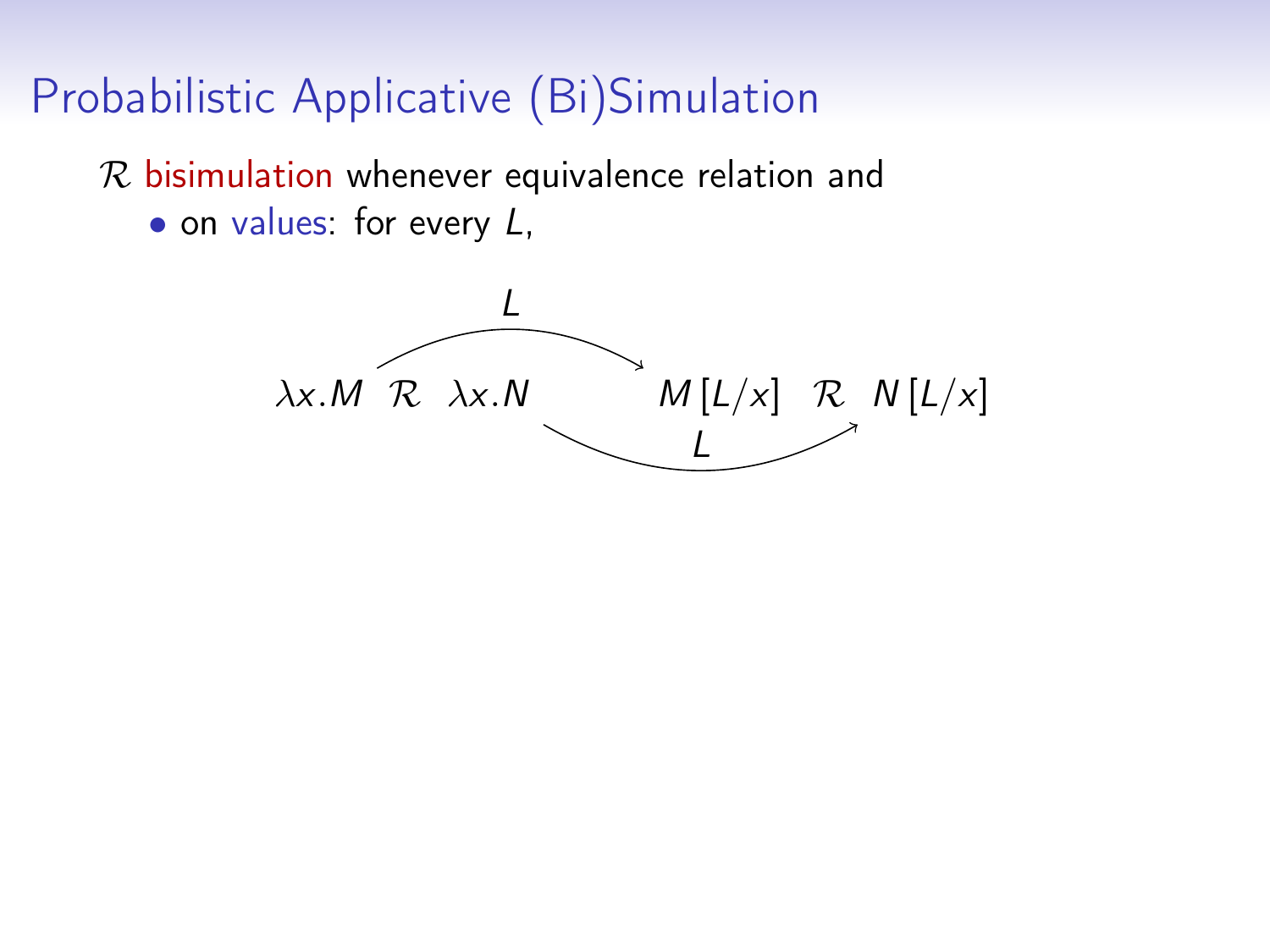$R$  bisimulation whenever equivalence relation and  $\bullet$  on values: for every  $L$ ,

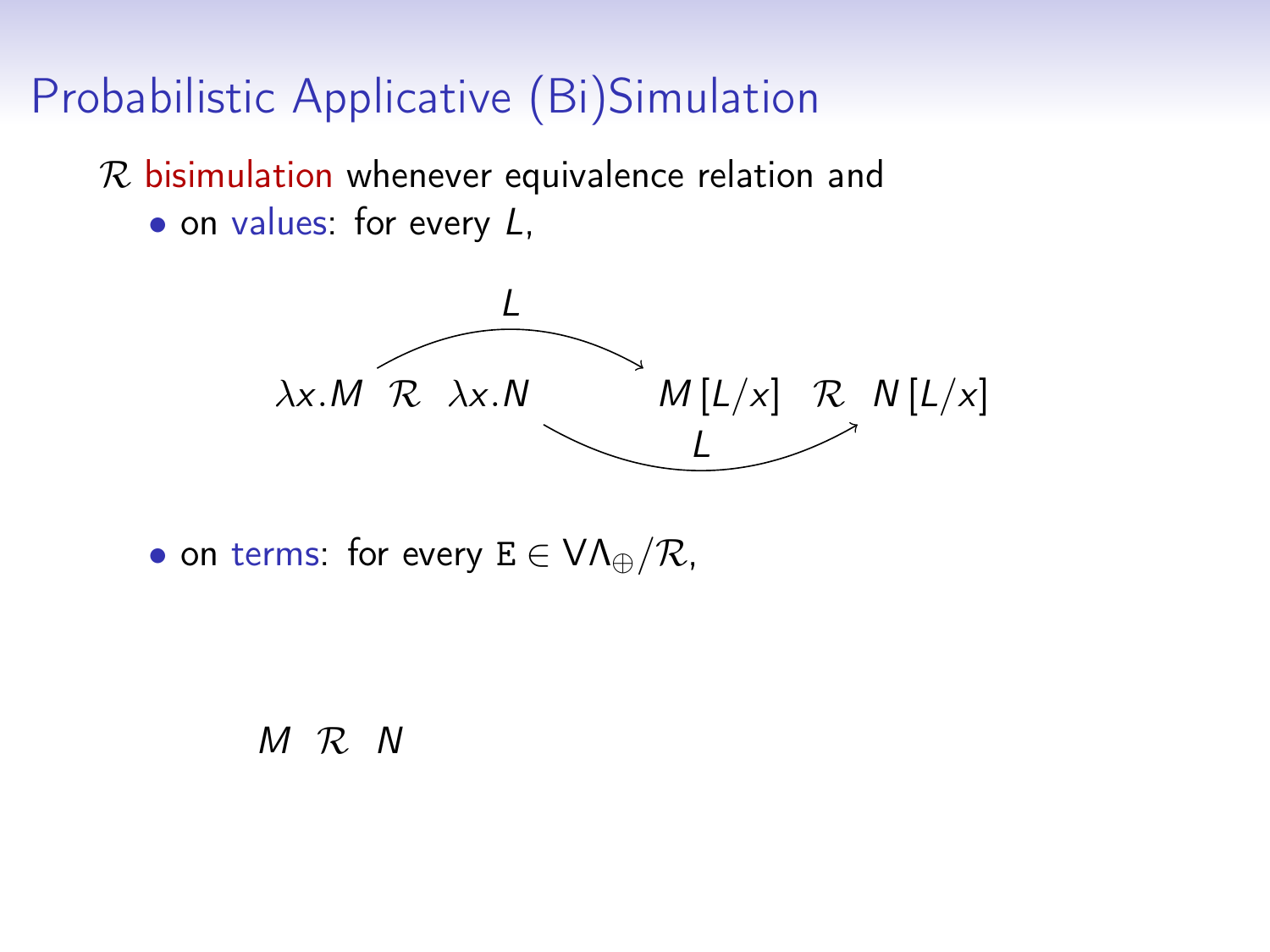$R$  bisimulation whenever equivalence relation and

• on values: for every L,



• on terms: for every  $E \in VA_{\oplus}/\mathcal{R}$ ,

M R N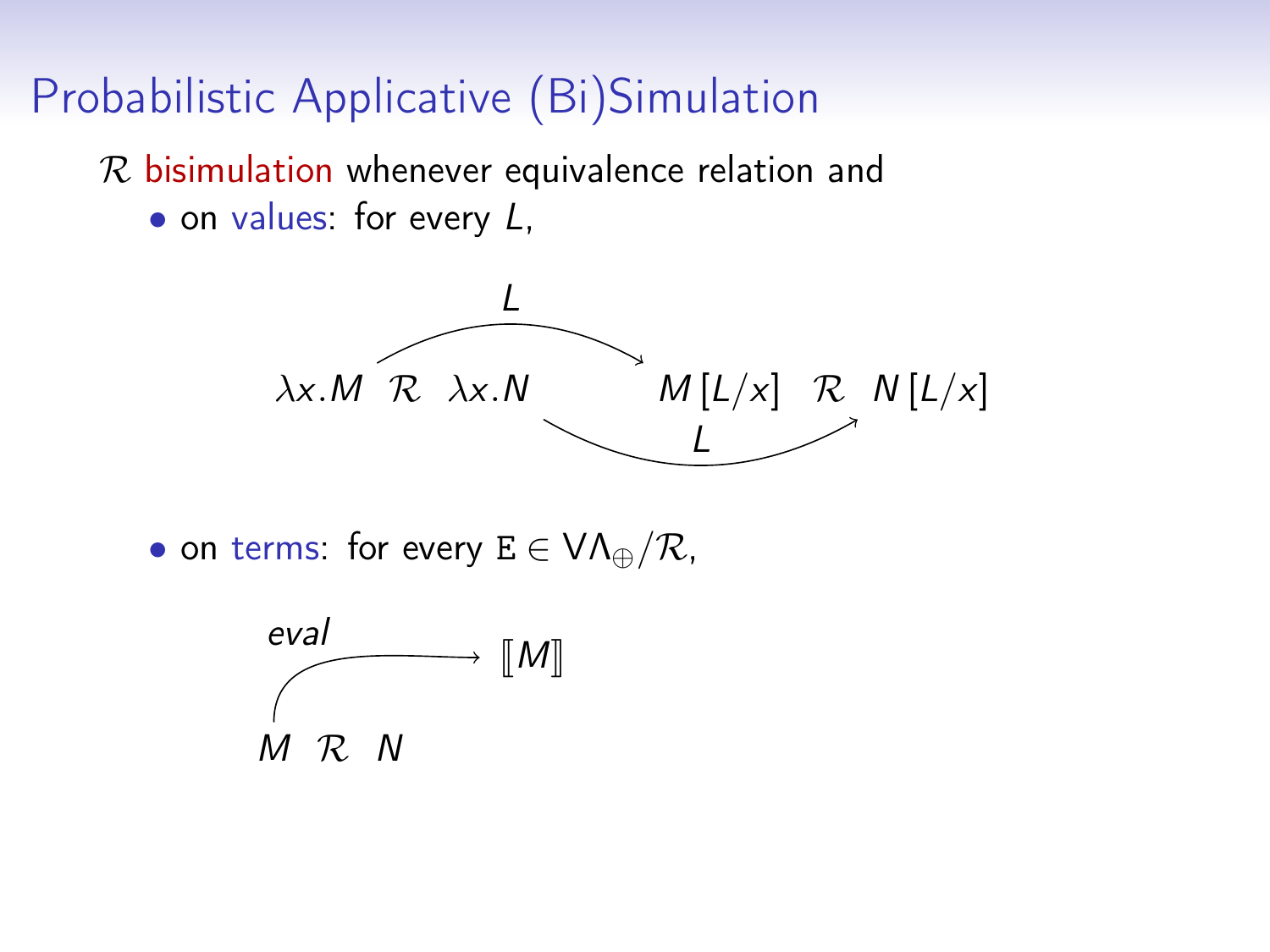$R$  bisimulation whenever equivalence relation and

• on values: for every L,



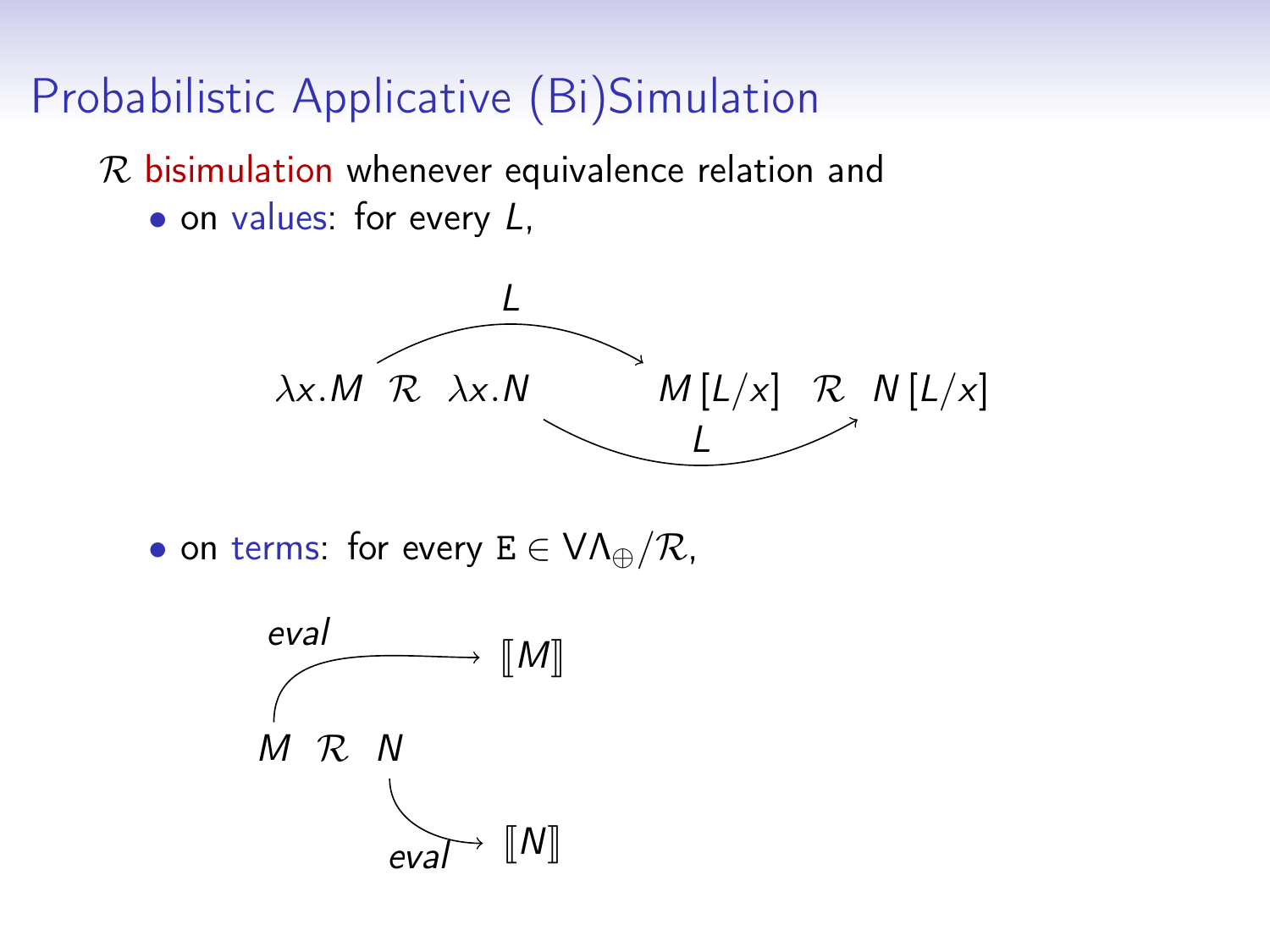$R$  bisimulation whenever equivalence relation and

• on values: for every L,



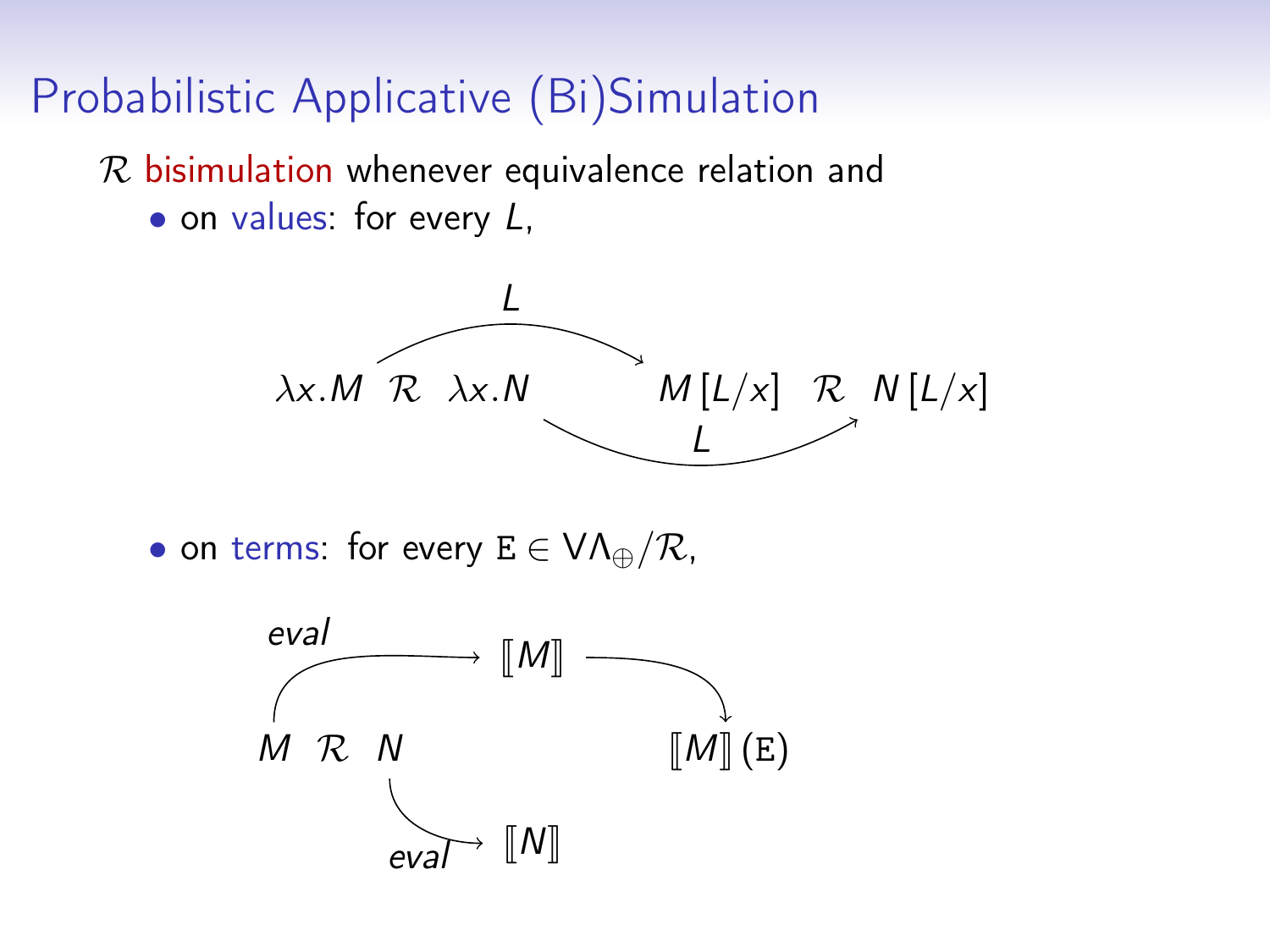$R$  bisimulation whenever equivalence relation and

• on values: for every L,



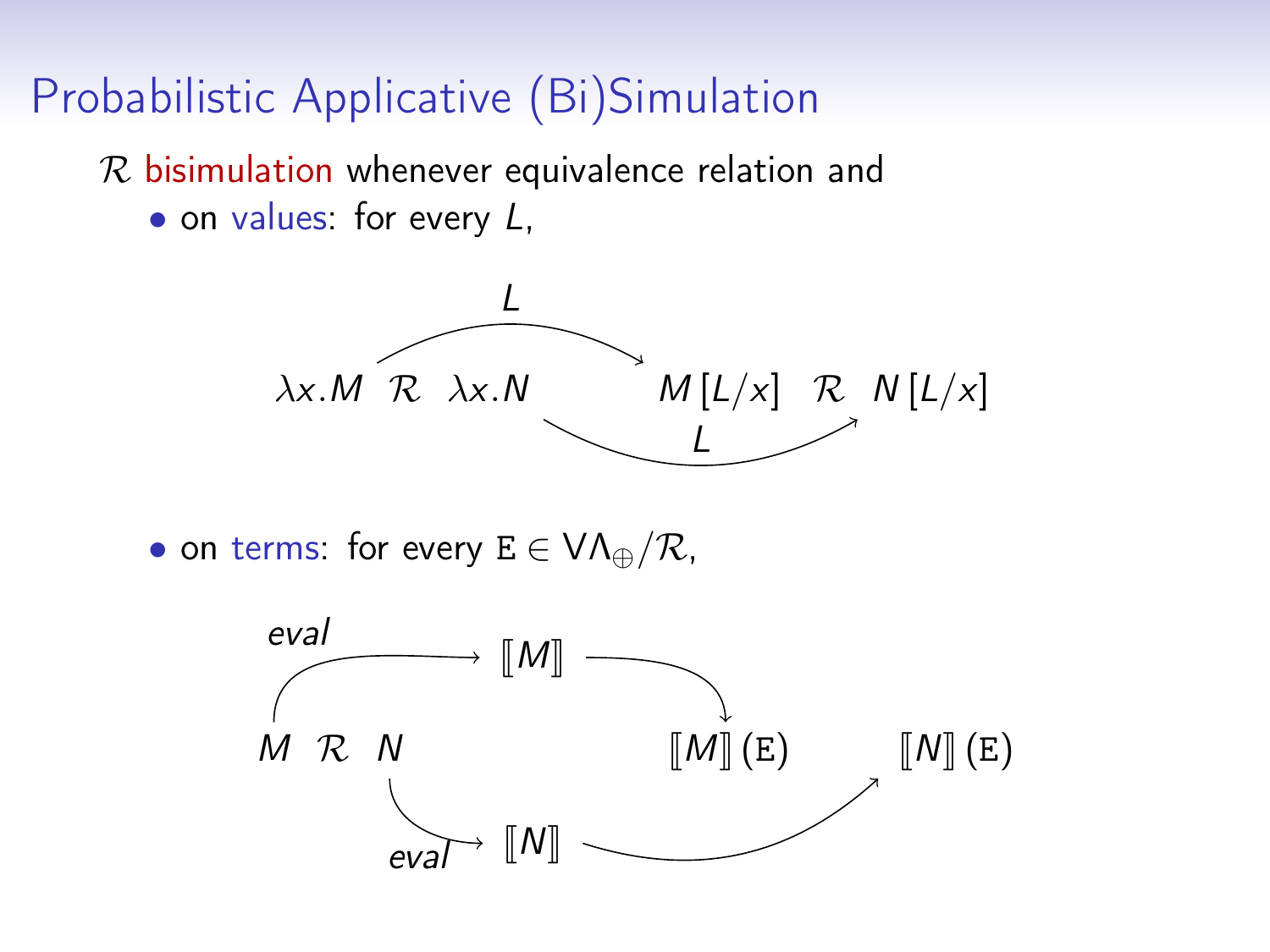$R$  bisimulation whenever equivalence relation and

• on values: for every L,



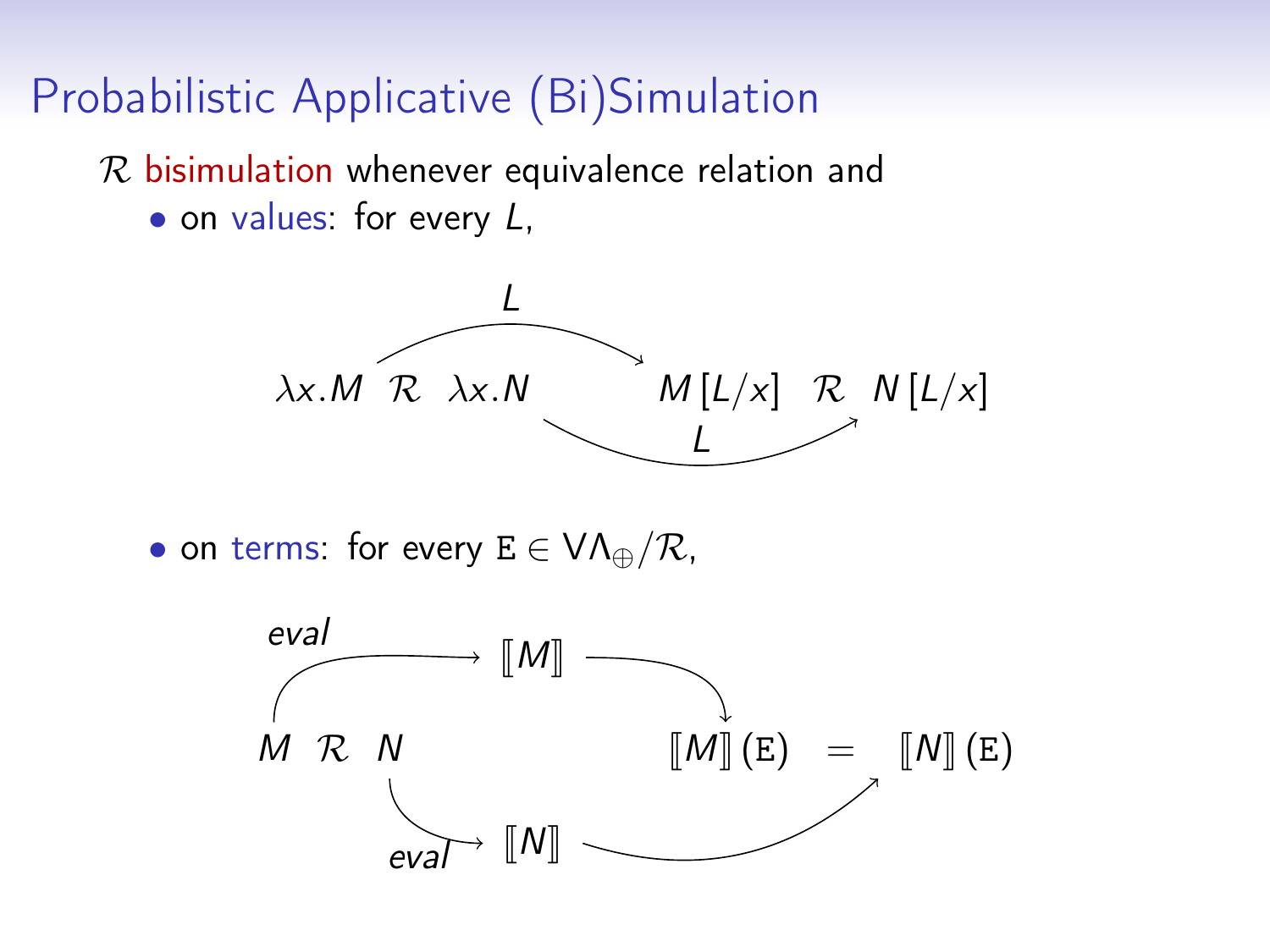$R$  bisimulation whenever equivalence relation and

• on values: for every L,



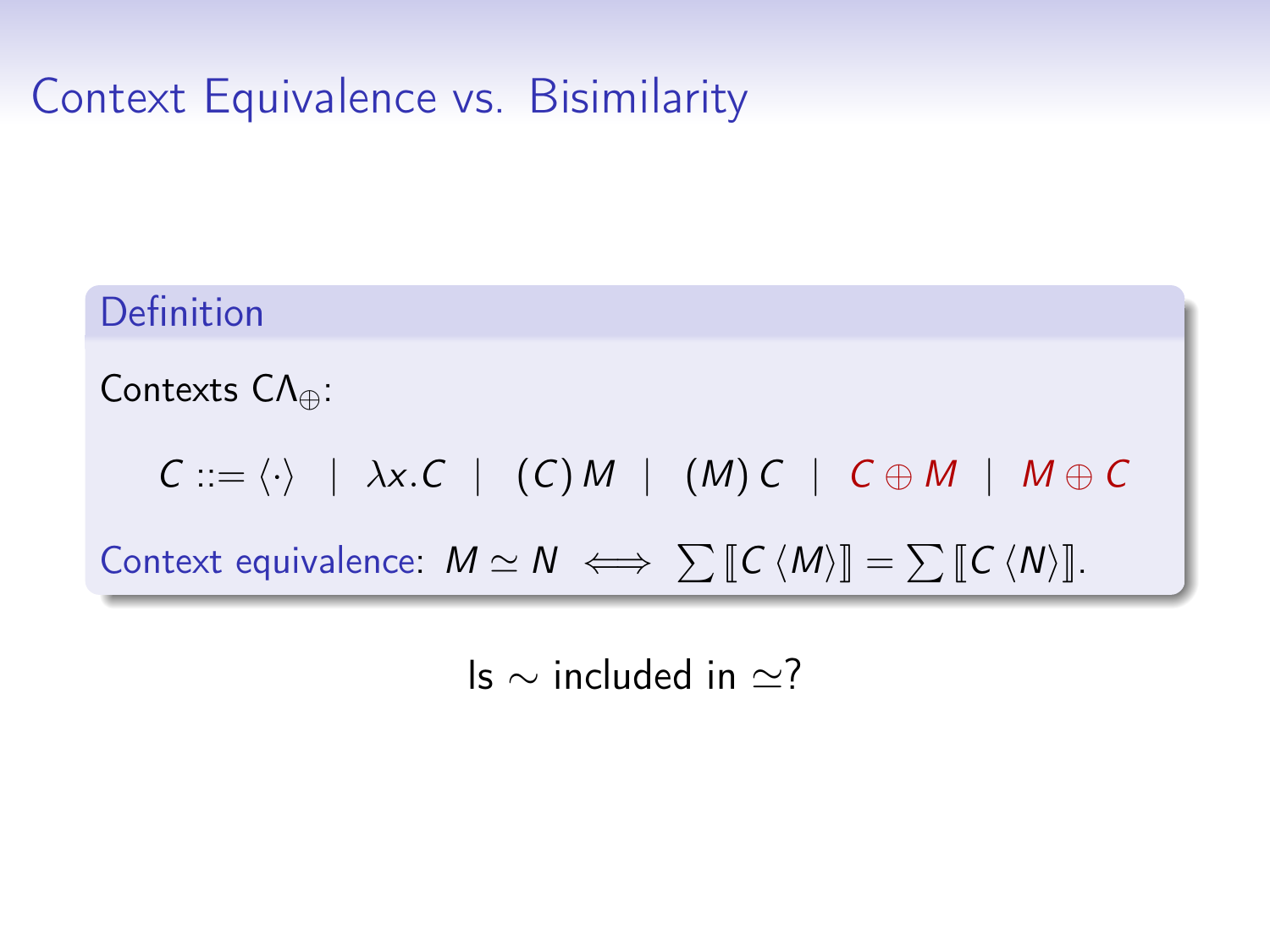# Context Equivalence vs. Bisimilarity

#### Definition

Contexts CΛ⊕:

 $C ::= \langle \cdot \rangle$  |  $\lambda x.C$  | (C) M | (M) C |  $C \oplus M$  |  $M \oplus C$ 

Context equivalence:  $M \simeq N \iff \sum [[C \langle M \rangle]] = \sum [C \langle N \rangle]].$ 

Is  $\sim$  included in  $\approx$ ?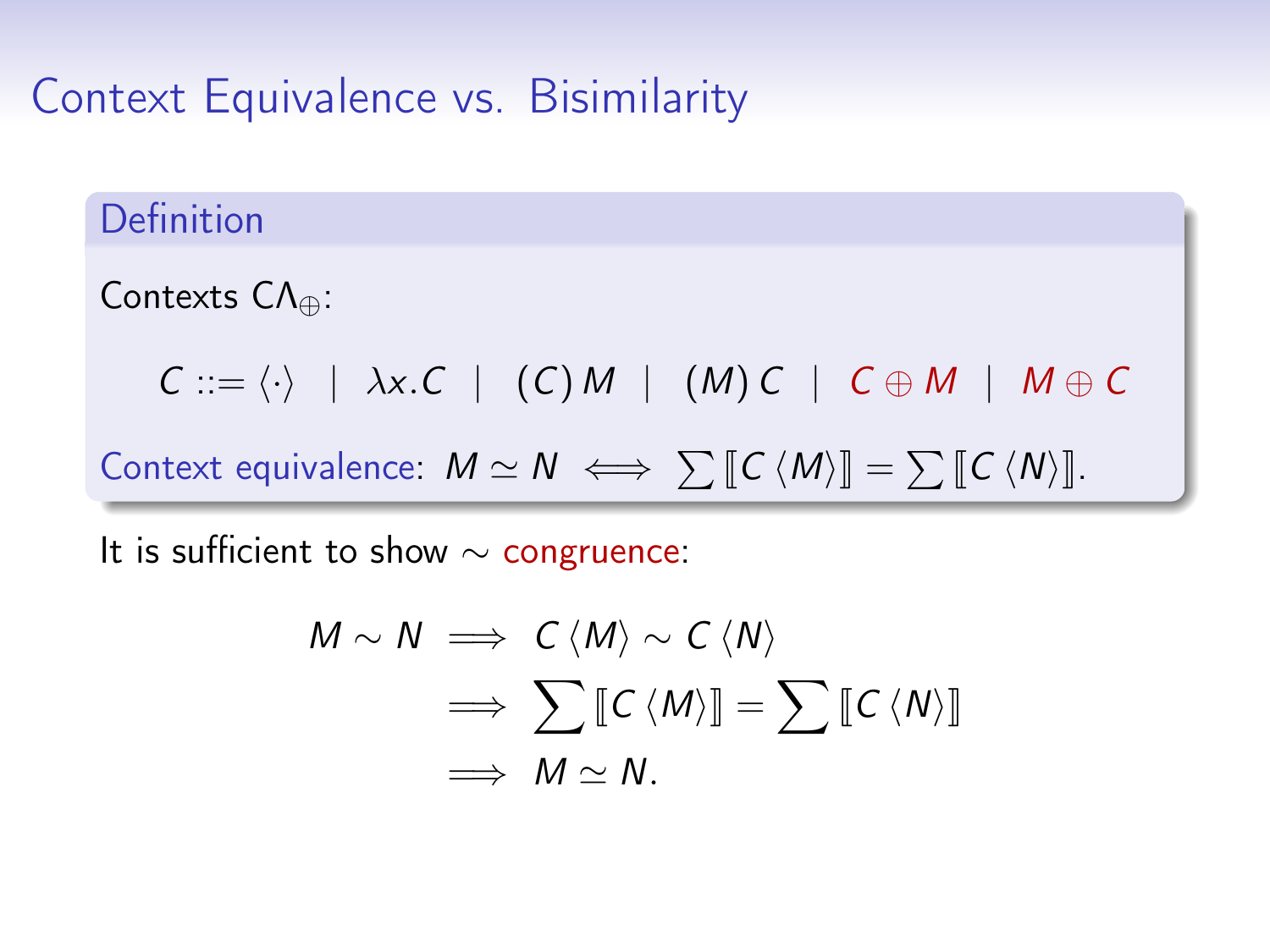# Context Equivalence vs. Bisimilarity

#### Definition

Contexts CΛ⊕:

 $C ::= \langle \cdot \rangle$  |  $\lambda x.C$  | (C) M | (M) C |  $C \oplus M$  | M  $\oplus C$ 

Context equivalence:  $M \simeq N \iff \sum [[C \langle M \rangle]] = \sum [C \langle N \rangle]].$ 

It is sufficient to show  $\sim$  congruence:

$$
M \sim N \implies C \langle M \rangle \sim C \langle N \rangle
$$
  
\n
$$
\implies \sum [\![C \langle M \rangle]\!] = \sum [\![C \langle N \rangle]\!]
$$
  
\n
$$
\implies M \simeq N.
$$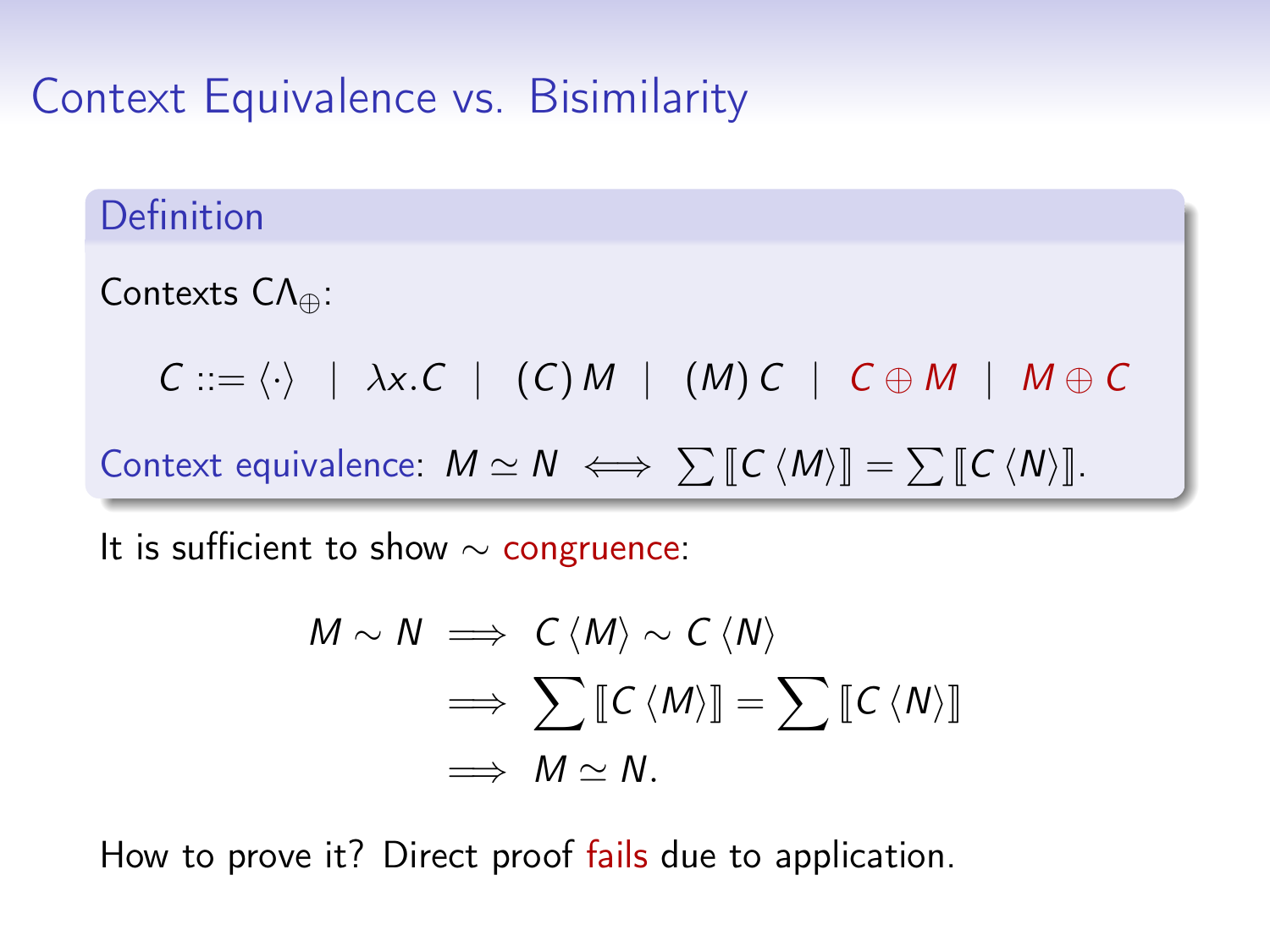#### Context Equivalence vs. Bisimilarity

#### Definition

Contexts CΛ⊕:

 $C ::= \langle \cdot \rangle$  |  $\lambda x.C$  | (C) M | (M) C |  $C \oplus M$  | M  $\oplus C$ 

Context equivalence:  $M \simeq N \iff \sum [[C \langle M \rangle]] = \sum [C \langle N \rangle]].$ 

It is sufficient to show  $\sim$  congruence:

$$
M \sim N \implies C \langle M \rangle \sim C \langle N \rangle
$$
  
\n
$$
\implies \sum [\![C \langle M \rangle]\!] = \sum [\![C \langle N \rangle]\!]
$$
  
\n
$$
\implies M \simeq N.
$$

How to prove it? Direct proof fails due to application.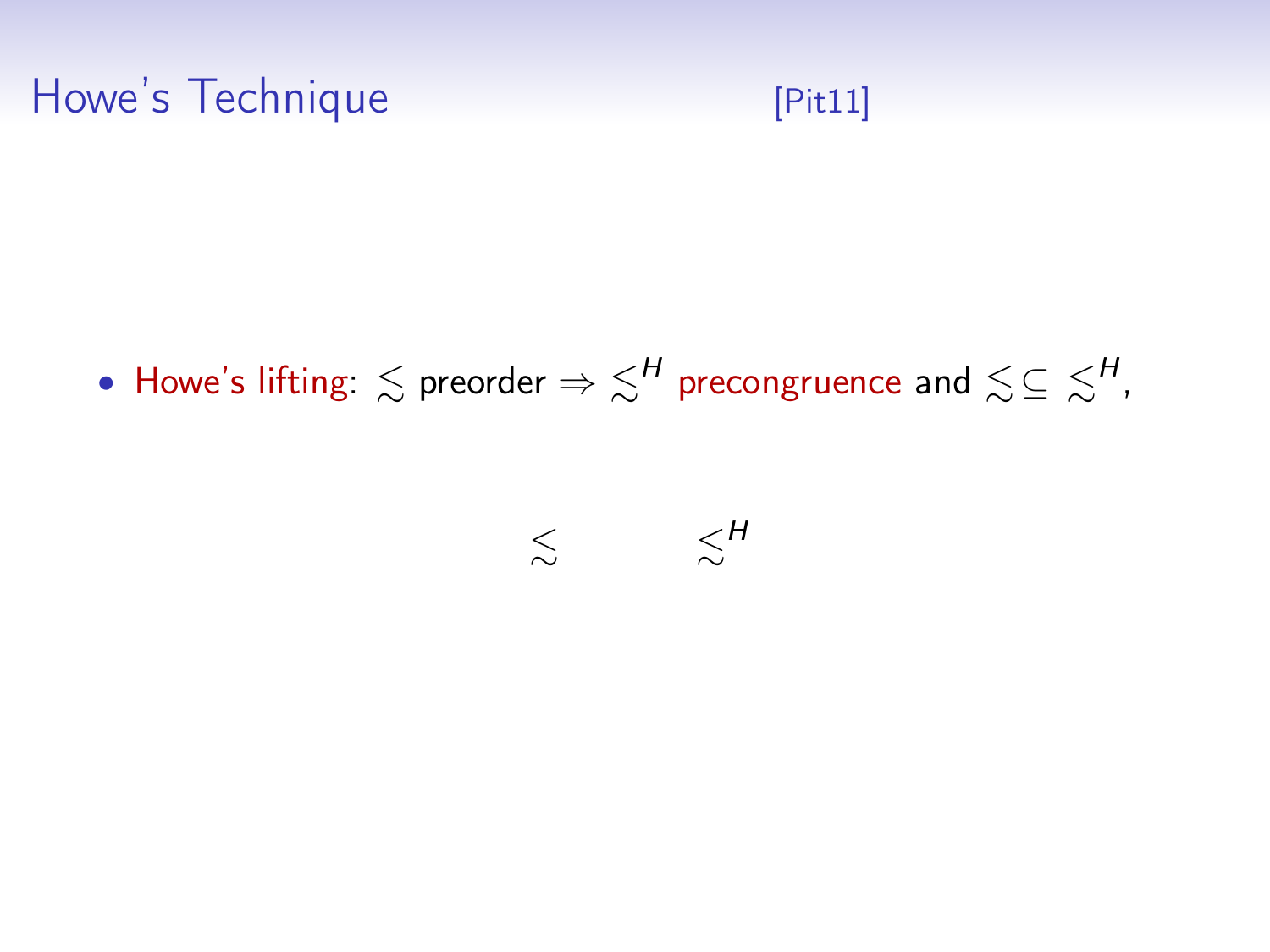# Howe's Technique **Example 19 [\[Pit11\]](#page-0-0)**

 $\bullet$  Howe's lifting:  $\lesssim$  preorder  $\Rightarrow$   $\lesssim^H$  precongruence and  $\lesssim$   $\subseteq$   $\lesssim^H$ ,

#### $\lesssim$  $\lesssim^H$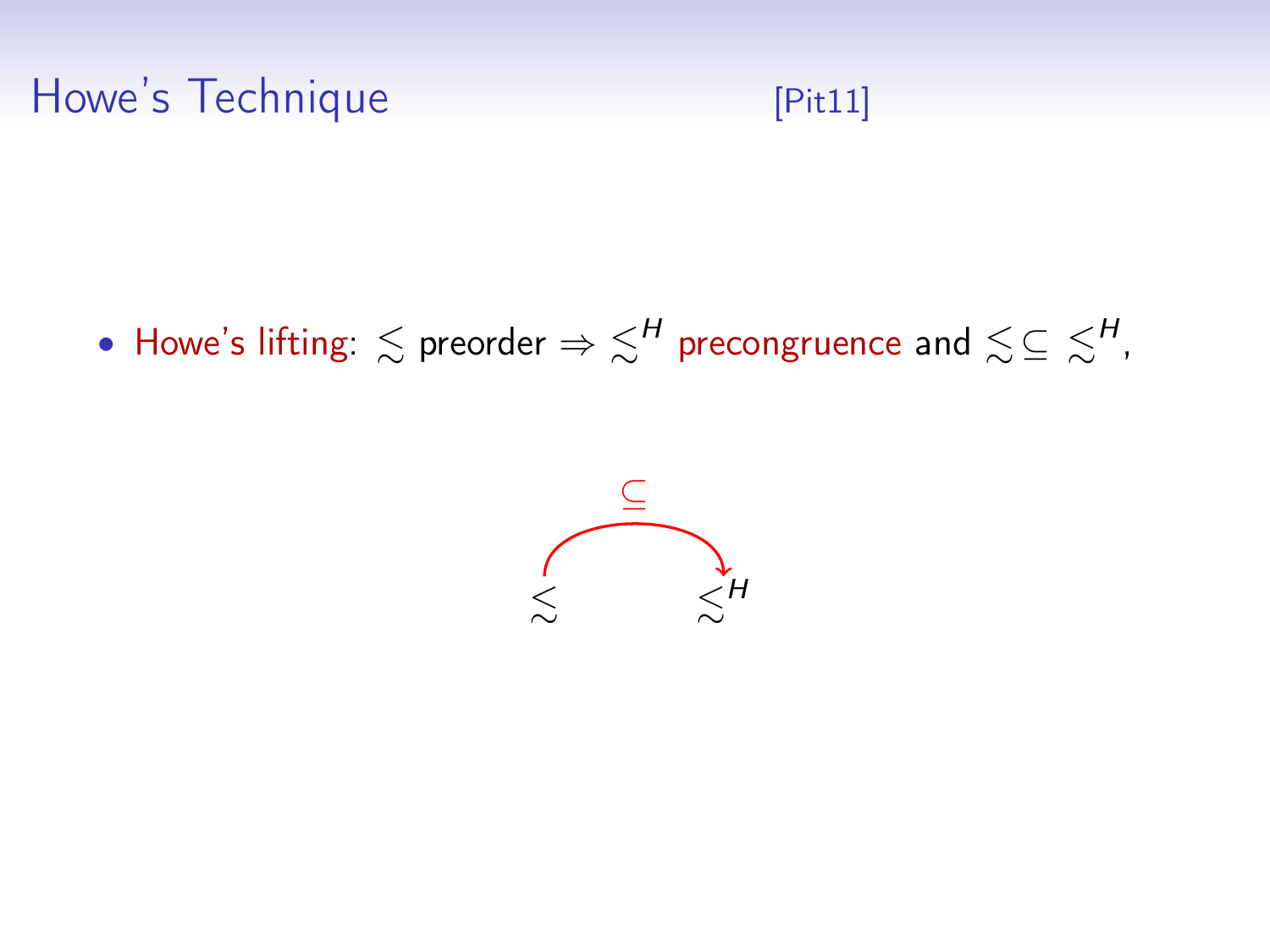#### Howe's Technique **Example 19 (Pit11)**

 $\bullet$  Howe's lifting:  $\lesssim$  preorder  $\Rightarrow$   $\lesssim^H$  precongruence and  $\lesssim$   $\subseteq$   $\lesssim^H$ ,

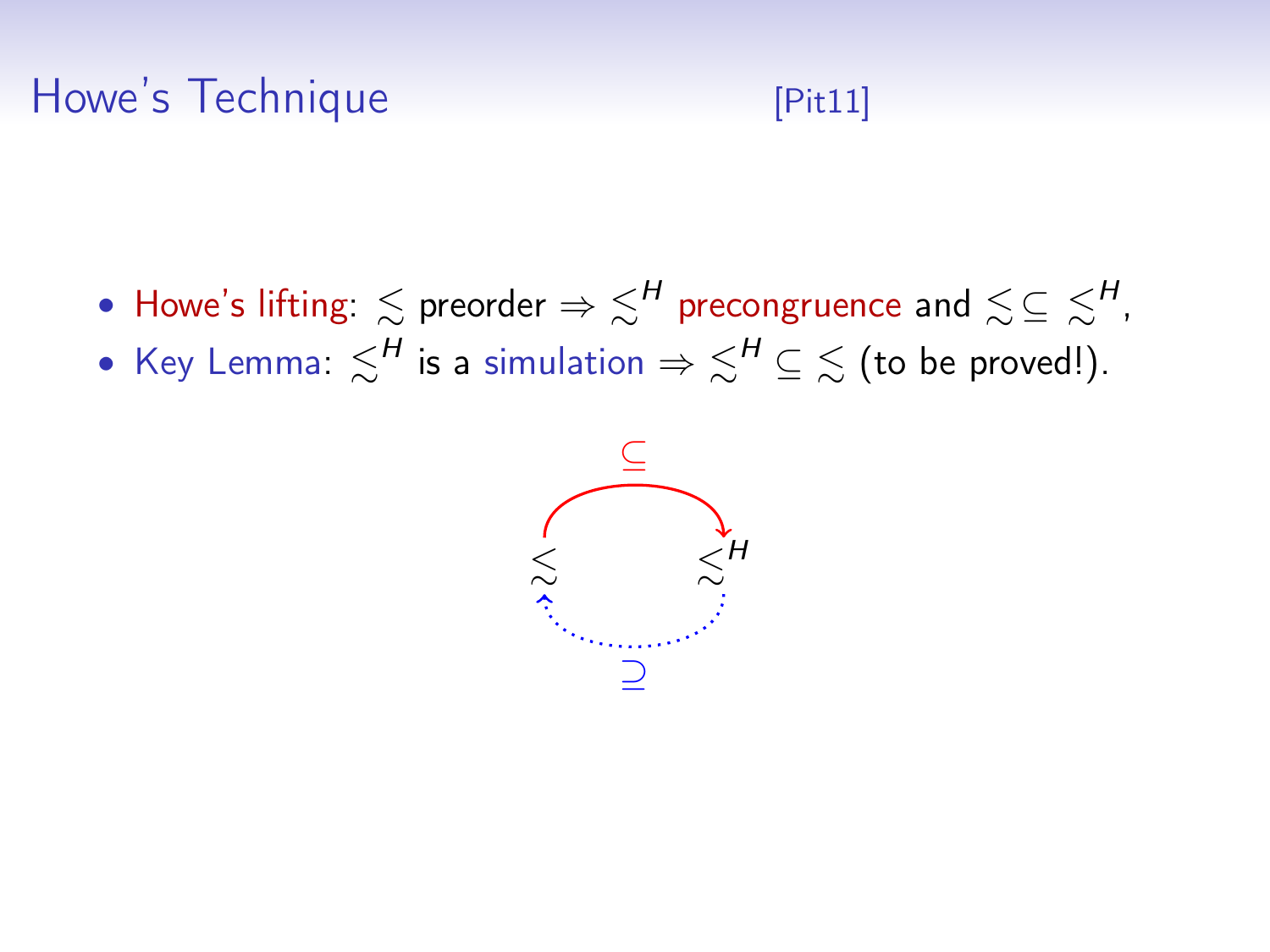# Howe's Technique [\[Pit11\]](#page-0-0)

- Howe's lifting:  $\lesssim$  preorder  $\Rightarrow$   $\lesssim^H$  precongruence and  $\lesssim$   $\subseteq$   $\lesssim^H$ ,
- Key Lemma:  $\lesssim^H$  is a simulation  $\Rightarrow \lesssim^H \subseteq \lesssim$  (to be proved!).

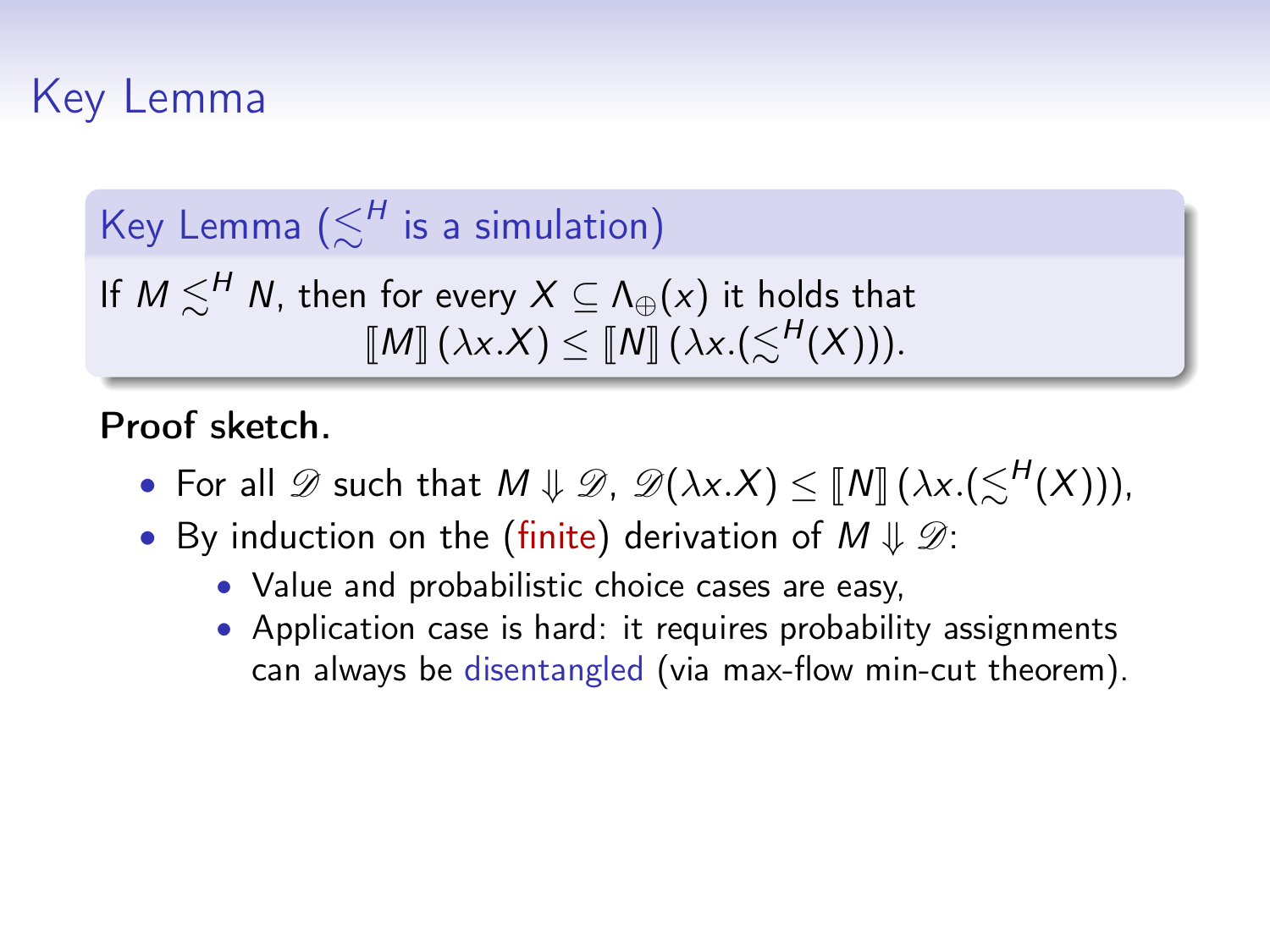# Key Lemma

Key Lemma  $(\lesssim^H$  is a simulation)

If  $M \lesssim^H N$ , then for every  $X \subseteq \Lambda_{\oplus}(x)$  it holds that  $\llbracket M \rrbracket$  ( $\lambda x.X$ )  $\leq \llbracket N \rrbracket$  ( $\lambda x.$ ( $\lesssim$ <sup>H</sup>(X))).

Proof sketch.

- For all  $\mathscr D$  such that  $M \downarrow \mathscr D$ ,  $\mathscr D(\lambda x.X) \leq [N] (\lambda x.(\leq^H(X))),$
- By induction on the (finite) derivation of  $M \Downarrow \mathscr{D}$ :
	- Value and probabilistic choice cases are easy,
	- Application case is hard: it requires probability assignments can always be disentangled (via max-flow min-cut theorem).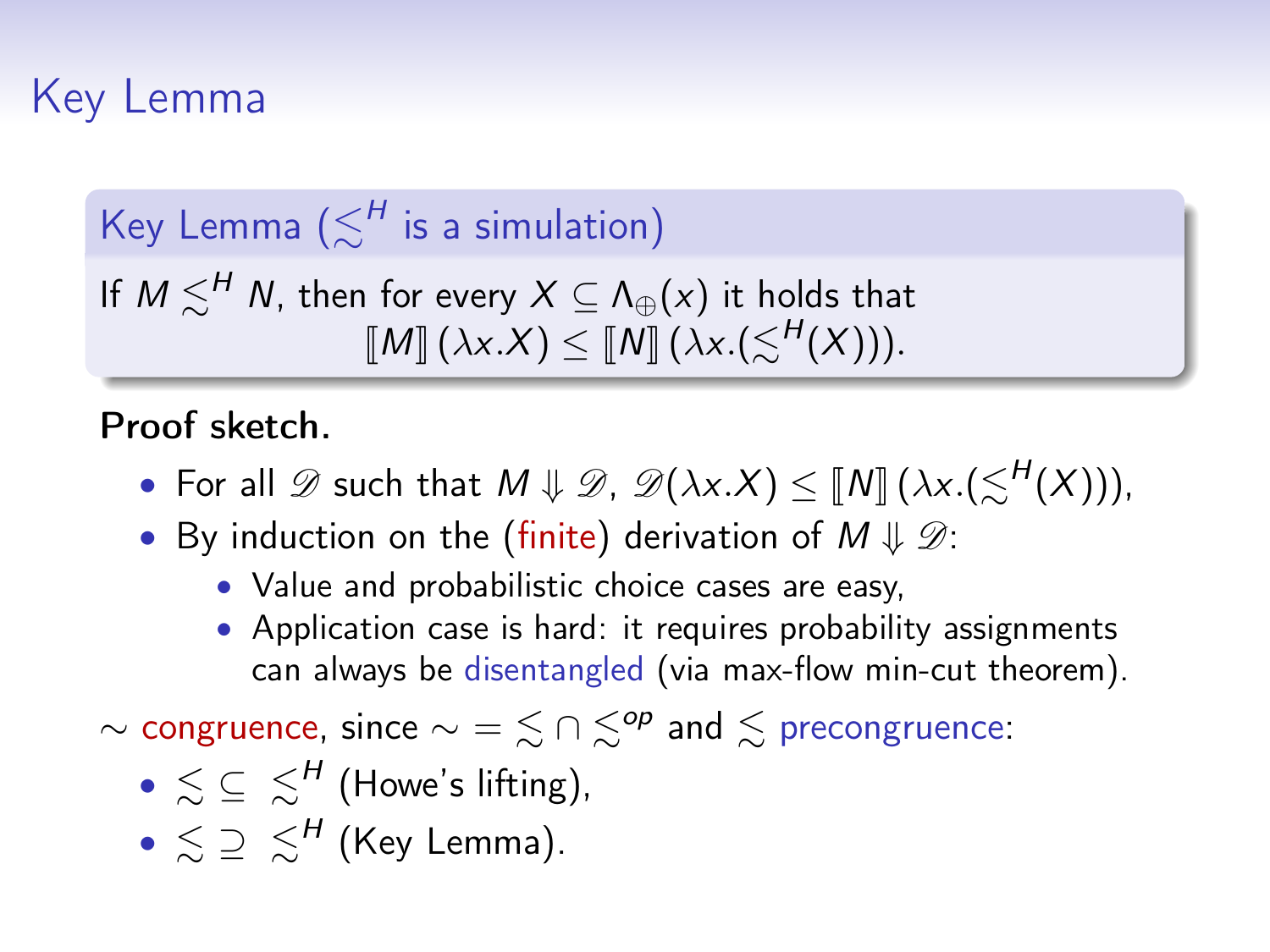# Key Lemma

Key Lemma  $(\lesssim^H$  is a simulation)

If  $M \lesssim^H N$ , then for every  $X \subseteq \Lambda_{\oplus}(x)$  it holds that  $\llbracket M \rrbracket$  ( $\lambda x.X$ )  $\leq \llbracket N \rrbracket$  ( $\lambda x.$ ( $\lesssim$ <sup>H</sup>(X))).

Proof sketch.

- For all  $\mathscr D$  such that  $M \downarrow \mathscr D$ ,  $\mathscr D(\lambda x.X) \leq [N] (\lambda x.(\leq^H(X))),$
- By induction on the (finite) derivation of  $M \Downarrow \mathscr{D}$ :
	- Value and probabilistic choice cases are easy,
	- Application case is hard: it requires probability assignments can always be disentangled (via max-flow min-cut theorem).

∼ congruence, since  $\sim \frac{1}{2} \leq \frac{1}{2}$  and  $\leq$  precongruence:

- $\bullet \lesssim \; \subseteq \; \lesssim^H$  (Howe's lifting),
- $\bullet \,\lesssim\, \supseteq\, \lesssim^H$  (Key Lemma).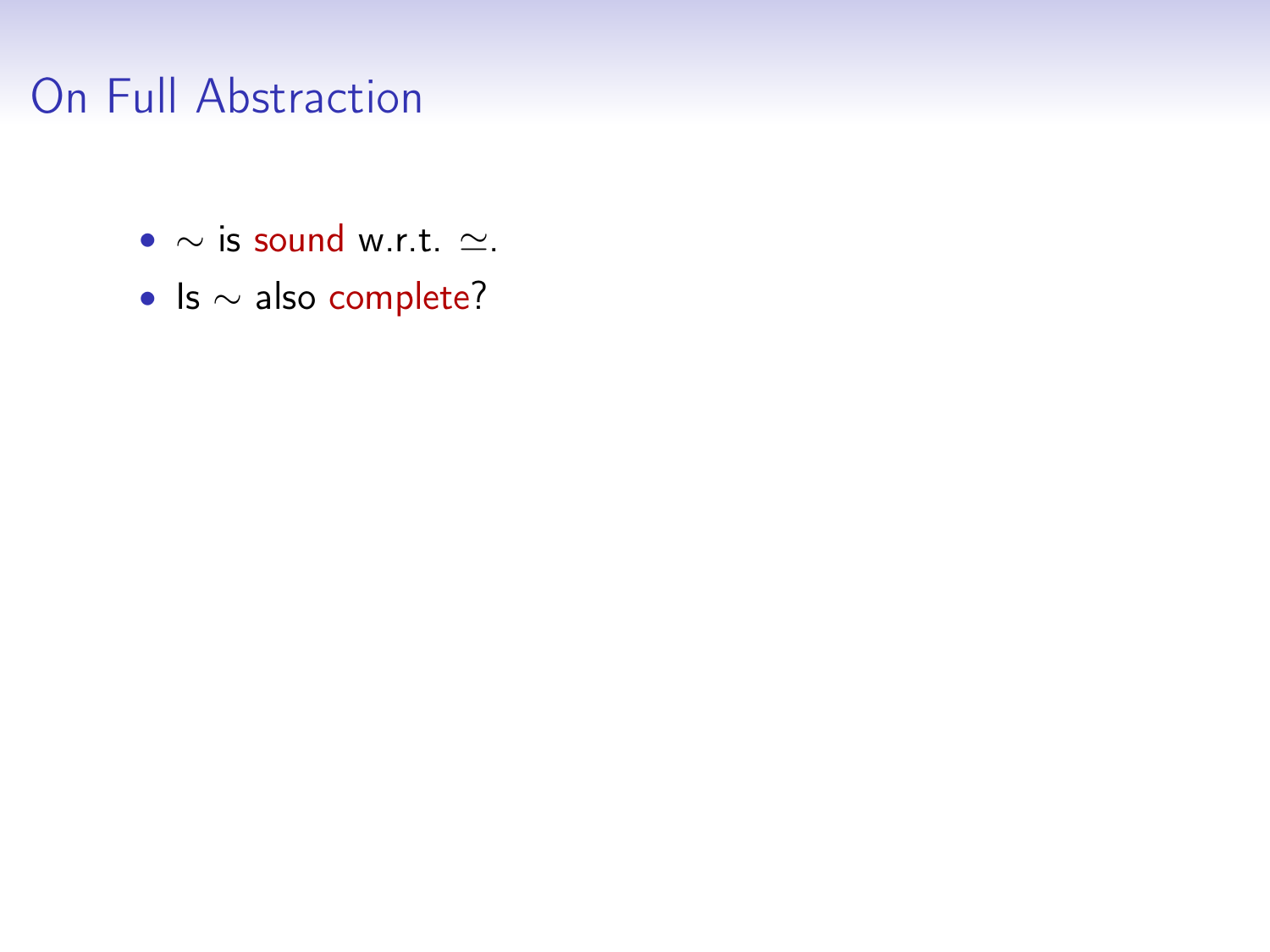# On Full Abstraction

- $\sim$  is sound w.r.t.  $\simeq$ .
- Is ∼ also complete?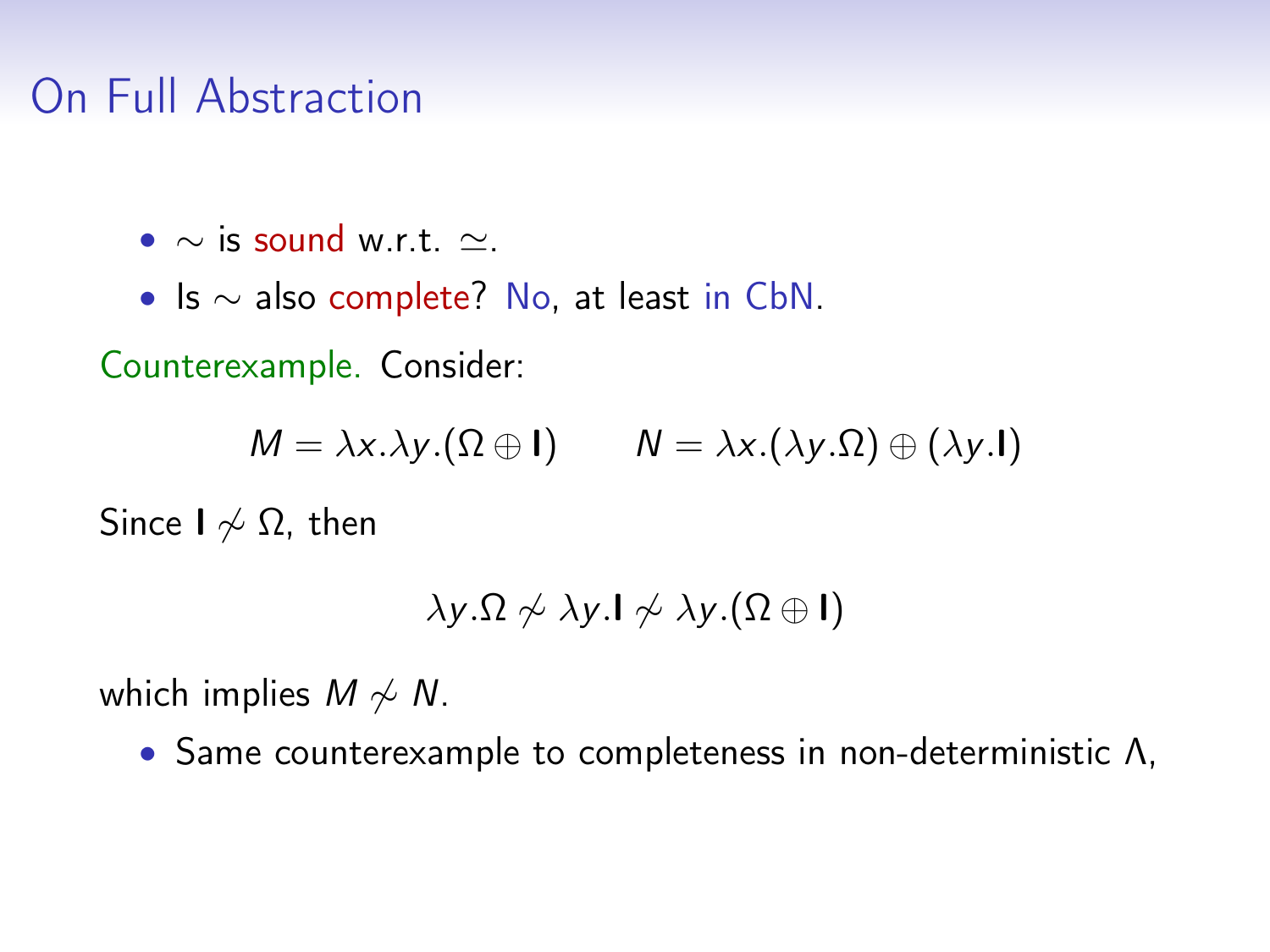# On Full Abstraction

•  $\sim$  is sound w.r.t.  $\sim$ .

• Is ∼ also complete? No, at least in CbN.

Counterexample. Consider:

 $M = \lambda x.\lambda y.(\Omega \oplus I)$   $N = \lambda x.(\lambda y.\Omega) \oplus (\lambda y.I)$ 

Since  $I \nless \Omega$ , then

$$
\lambda y.\Omega \nsim \lambda y.\mathbf{I} \nsim \lambda y.(\Omega \oplus \mathbf{I})
$$

which implies  $M \nsim N$ .

• Same counterexample to completeness in non-deterministic Λ,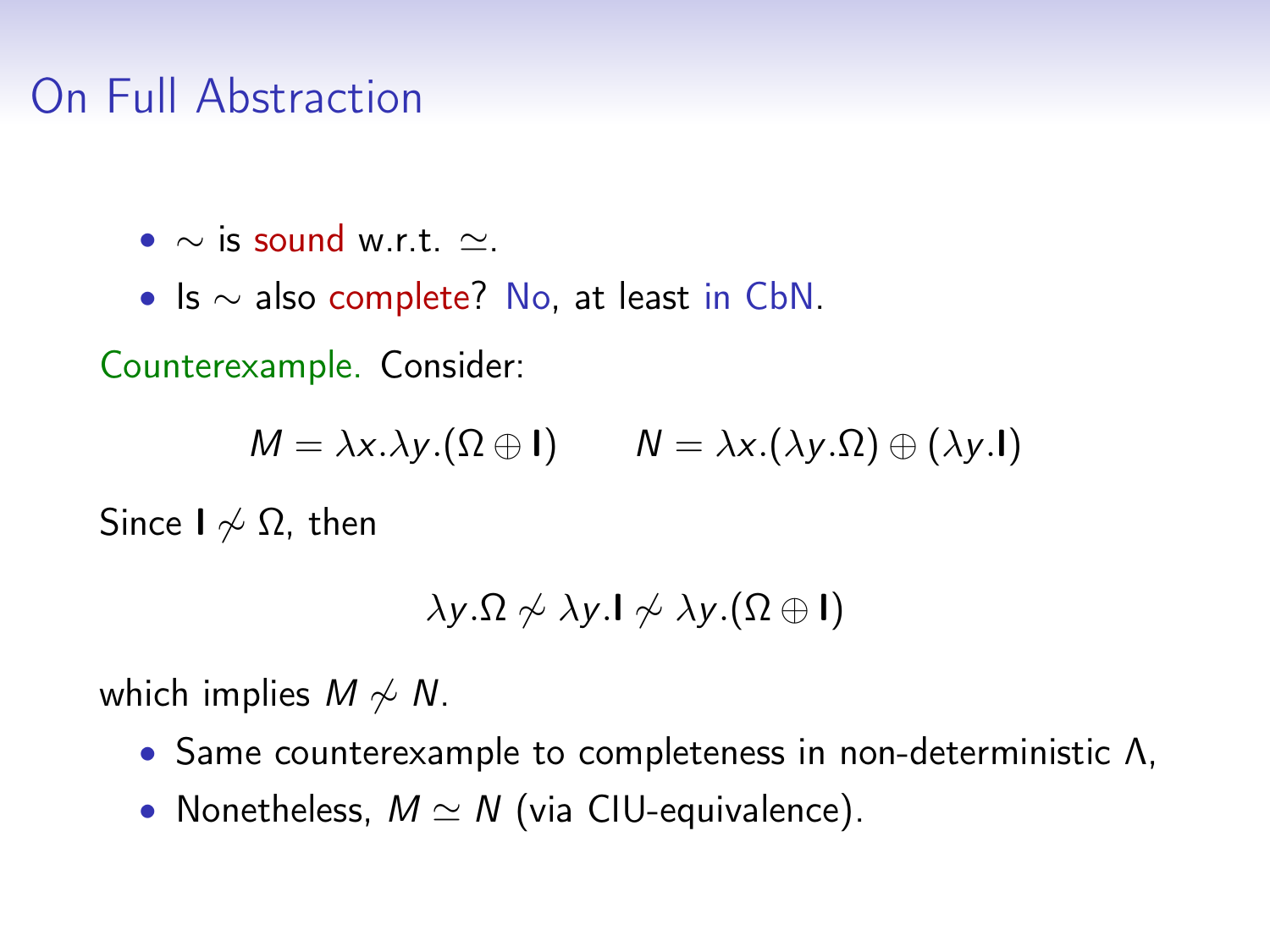# On Full Abstraction

•  $\sim$  is sound w.r.t.  $\sim$ .

• Is ∼ also complete? No, at least in CbN.

Counterexample. Consider:

 $M = \lambda x.\lambda y.(\Omega \oplus I)$   $N = \lambda x.(\lambda y.\Omega) \oplus (\lambda y.I)$ 

Since  $I \nless \Omega$ , then

$$
\lambda y.\Omega \nsim \lambda y.\mathsf{I} \nsim \lambda y.(\Omega \oplus \mathsf{I})
$$

which implies  $M \nsim N$ .

- Same counterexample to completeness in non-deterministic Λ,
- Nonetheless,  $M \simeq N$  (via CIU-equivalence).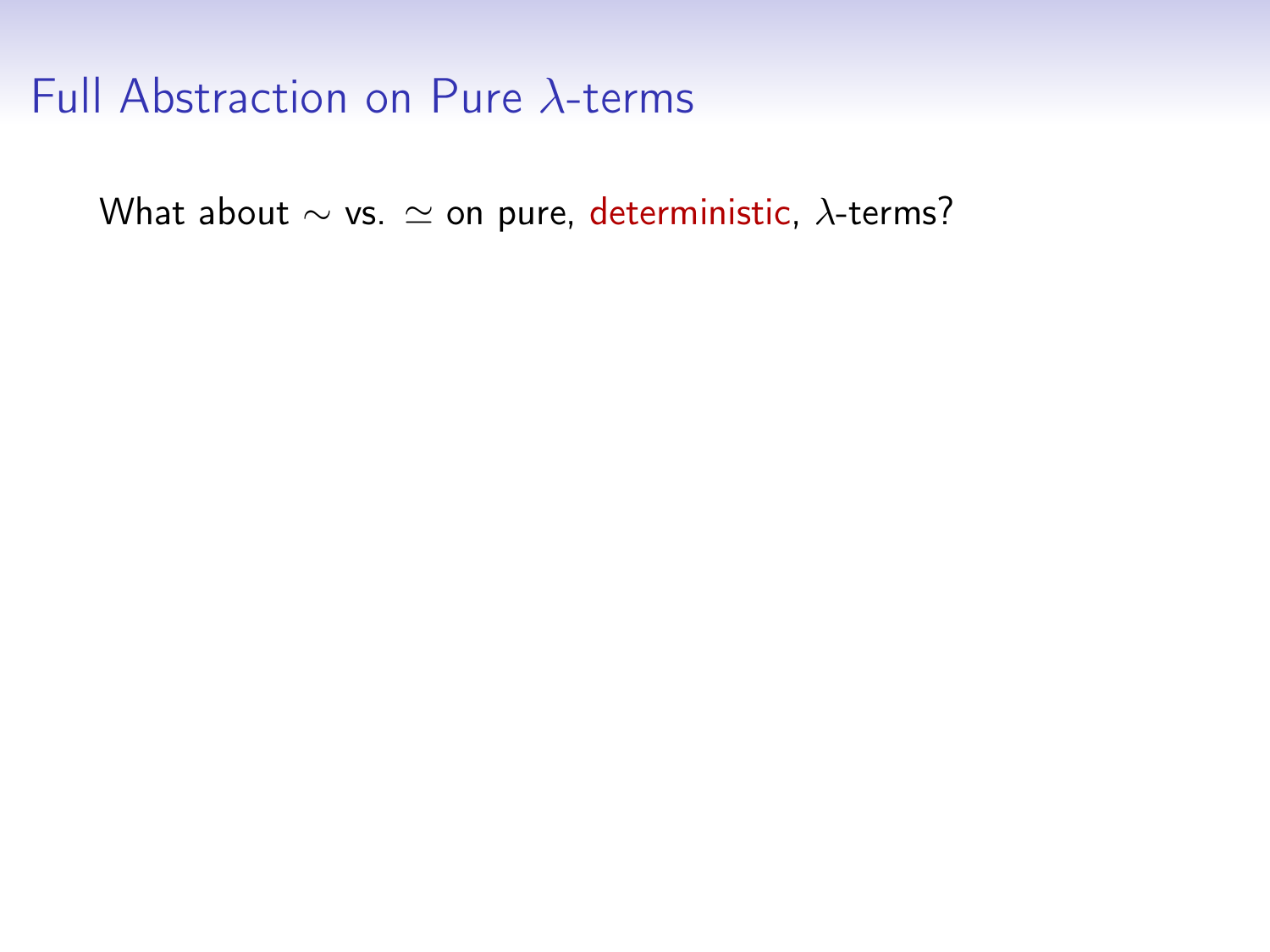What about  $\sim$  vs.  $\simeq$  on pure, deterministic,  $\lambda$ -terms?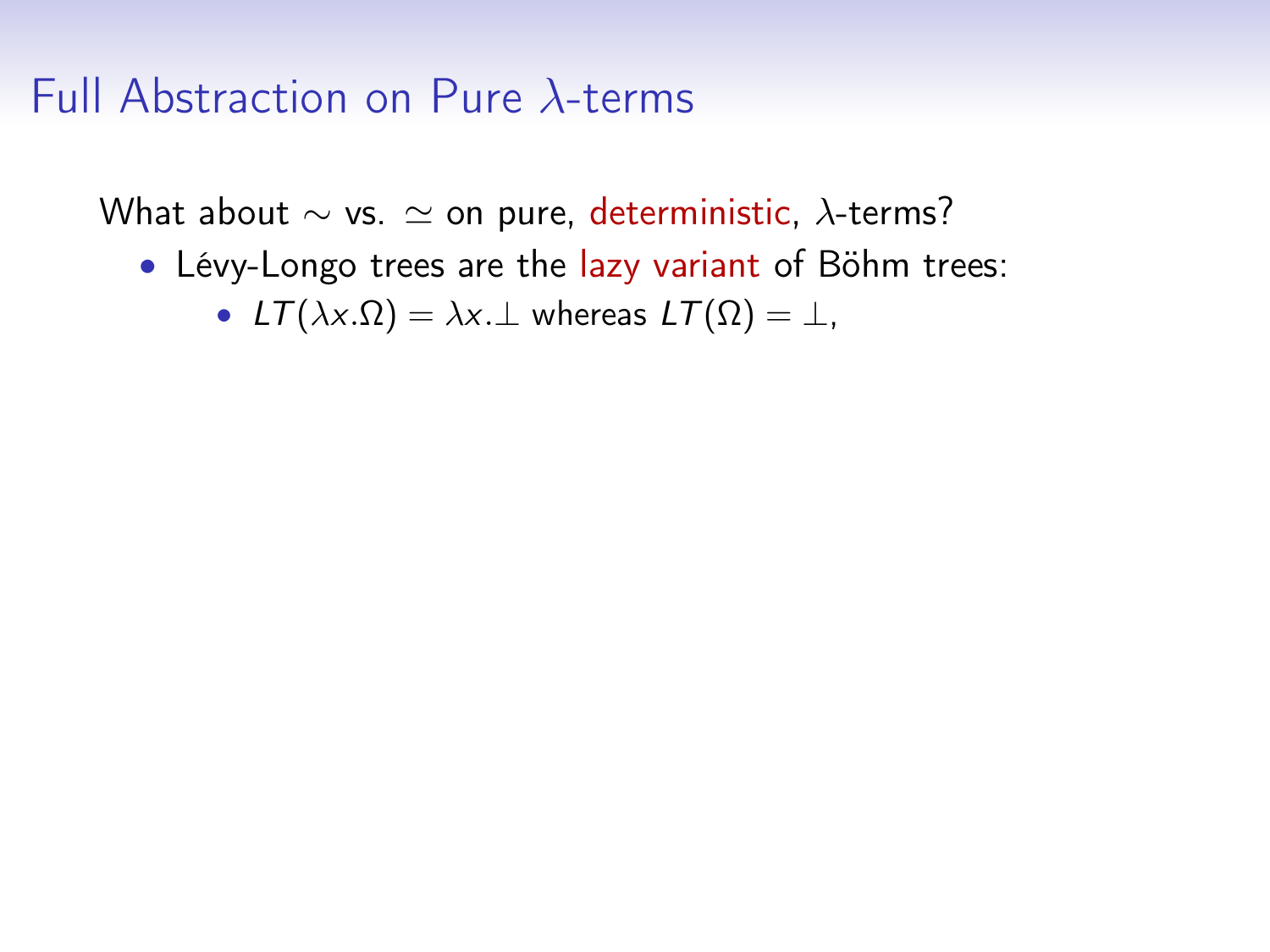What about  $\sim$  vs.  $\simeq$  on pure, deterministic,  $\lambda$ -terms?

- Lévy-Longo trees are the lazy variant of Böhm trees:
	- $LT(\lambda x.\Omega) = \lambda x.\bot$  whereas  $LT(\Omega) = \bot$ ,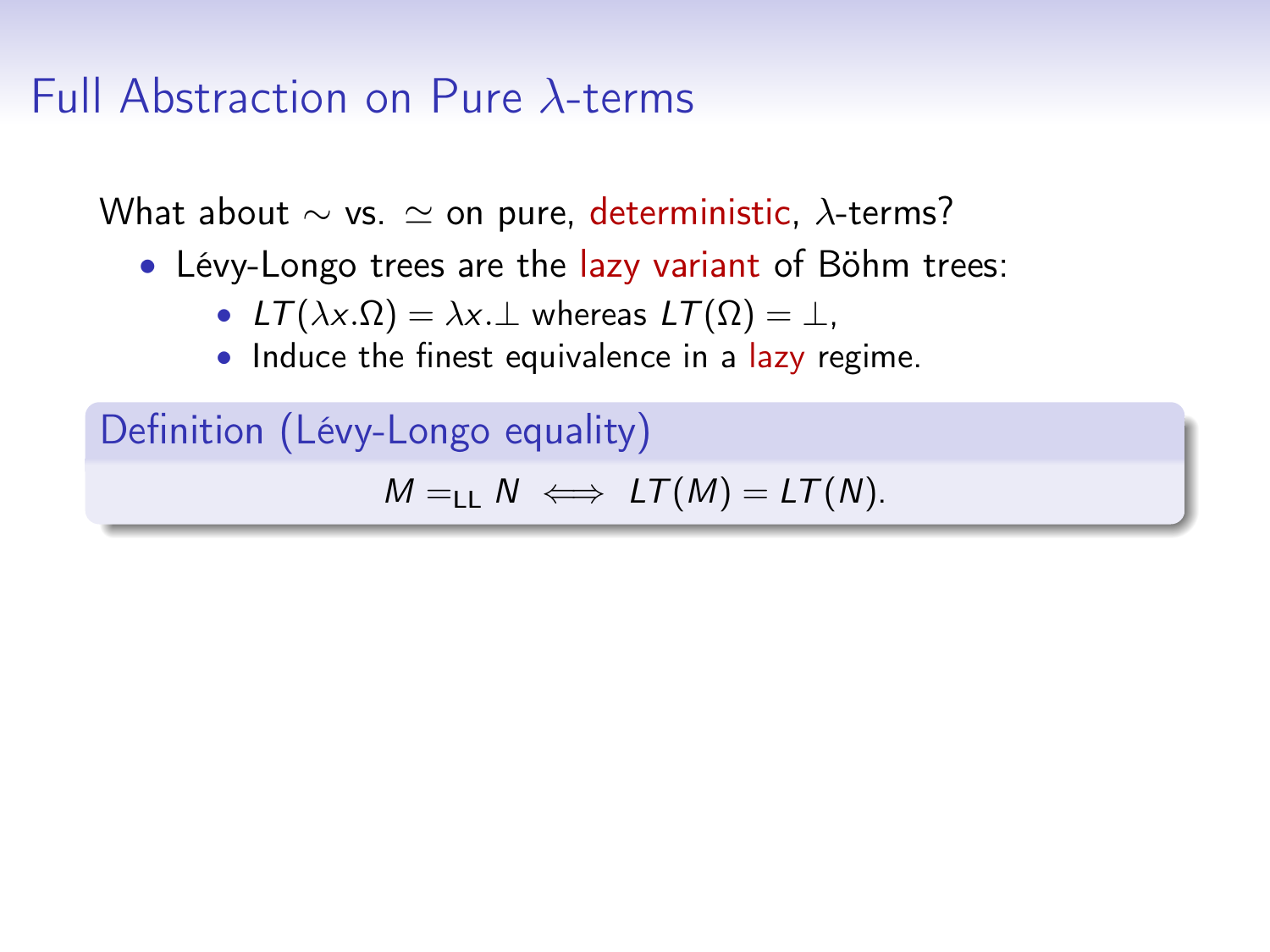What about  $\sim$  vs.  $\simeq$  on pure, deterministic,  $\lambda$ -terms?

- Lévy-Longo trees are the lazy variant of Böhm trees:
	- $LT(\lambda x.\Omega) = \lambda x.\bot$  whereas  $LT(\Omega) = \bot$ ,
	- Induce the finest equivalence in a lazy regime.

Definition (Lévy-Longo equality)  $M = H \rightarrow \mathbb{L}T(M) = \mathbb{L}T(N).$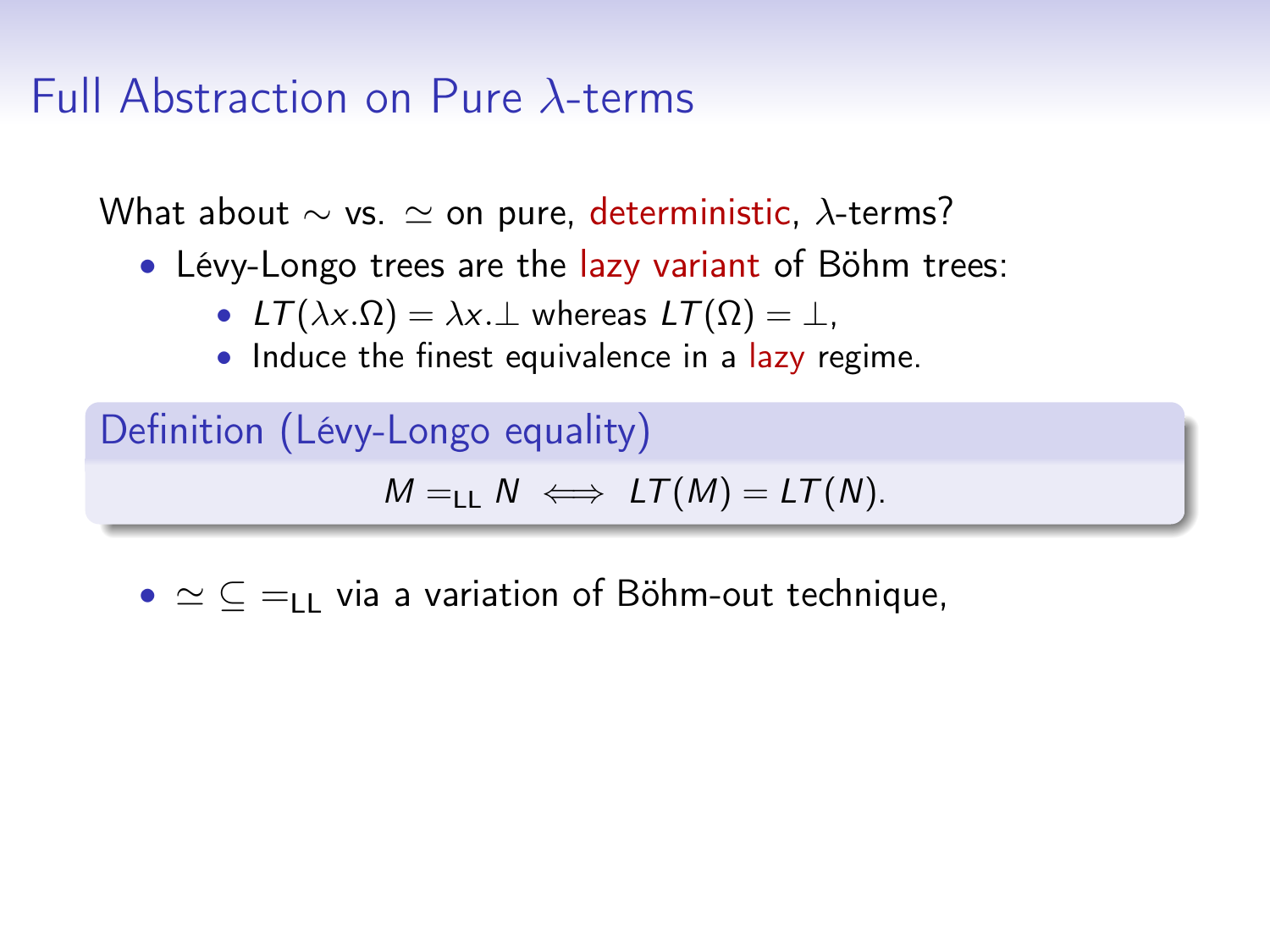What about  $\sim$  vs.  $\simeq$  on pure, deterministic,  $\lambda$ -terms?

- Lévy-Longo trees are the lazy variant of Böhm trees:
	- $LT(\lambda x.\Omega) = \lambda x.\bot$  whereas  $LT(\Omega) = \bot$ ,
	- Induce the finest equivalence in a lazy regime.

Definition (Lévy-Longo equality)  $M = H \implies LT(M) = LT(N)$ .

•  $\simeq \subset \equiv_{\sqcup}$  via a variation of Böhm-out technique,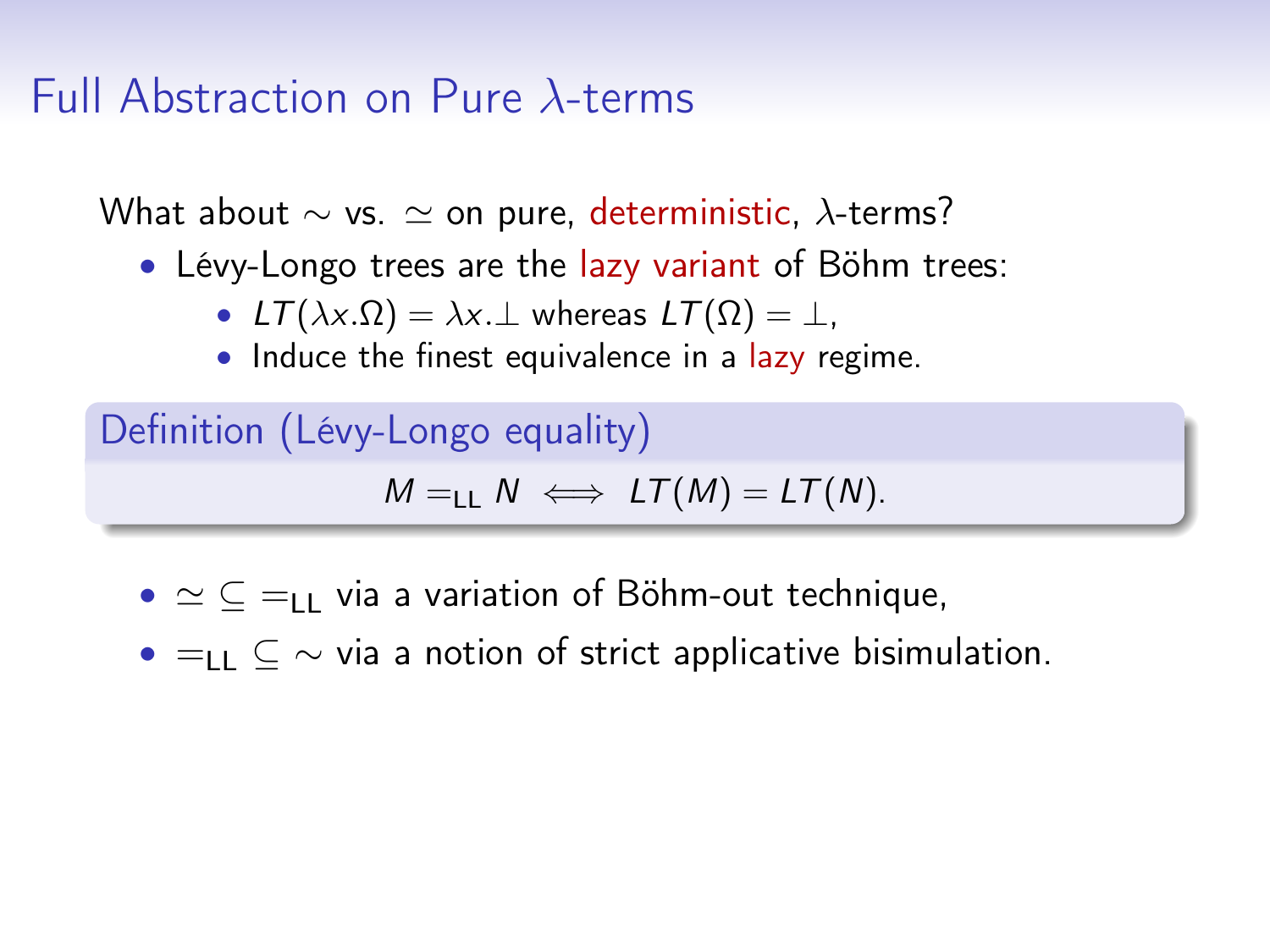What about  $\sim$  vs.  $\simeq$  on pure, deterministic,  $\lambda$ -terms?

- Lévy-Longo trees are the lazy variant of Böhm trees:
	- $LT(\lambda x.\Omega) = \lambda x.\bot$  whereas  $LT(\Omega) = \bot$ ,
	- Induce the finest equivalence in a lazy regime.

```
Definition (Lévy-Longo equality)
    M = H \implies LT(M) = LT(N).
```
- $\simeq \subset \equiv_{\sqcup}$  via a variation of Böhm-out technique,
- $=$ LL  $\subset \sim$  via a notion of strict applicative bisimulation.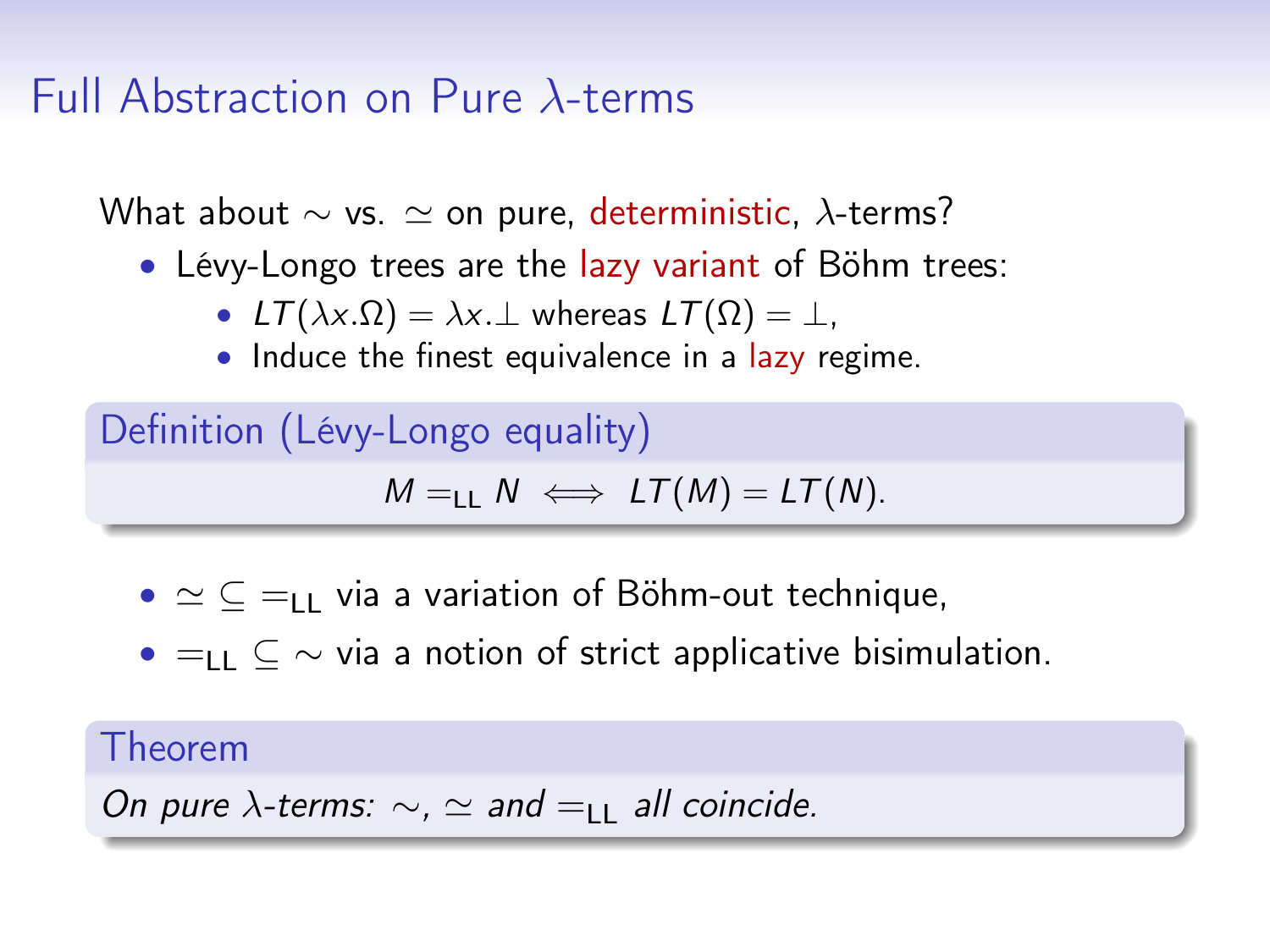What about  $\sim$  vs.  $\simeq$  on pure, deterministic,  $\lambda$ -terms?

- Lévy-Longo trees are the lazy variant of Böhm trees:
	- $LT(\lambda x.\Omega) = \lambda x.\bot$  whereas  $LT(\Omega) = \bot$ ,
	- Induce the finest equivalence in a lazy regime.

```
Definition (Lévy-Longo equality)
    M = H \implies LT(M) = LT(N).
```
- $\simeq \subset \equiv_{\sqcup}$  via a variation of Böhm-out technique,
- $=$ LL  $\subset \sim$  via a notion of strict applicative bisimulation.

Theorem

On pure  $\lambda$ -terms:  $\sim$ ,  $\simeq$  and  $=$ <sub>LL</sub> all coincide.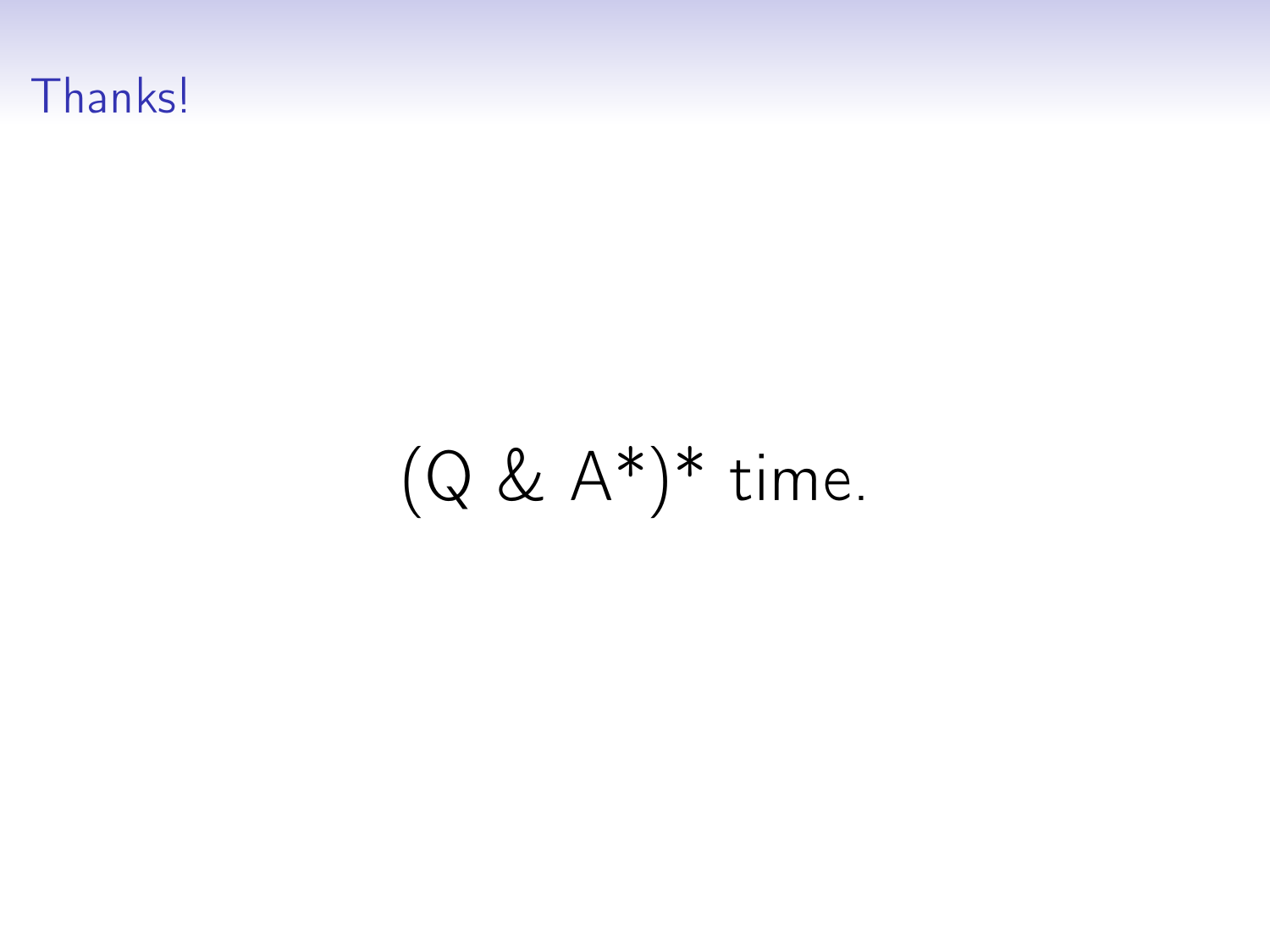# Thanks!

# $(Q \& A^*)^*$  time.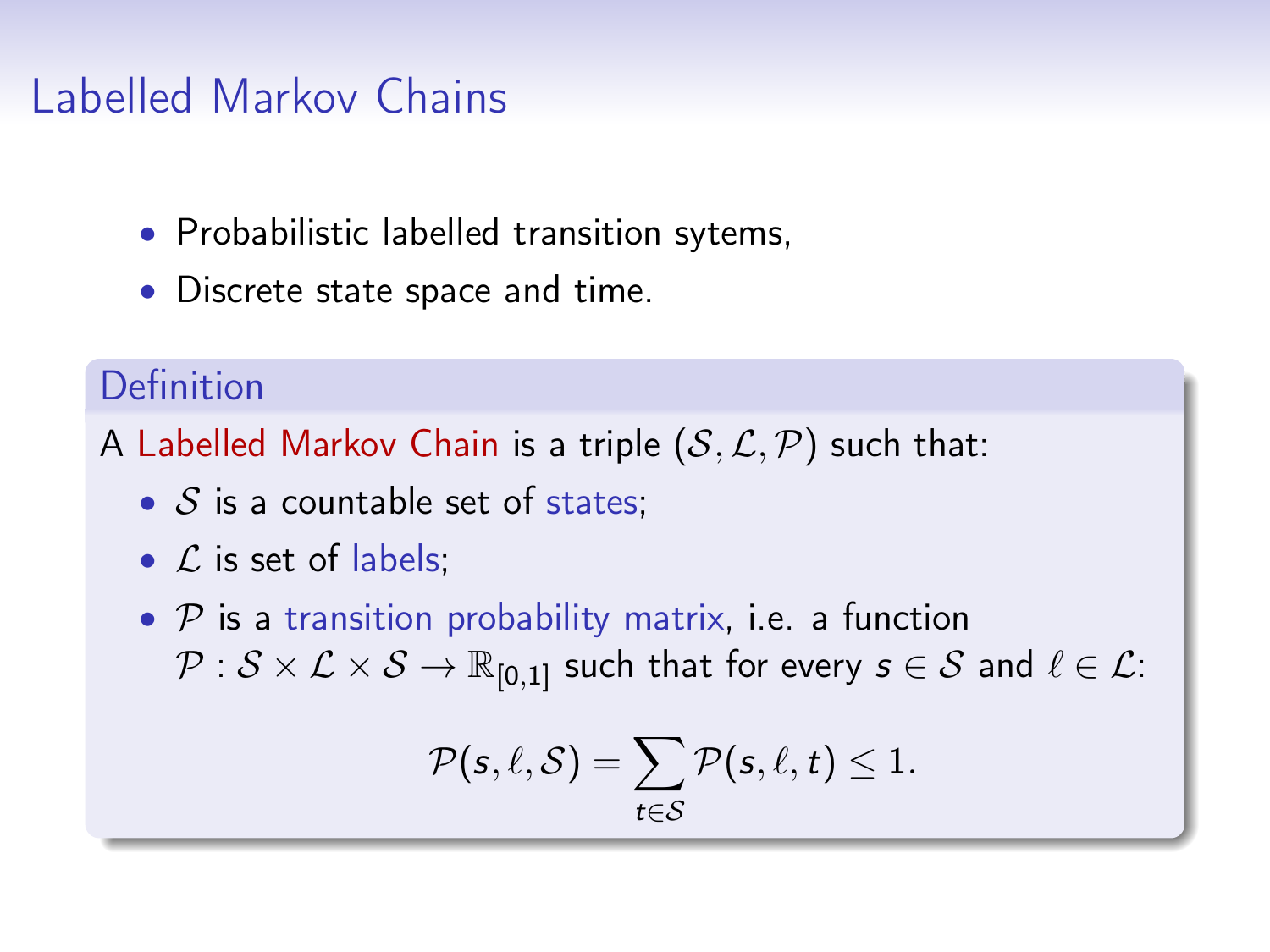#### Labelled Markov Chains

- Probabilistic labelled transition sytems,
- Discrete state space and time.

#### Definition

A Labelled Markov Chain is a triple  $(S, \mathcal{L}, \mathcal{P})$  such that:

- $S$  is a countable set of states;
- $\mathcal L$  is set of labels;
- $P$  is a transition probability matrix, i.e. a function  $\mathcal{P}: \mathcal{S} \times \mathcal{L} \times \mathcal{S} \rightarrow \mathbb{R}_{[0,1]}$  such that for every  $s \in \mathcal{S}$  and  $\ell \in \mathcal{L}$ :

$$
\mathcal{P}(s,\ell,\mathcal{S}) = \sum_{t \in \mathcal{S}} \mathcal{P}(s,\ell,t) \leq 1.
$$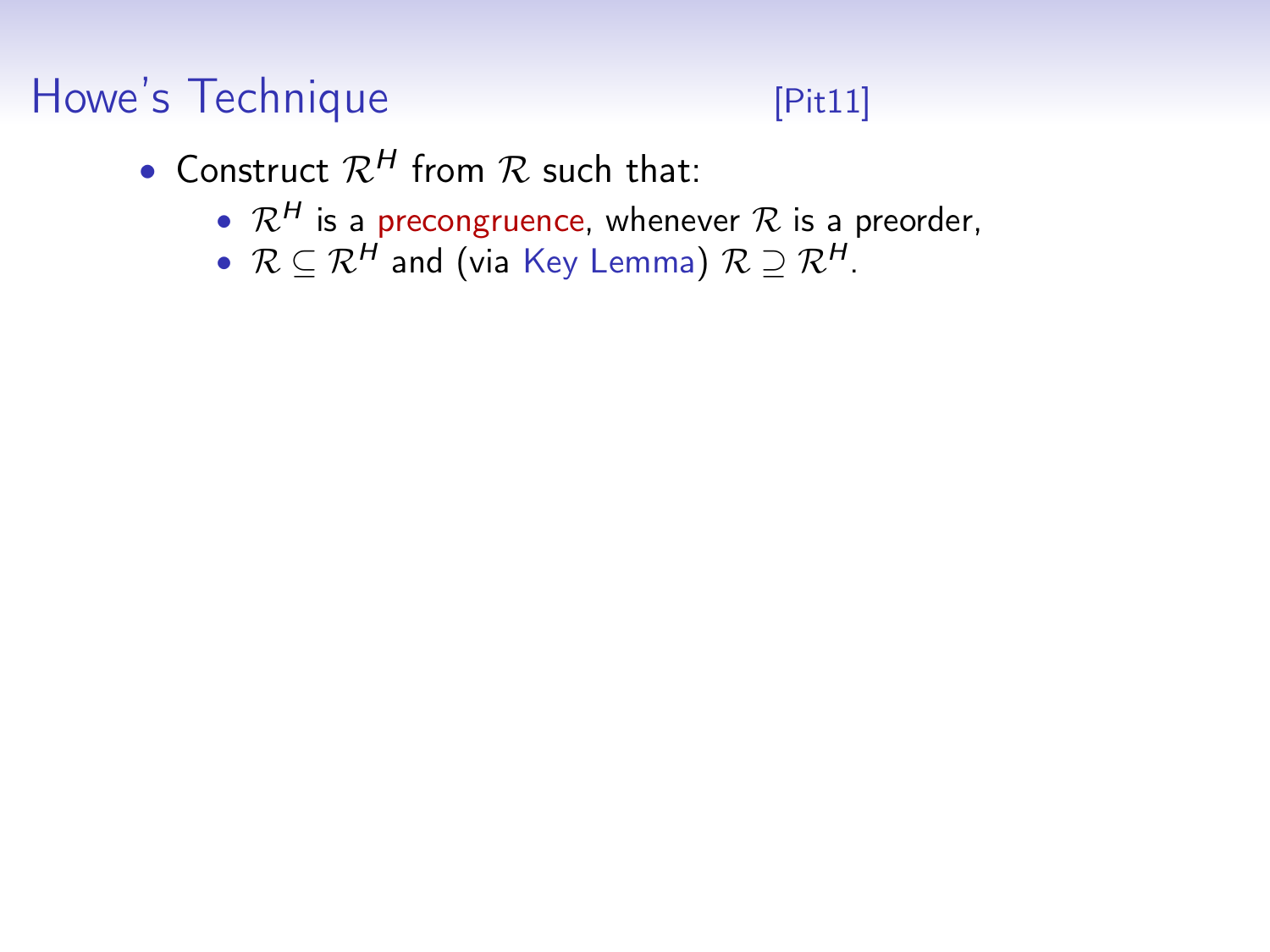# Howe's Technique **Example 19 (Pit11)**

- Construct  $\mathcal{R}^H$  from  $\mathcal R$  such that:
	- $\mathcal{R}^H$  is a precongruence, whenever  $\mathcal R$  is a preorder,
	- $\mathcal{R} \subseteq \mathcal{R}^H$  and (via Key Lemma)  $\mathcal{R} \supseteq \mathcal{R}^H$ .